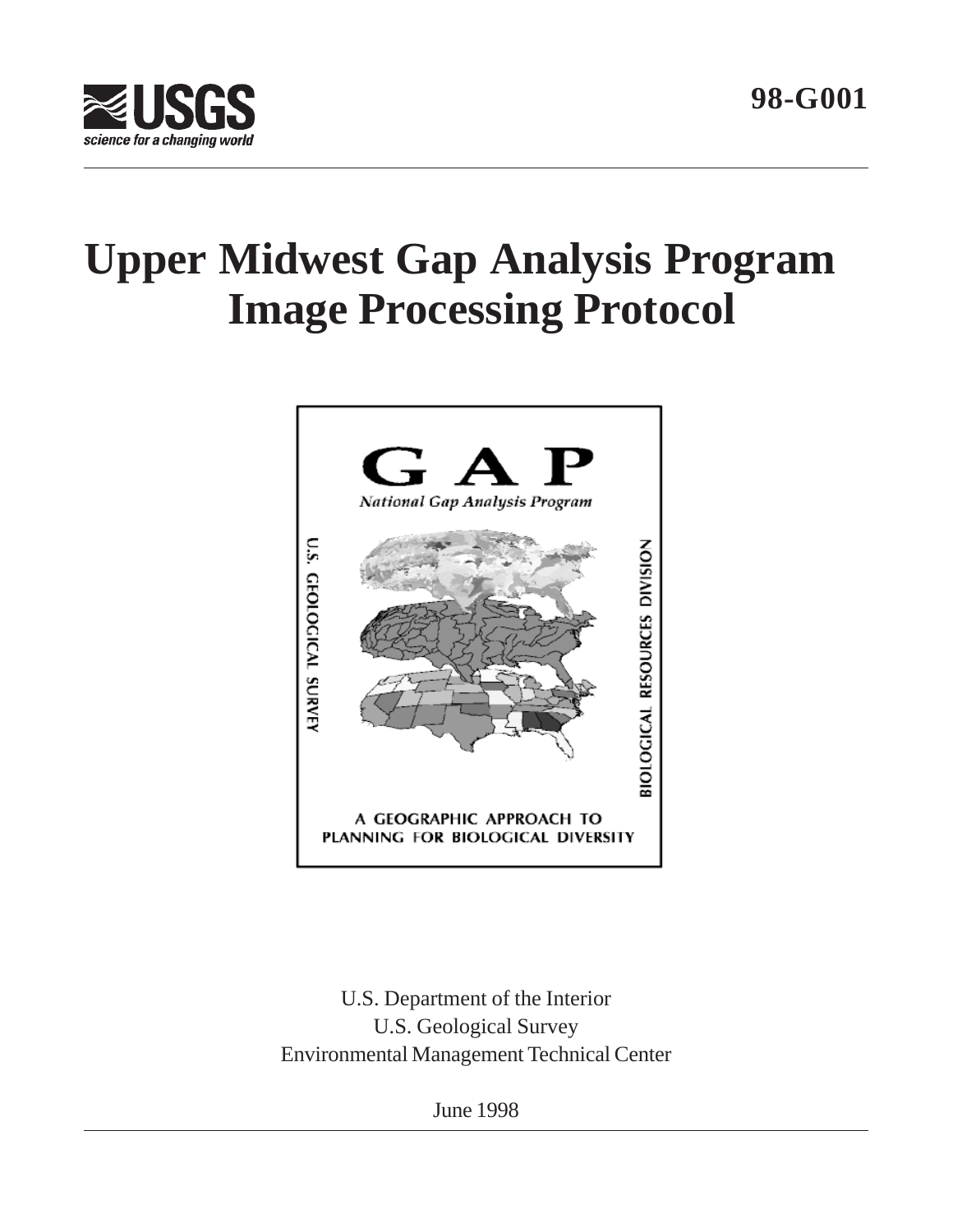



# **Upper Midwest Gap Analysis Program Image Processing Protocol**



U.S. Department of the Interior U.S. Geological Survey Environmental Management Technical Center

June 1998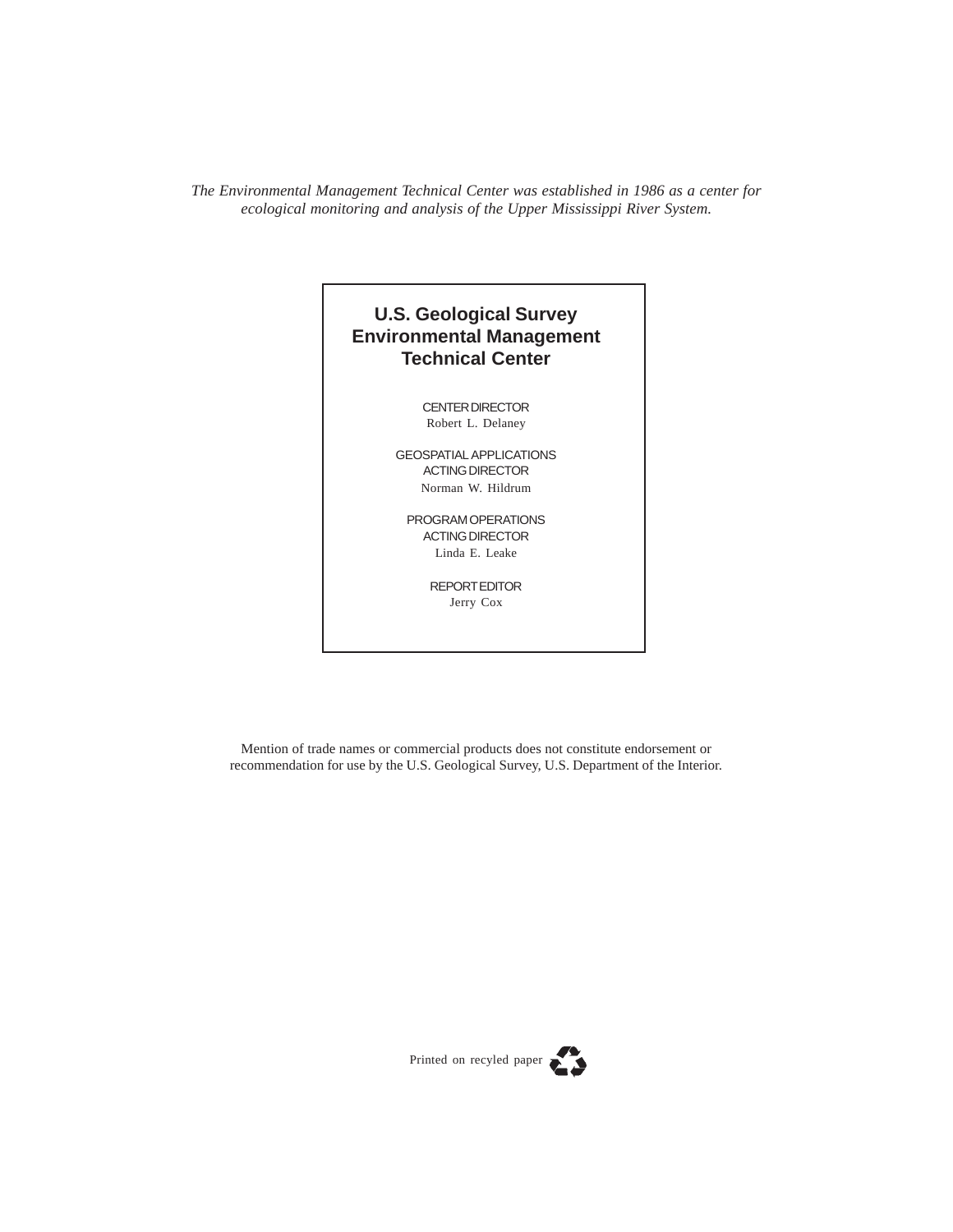*The Environmental Management Technical Center was established in 1986 as a center for ecological monitoring and analysis of the Upper Mississippi River System.*

### **U.S. Geological Survey Environmental Management Technical Center**

CENTER DIRECTOR Robert L. Delaney

GEOSPATIAL APPLICATIONS ACTING DIRECTOR Norman W. Hildrum

PROGRAM OPERATIONS ACTING DIRECTOR Linda E. Leake

> REPORT EDITOR Jerry Cox

Mention of trade names or commercial products does not constitute endorsement or recommendation for use by the U.S. Geological Survey, U.S. Department of the Interior.

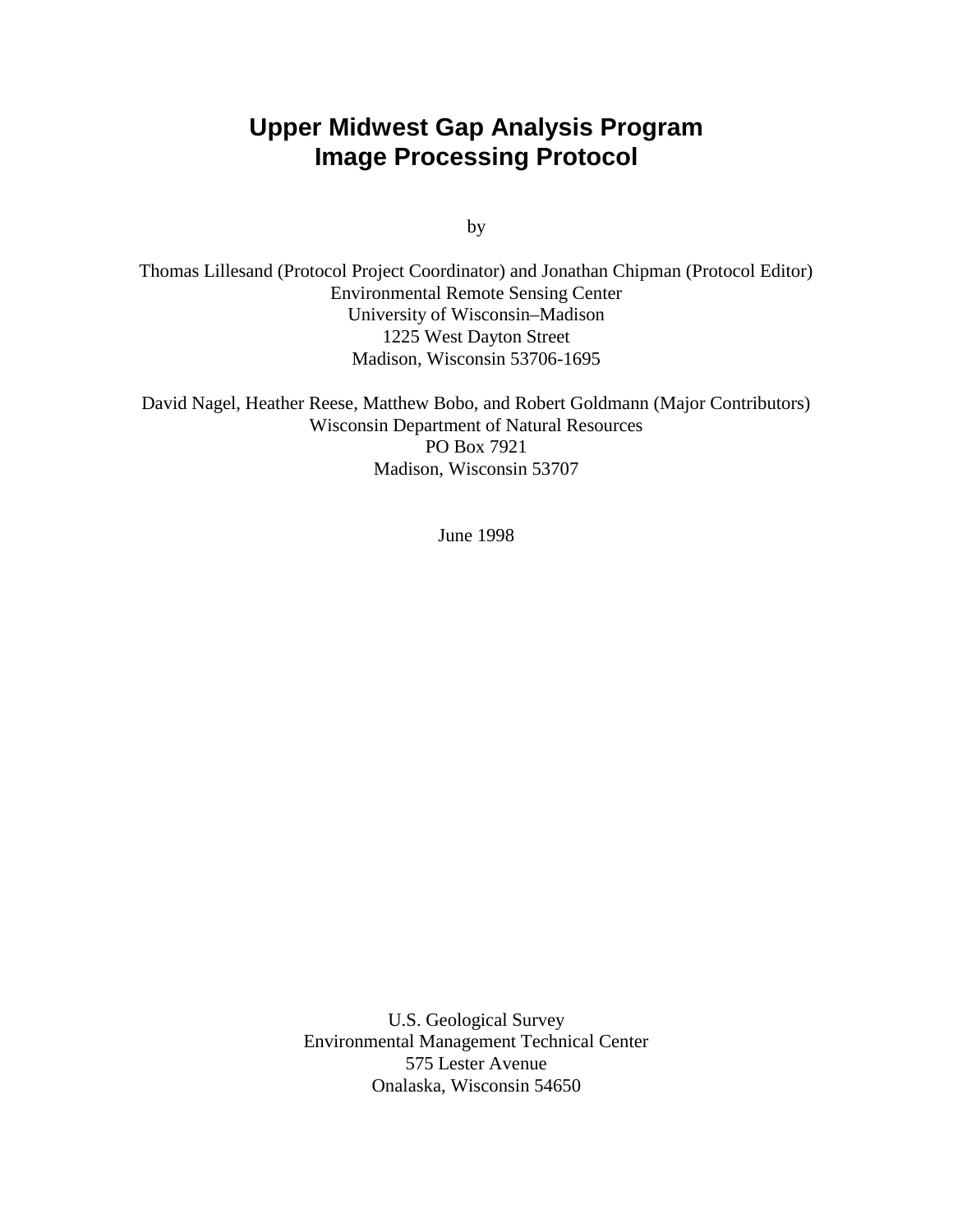# **Upper Midwest Gap Analysis Program Image Processing Protocol**

by

Thomas Lillesand (Protocol Project Coordinator) and Jonathan Chipman (Protocol Editor) Environmental Remote Sensing Center University of Wisconsin–Madison 1225 West Dayton Street Madison, Wisconsin 53706-1695

David Nagel, Heather Reese, Matthew Bobo, and Robert Goldmann (Major Contributors) Wisconsin Department of Natural Resources PO Box 7921 Madison, Wisconsin 53707

June 1998

U.S. Geological Survey Environmental Management Technical Center 575 Lester Avenue Onalaska, Wisconsin 54650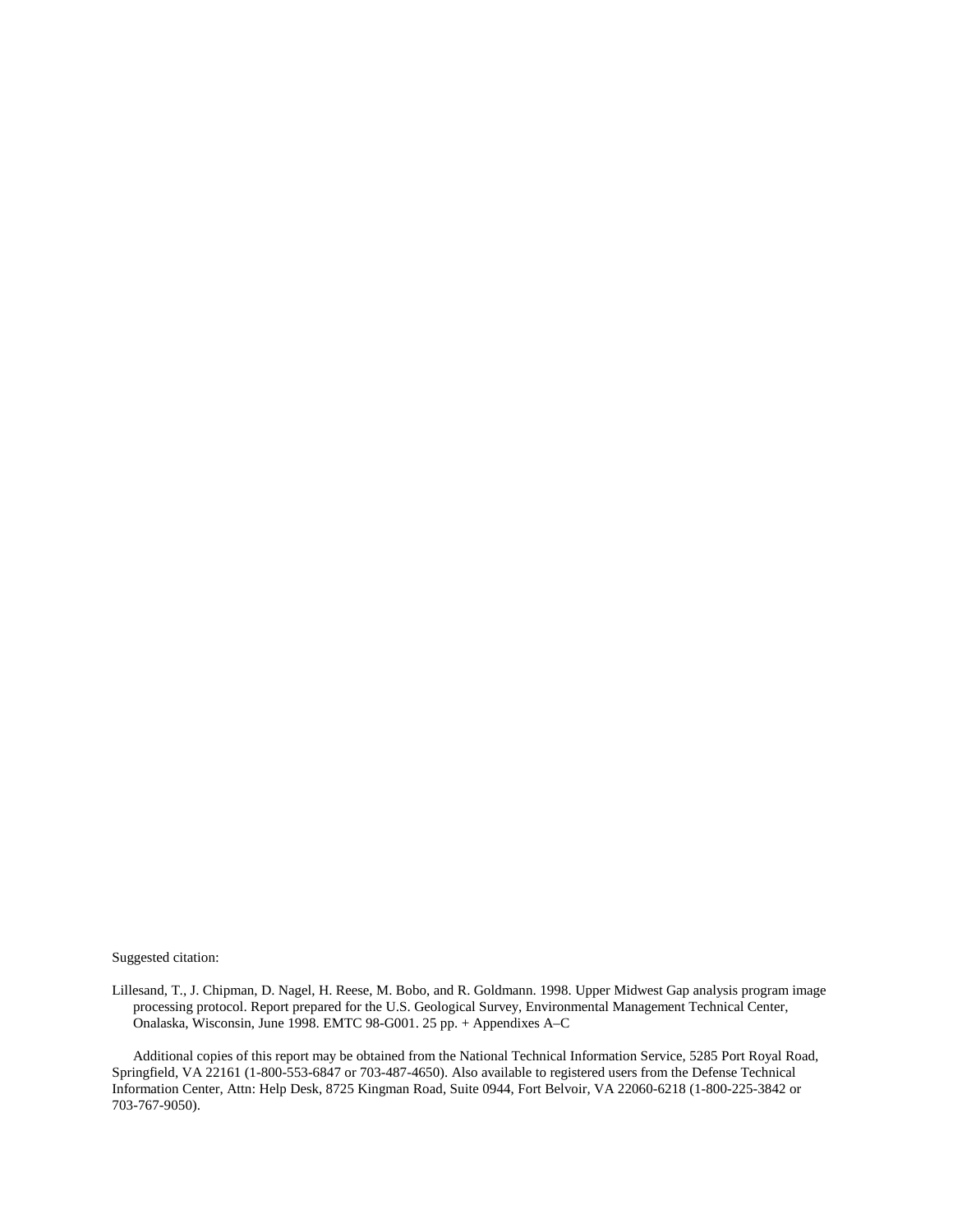Suggested citation:

Lillesand, T., J. Chipman, D. Nagel, H. Reese, M. Bobo, and R. Goldmann. 1998. Upper Midwest Gap analysis program image processing protocol. Report prepared for the U.S. Geological Survey, Environmental Management Technical Center, Onalaska, Wisconsin, June 1998. EMTC 98-G001. 25 pp. + Appendixes A–C

Additional copies of this report may be obtained from the National Technical Information Service, 5285 Port Royal Road, Springfield, VA 22161 (1-800-553-6847 or 703-487-4650). Also available to registered users from the Defense Technical Information Center, Attn: Help Desk, 8725 Kingman Road, Suite 0944, Fort Belvoir, VA 22060-6218 (1-800-225-3842 or 703-767-9050).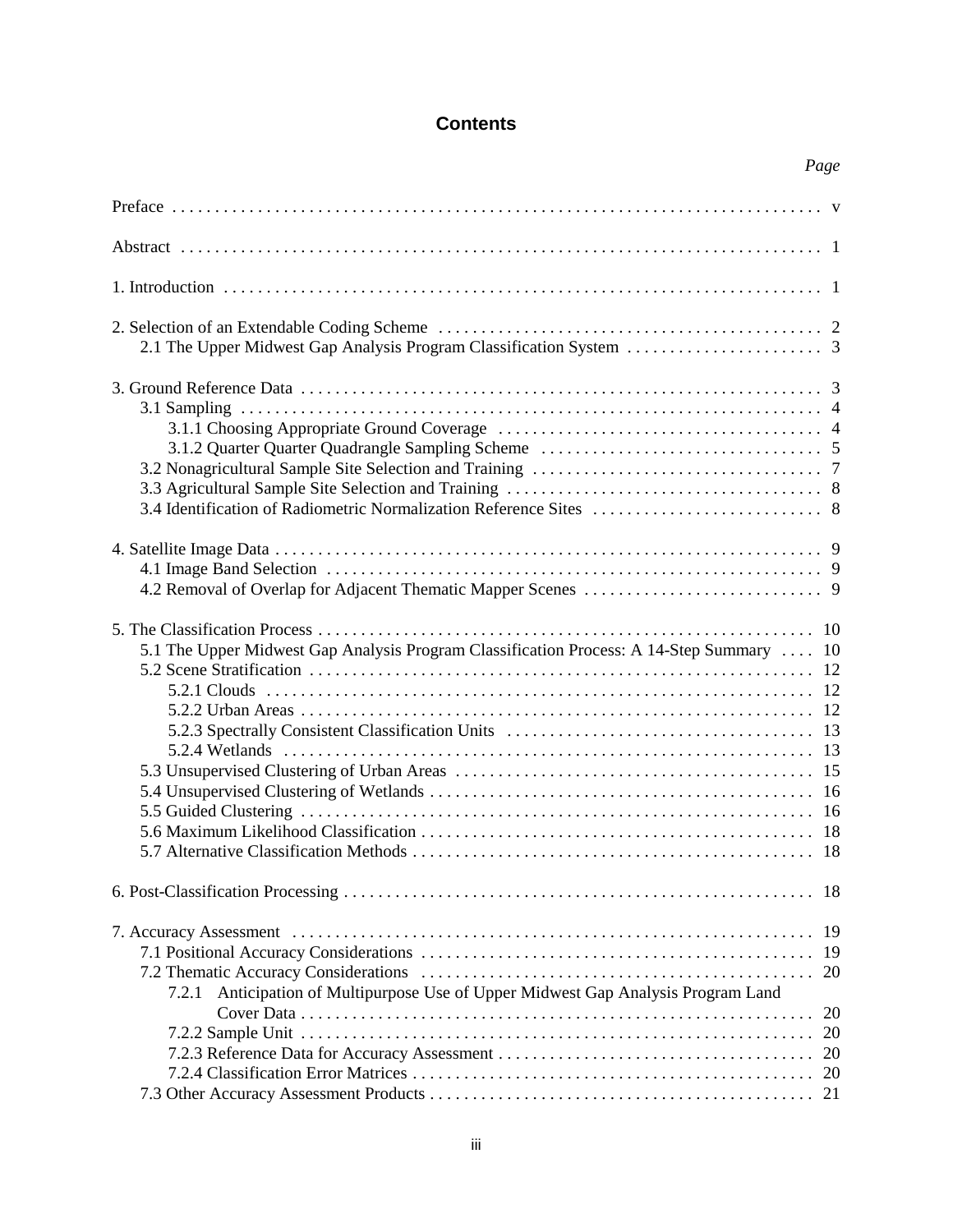### **Contents**

|                                                                                          | Page                       |
|------------------------------------------------------------------------------------------|----------------------------|
|                                                                                          |                            |
|                                                                                          |                            |
|                                                                                          |                            |
|                                                                                          |                            |
|                                                                                          |                            |
|                                                                                          |                            |
| 5.1 The Upper Midwest Gap Analysis Program Classification Process: A 14-Step Summary  10 |                            |
|                                                                                          |                            |
| 7.2.1 Anticipation of Multipurpose Use of Upper Midwest Gap Analysis Program Land        | 19<br>20<br>20<br>20<br>20 |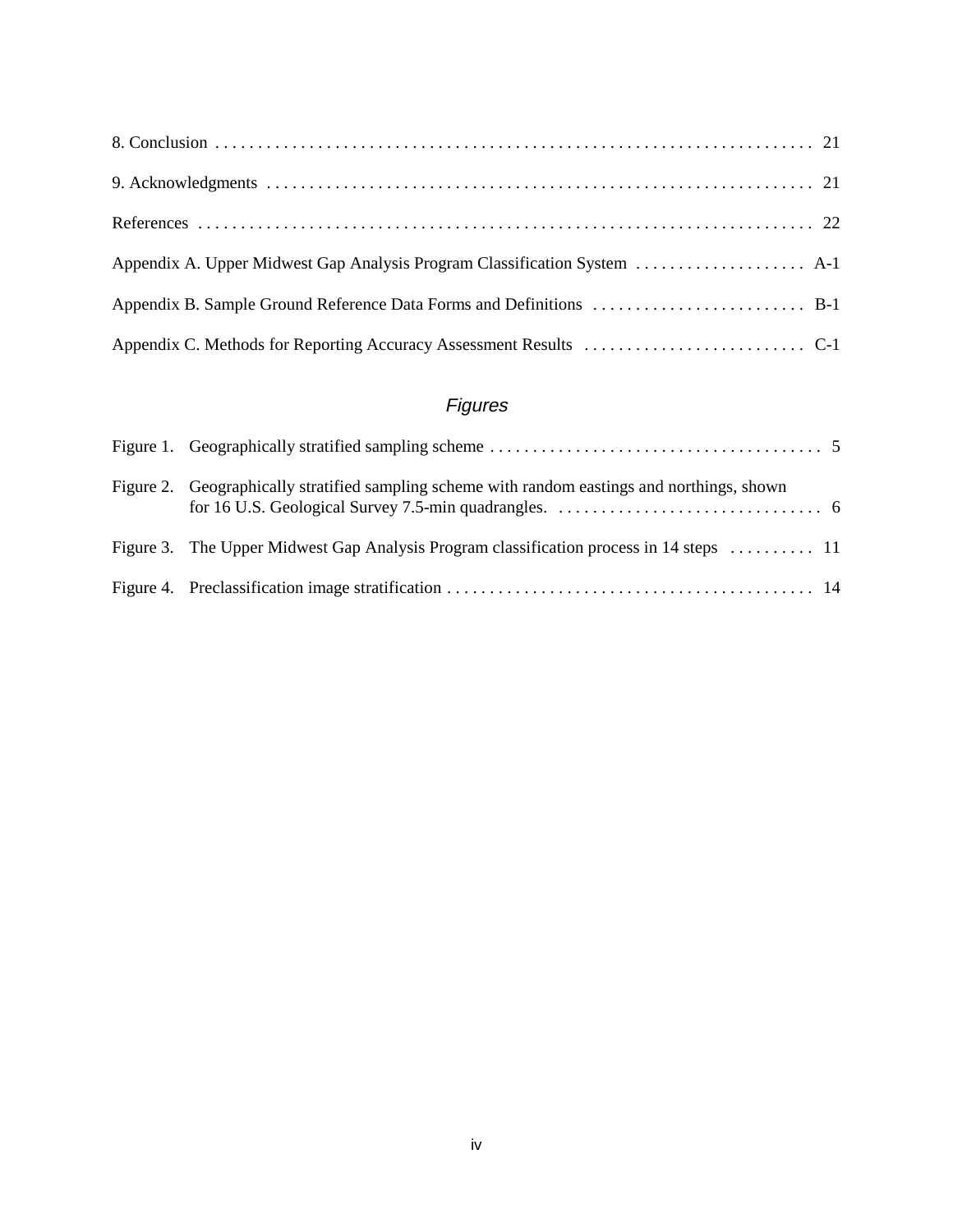| Appendix B. Sample Ground Reference Data Forms and Definitions  B-1 |
|---------------------------------------------------------------------|
|                                                                     |

# Figures

| Figure 2. Geographically stratified sampling scheme with random eastings and northings, shown |  |
|-----------------------------------------------------------------------------------------------|--|
| Figure 3. The Upper Midwest Gap Analysis Program classification process in 14 steps  11       |  |
|                                                                                               |  |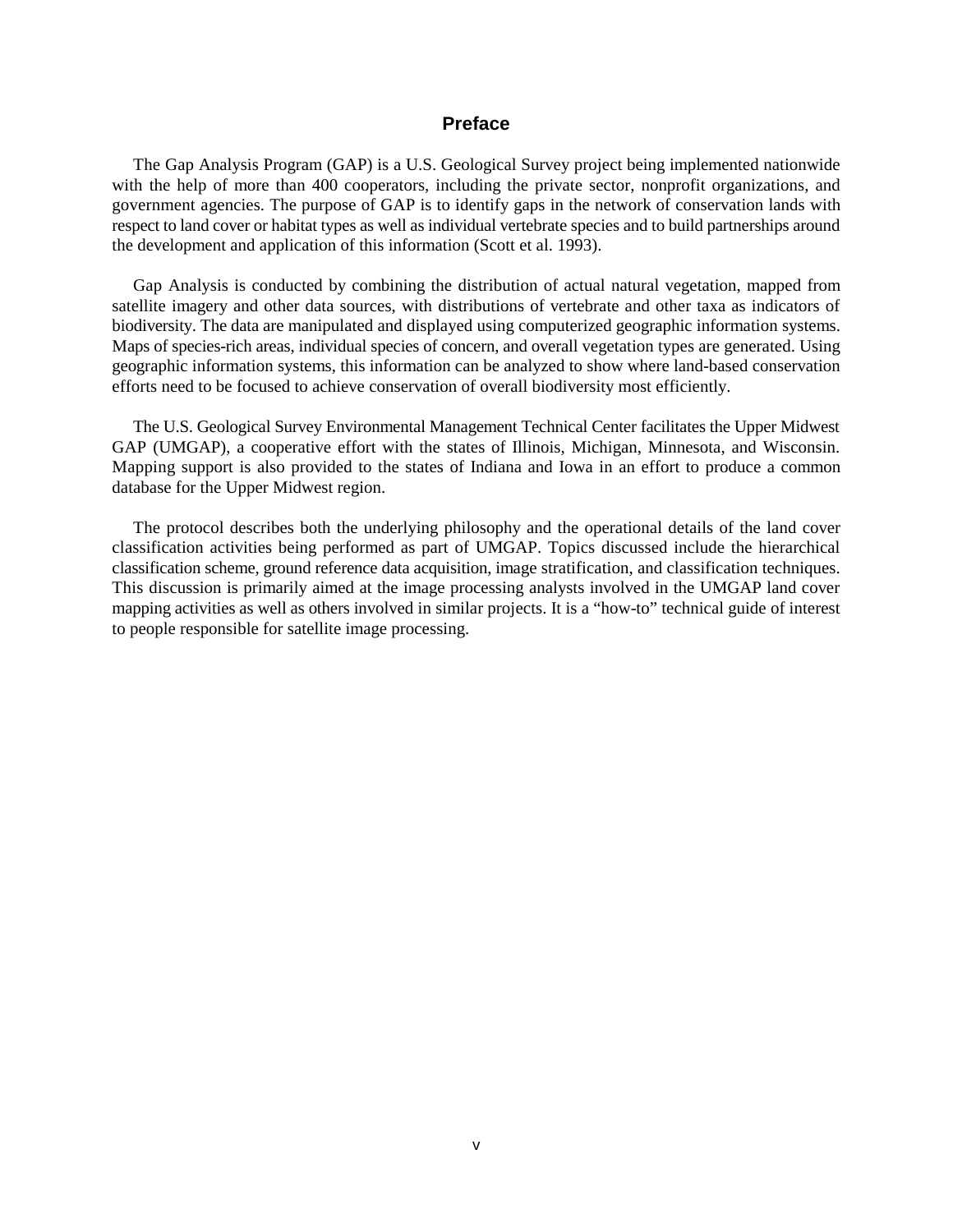### **Preface**

The Gap Analysis Program (GAP) is a U.S. Geological Survey project being implemented nationwide with the help of more than 400 cooperators, including the private sector, nonprofit organizations, and government agencies. The purpose of GAP is to identify gaps in the network of conservation lands with respect to land cover or habitat types as well as individual vertebrate species and to build partnerships around the development and application of this information (Scott et al. 1993).

Gap Analysis is conducted by combining the distribution of actual natural vegetation, mapped from satellite imagery and other data sources, with distributions of vertebrate and other taxa as indicators of biodiversity. The data are manipulated and displayed using computerized geographic information systems. Maps of species-rich areas, individual species of concern, and overall vegetation types are generated. Using geographic information systems, this information can be analyzed to show where land-based conservation efforts need to be focused to achieve conservation of overall biodiversity most efficiently.

The U.S. Geological Survey Environmental Management Technical Center facilitates the Upper Midwest GAP (UMGAP), a cooperative effort with the states of Illinois, Michigan, Minnesota, and Wisconsin. Mapping support is also provided to the states of Indiana and Iowa in an effort to produce a common database for the Upper Midwest region.

The protocol describes both the underlying philosophy and the operational details of the land cover classification activities being performed as part of UMGAP. Topics discussed include the hierarchical classification scheme, ground reference data acquisition, image stratification, and classification techniques. This discussion is primarily aimed at the image processing analysts involved in the UMGAP land cover mapping activities as well as others involved in similar projects. It is a "how-to" technical guide of interest to people responsible for satellite image processing.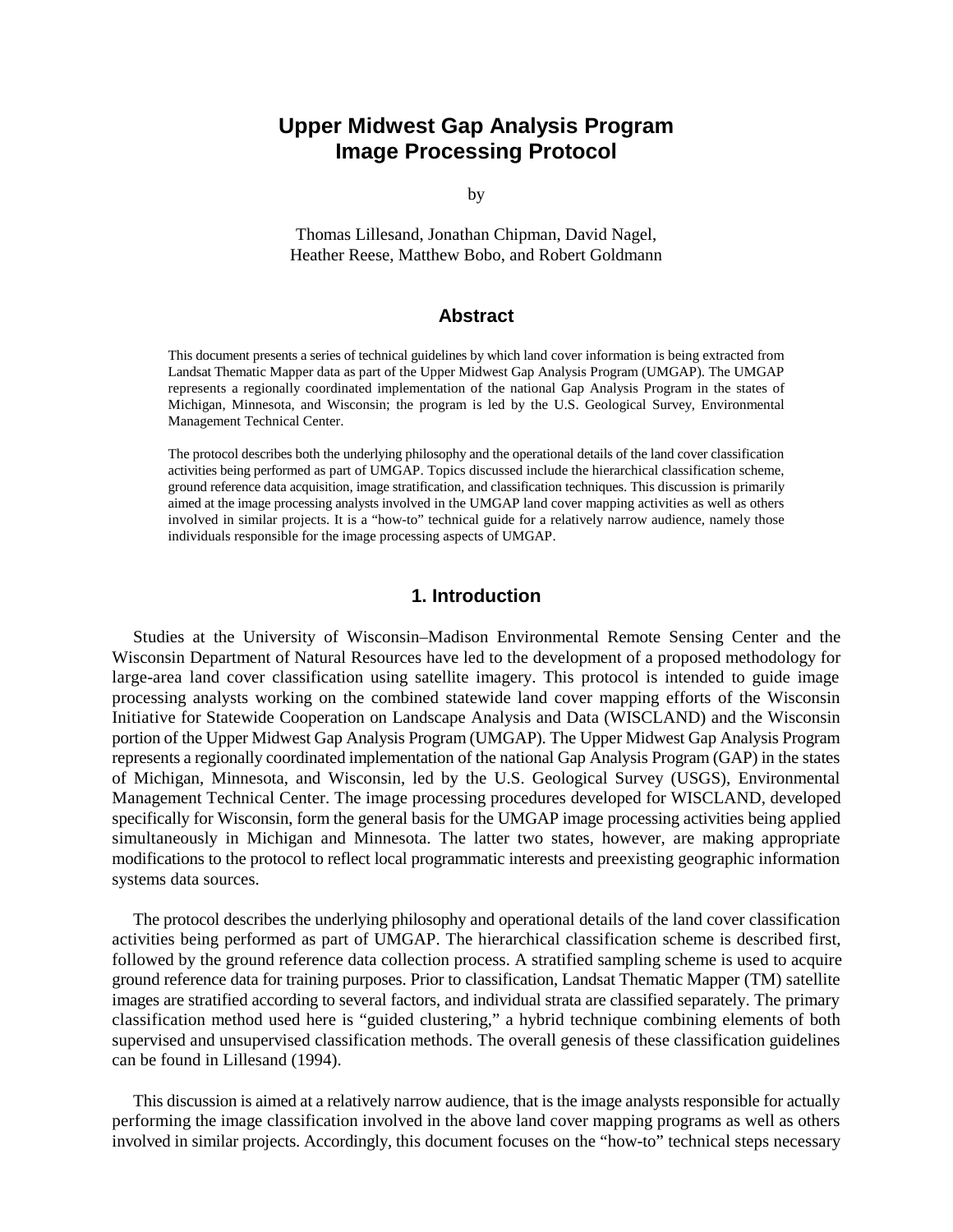### **Upper Midwest Gap Analysis Program Image Processing Protocol**

by

Thomas Lillesand, Jonathan Chipman, David Nagel, Heather Reese, Matthew Bobo, and Robert Goldmann

### **Abstract**

This document presents a series of technical guidelines by which land cover information is being extracted from Landsat Thematic Mapper data as part of the Upper Midwest Gap Analysis Program (UMGAP). The UMGAP represents a regionally coordinated implementation of the national Gap Analysis Program in the states of Michigan, Minnesota, and Wisconsin; the program is led by the U.S. Geological Survey, Environmental Management Technical Center.

The protocol describes both the underlying philosophy and the operational details of the land cover classification activities being performed as part of UMGAP. Topics discussed include the hierarchical classification scheme, ground reference data acquisition, image stratification, and classification techniques. This discussion is primarily aimed at the image processing analysts involved in the UMGAP land cover mapping activities as well as others involved in similar projects. It is a "how-to" technical guide for a relatively narrow audience, namely those individuals responsible for the image processing aspects of UMGAP.

### **1. Introduction**

Studies at the University of Wisconsin–Madison Environmental Remote Sensing Center and the Wisconsin Department of Natural Resources have led to the development of a proposed methodology for large-area land cover classification using satellite imagery. This protocol is intended to guide image processing analysts working on the combined statewide land cover mapping efforts of the Wisconsin Initiative for Statewide Cooperation on Landscape Analysis and Data (WISCLAND) and the Wisconsin portion of the Upper Midwest Gap Analysis Program (UMGAP). The Upper Midwest Gap Analysis Program represents a regionally coordinated implementation of the national Gap Analysis Program (GAP) in the states of Michigan, Minnesota, and Wisconsin, led by the U.S. Geological Survey (USGS), Environmental Management Technical Center. The image processing procedures developed for WISCLAND, developed specifically for Wisconsin, form the general basis for the UMGAP image processing activities being applied simultaneously in Michigan and Minnesota. The latter two states, however, are making appropriate modifications to the protocol to reflect local programmatic interests and preexisting geographic information systems data sources.

The protocol describes the underlying philosophy and operational details of the land cover classification activities being performed as part of UMGAP. The hierarchical classification scheme is described first, followed by the ground reference data collection process. A stratified sampling scheme is used to acquire ground reference data for training purposes. Prior to classification, Landsat Thematic Mapper (TM) satellite images are stratified according to several factors, and individual strata are classified separately. The primary classification method used here is "guided clustering," a hybrid technique combining elements of both supervised and unsupervised classification methods. The overall genesis of these classification guidelines can be found in Lillesand (1994).

This discussion is aimed at a relatively narrow audience, that is the image analysts responsible for actually performing the image classification involved in the above land cover mapping programs as well as others involved in similar projects. Accordingly, this document focuses on the "how-to" technical steps necessary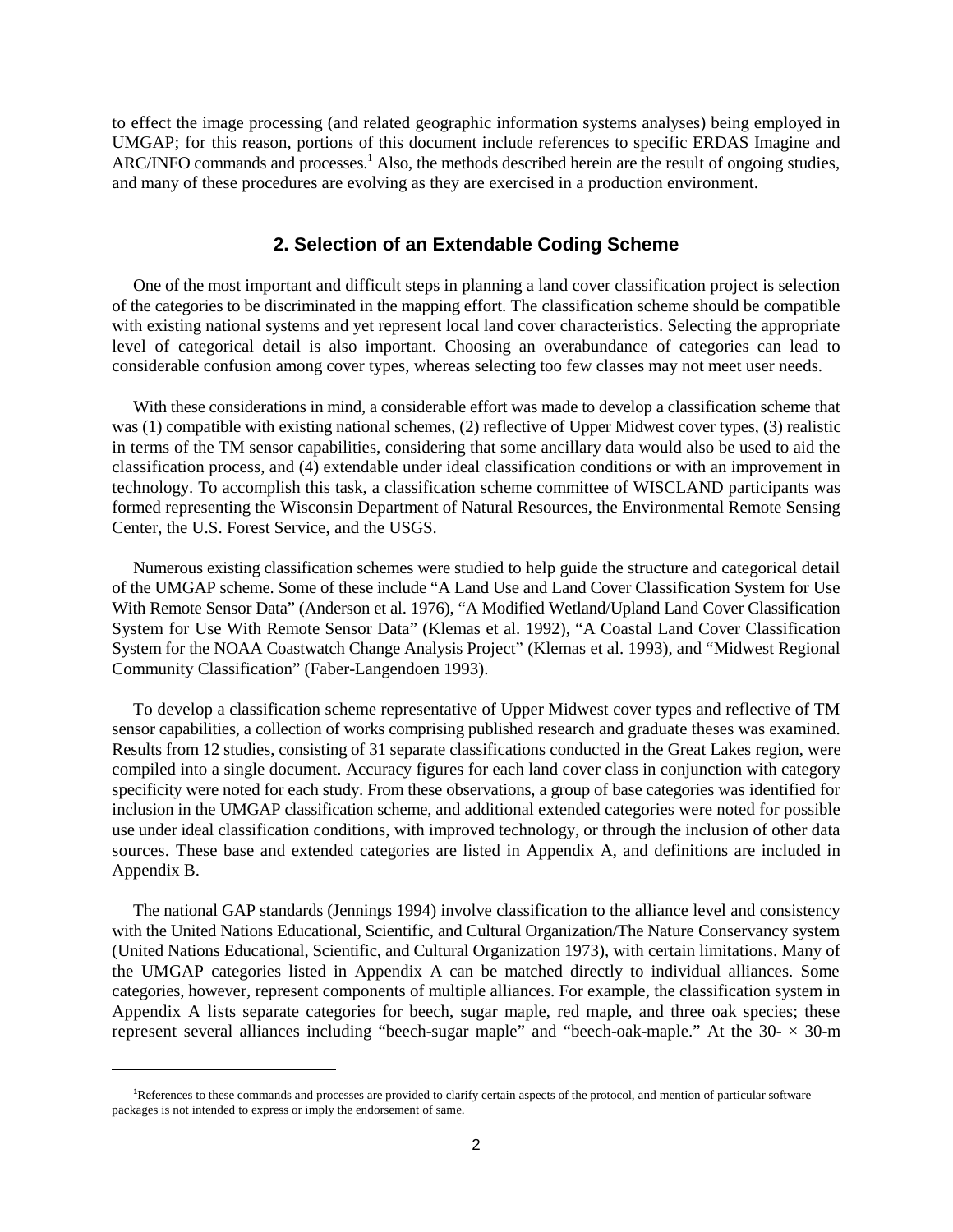to effect the image processing (and related geographic information systems analyses) being employed in UMGAP; for this reason, portions of this document include references to specific ERDAS Imagine and ARC/INFO commands and processes.<sup>1</sup> Also, the methods described herein are the result of ongoing studies, and many of these procedures are evolving as they are exercised in a production environment.

### **2. Selection of an Extendable Coding Scheme**

One of the most important and difficult steps in planning a land cover classification project is selection of the categories to be discriminated in the mapping effort. The classification scheme should be compatible with existing national systems and yet represent local land cover characteristics. Selecting the appropriate level of categorical detail is also important. Choosing an overabundance of categories can lead to considerable confusion among cover types, whereas selecting too few classes may not meet user needs.

With these considerations in mind, a considerable effort was made to develop a classification scheme that was (1) compatible with existing national schemes, (2) reflective of Upper Midwest cover types, (3) realistic in terms of the TM sensor capabilities, considering that some ancillary data would also be used to aid the classification process, and (4) extendable under ideal classification conditions or with an improvement in technology. To accomplish this task, a classification scheme committee of WISCLAND participants was formed representing the Wisconsin Department of Natural Resources, the Environmental Remote Sensing Center, the U.S. Forest Service, and the USGS.

Numerous existing classification schemes were studied to help guide the structure and categorical detail of the UMGAP scheme. Some of these include "A Land Use and Land Cover Classification System for Use With Remote Sensor Data" (Anderson et al. 1976), "A Modified Wetland/Upland Land Cover Classification System for Use With Remote Sensor Data" (Klemas et al. 1992), "A Coastal Land Cover Classification System for the NOAA Coastwatch Change Analysis Project" (Klemas et al. 1993), and "Midwest Regional Community Classification" (Faber-Langendoen 1993).

To develop a classification scheme representative of Upper Midwest cover types and reflective of TM sensor capabilities, a collection of works comprising published research and graduate theses was examined. Results from 12 studies, consisting of 31 separate classifications conducted in the Great Lakes region, were compiled into a single document. Accuracy figures for each land cover class in conjunction with category specificity were noted for each study. From these observations, a group of base categories was identified for inclusion in the UMGAP classification scheme, and additional extended categories were noted for possible use under ideal classification conditions, with improved technology, or through the inclusion of other data sources. These base and extended categories are listed in Appendix A, and definitions are included in Appendix B.

The national GAP standards (Jennings 1994) involve classification to the alliance level and consistency with the United Nations Educational, Scientific, and Cultural Organization/The Nature Conservancy system (United Nations Educational, Scientific, and Cultural Organization 1973), with certain limitations. Many of the UMGAP categories listed in Appendix A can be matched directly to individual alliances. Some categories, however, represent components of multiple alliances. For example, the classification system in Appendix A lists separate categories for beech, sugar maple, red maple, and three oak species; these represent several alliances including "beech-sugar maple" and "beech-oak-maple." At the  $30 - \times 30$ -m

<sup>&</sup>lt;sup>1</sup>References to these commands and processes are provided to clarify certain aspects of the protocol, and mention of particular software packages is not intended to express or imply the endorsement of same.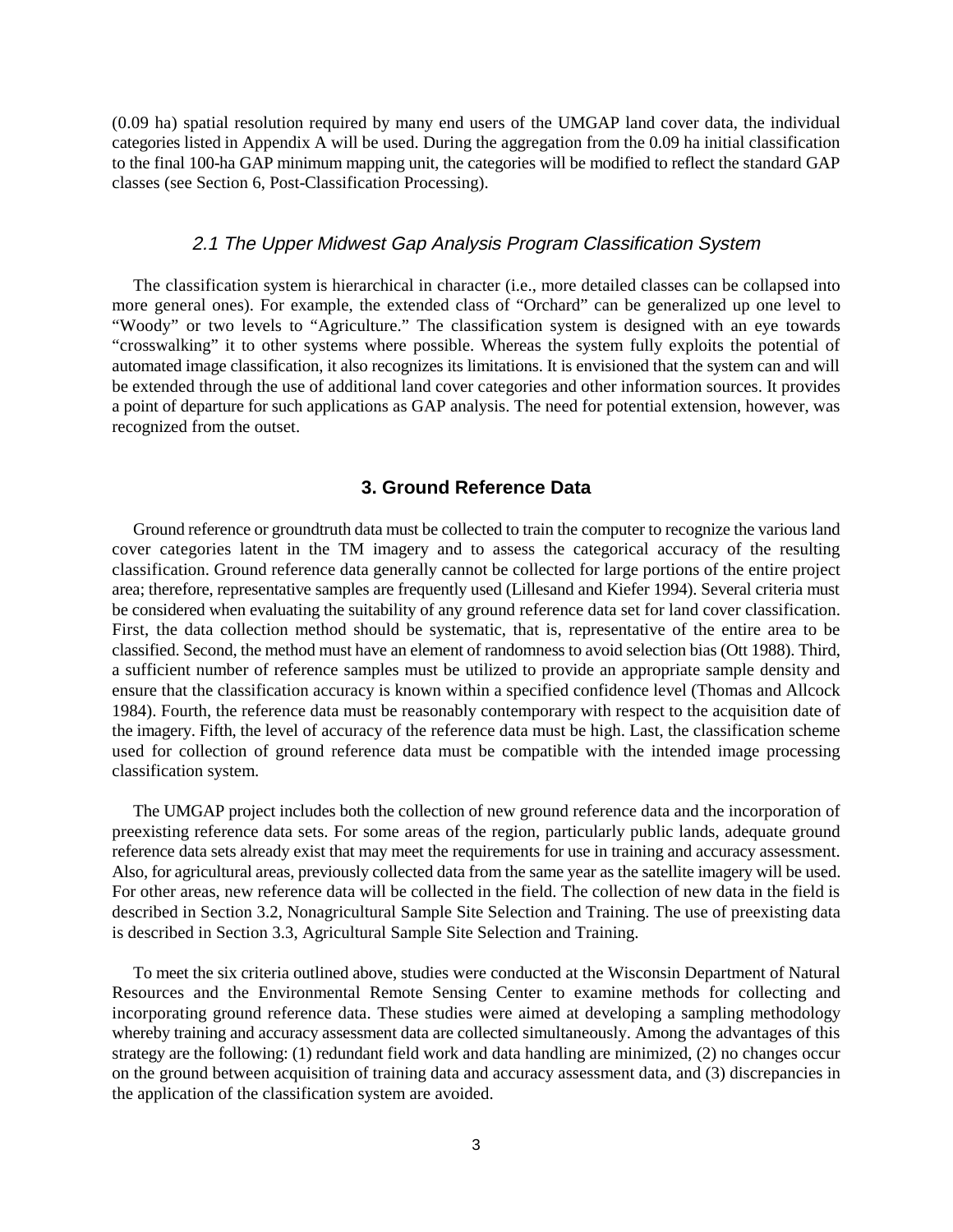(0.09 ha) spatial resolution required by many end users of the UMGAP land cover data, the individual categories listed in Appendix A will be used. During the aggregation from the 0.09 ha initial classification to the final 100-ha GAP minimum mapping unit, the categories will be modified to reflect the standard GAP classes (see Section 6, Post-Classification Processing).

### 2.1 The Upper Midwest Gap Analysis Program Classification System

The classification system is hierarchical in character (i.e., more detailed classes can be collapsed into more general ones). For example, the extended class of "Orchard" can be generalized up one level to "Woody" or two levels to "Agriculture." The classification system is designed with an eye towards "crosswalking" it to other systems where possible. Whereas the system fully exploits the potential of automated image classification, it also recognizes its limitations. It is envisioned that the system can and will be extended through the use of additional land cover categories and other information sources. It provides a point of departure for such applications as GAP analysis. The need for potential extension, however, was recognized from the outset.

### **3. Ground Reference Data**

Ground reference or groundtruth data must be collected to train the computer to recognize the various land cover categories latent in the TM imagery and to assess the categorical accuracy of the resulting classification. Ground reference data generally cannot be collected for large portions of the entire project area; therefore, representative samples are frequently used (Lillesand and Kiefer 1994). Several criteria must be considered when evaluating the suitability of any ground reference data set for land cover classification. First, the data collection method should be systematic, that is, representative of the entire area to be classified. Second, the method must have an element of randomness to avoid selection bias (Ott 1988). Third, a sufficient number of reference samples must be utilized to provide an appropriate sample density and ensure that the classification accuracy is known within a specified confidence level (Thomas and Allcock 1984). Fourth, the reference data must be reasonably contemporary with respect to the acquisition date of the imagery. Fifth, the level of accuracy of the reference data must be high. Last, the classification scheme used for collection of ground reference data must be compatible with the intended image processing classification system.

The UMGAP project includes both the collection of new ground reference data and the incorporation of preexisting reference data sets. For some areas of the region, particularly public lands, adequate ground reference data sets already exist that may meet the requirements for use in training and accuracy assessment. Also, for agricultural areas, previously collected data from the same year as the satellite imagery will be used. For other areas, new reference data will be collected in the field. The collection of new data in the field is described in Section 3.2, Nonagricultural Sample Site Selection and Training. The use of preexisting data is described in Section 3.3, Agricultural Sample Site Selection and Training.

To meet the six criteria outlined above, studies were conducted at the Wisconsin Department of Natural Resources and the Environmental Remote Sensing Center to examine methods for collecting and incorporating ground reference data. These studies were aimed at developing a sampling methodology whereby training and accuracy assessment data are collected simultaneously. Among the advantages of this strategy are the following: (1) redundant field work and data handling are minimized, (2) no changes occur on the ground between acquisition of training data and accuracy assessment data, and (3) discrepancies in the application of the classification system are avoided.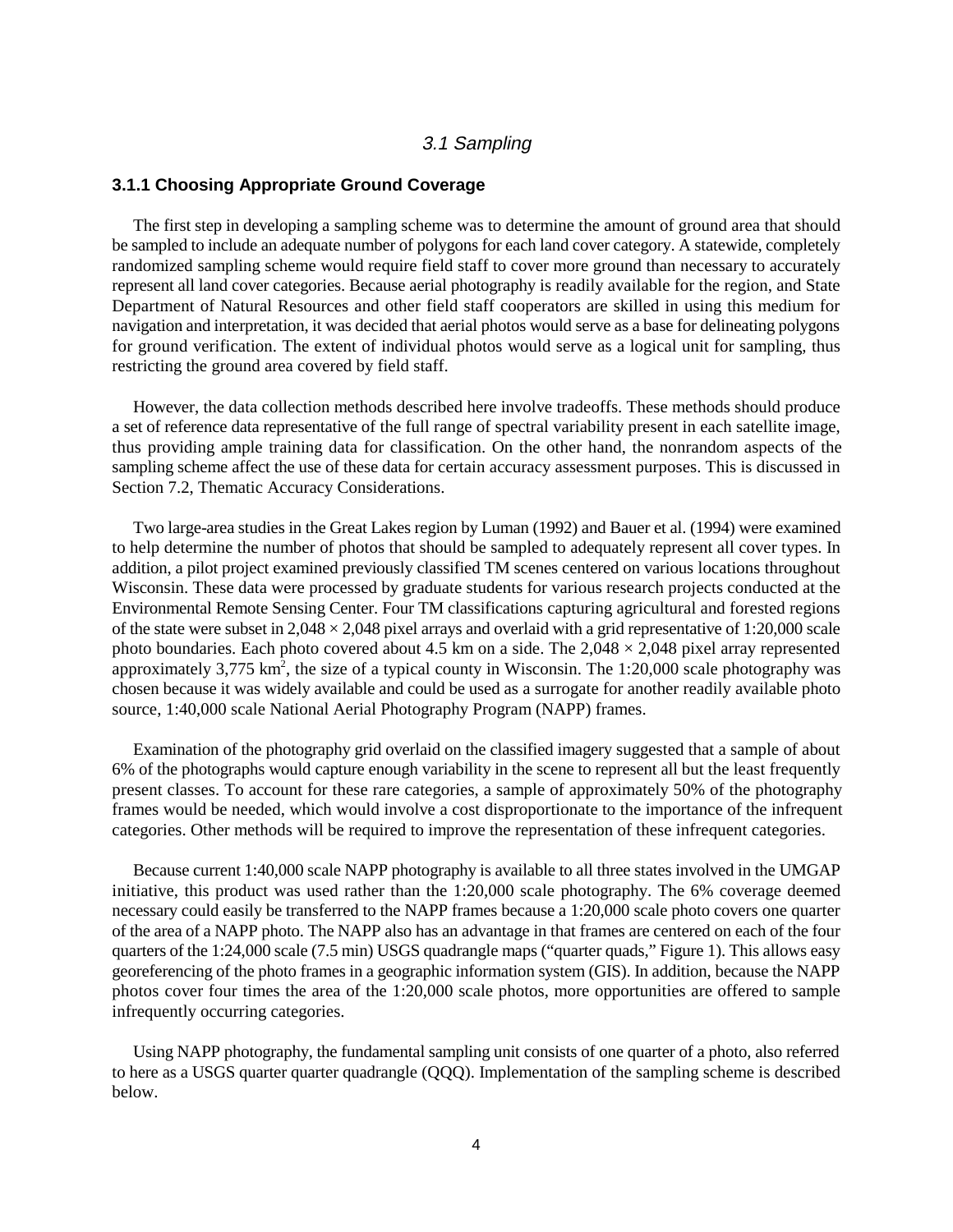### 3.1 Sampling

### **3.1.1 Choosing Appropriate Ground Coverage**

The first step in developing a sampling scheme was to determine the amount of ground area that should be sampled to include an adequate number of polygons for each land cover category. A statewide, completely randomized sampling scheme would require field staff to cover more ground than necessary to accurately represent all land cover categories. Because aerial photography is readily available for the region, and State Department of Natural Resources and other field staff cooperators are skilled in using this medium for navigation and interpretation, it was decided that aerial photos would serve as a base for delineating polygons for ground verification. The extent of individual photos would serve as a logical unit for sampling, thus restricting the ground area covered by field staff.

However, the data collection methods described here involve tradeoffs. These methods should produce a set of reference data representative of the full range of spectral variability present in each satellite image, thus providing ample training data for classification. On the other hand, the nonrandom aspects of the sampling scheme affect the use of these data for certain accuracy assessment purposes. This is discussed in Section 7.2, Thematic Accuracy Considerations.

Two large-area studies in the Great Lakes region by Luman (1992) and Bauer et al. (1994) were examined to help determine the number of photos that should be sampled to adequately represent all cover types. In addition, a pilot project examined previously classified TM scenes centered on various locations throughout Wisconsin. These data were processed by graduate students for various research projects conducted at the Environmental Remote Sensing Center. Four TM classifications capturing agricultural and forested regions of the state were subset in  $2,048 \times 2,048$  pixel arrays and overlaid with a grid representative of 1:20,000 scale photo boundaries. Each photo covered about 4.5 km on a side. The  $2,048 \times 2,048$  pixel array represented approximately 3,775 km<sup>2</sup>, the size of a typical county in Wisconsin. The 1:20,000 scale photography was chosen because it was widely available and could be used as a surrogate for another readily available photo source, 1:40,000 scale National Aerial Photography Program (NAPP) frames.

Examination of the photography grid overlaid on the classified imagery suggested that a sample of about 6% of the photographs would capture enough variability in the scene to represent all but the least frequently present classes. To account for these rare categories, a sample of approximately 50% of the photography frames would be needed, which would involve a cost disproportionate to the importance of the infrequent categories. Other methods will be required to improve the representation of these infrequent categories.

Because current 1:40,000 scale NAPP photography is available to all three states involved in the UMGAP initiative, this product was used rather than the 1:20,000 scale photography. The 6% coverage deemed necessary could easily be transferred to the NAPP frames because a 1:20,000 scale photo covers one quarter of the area of a NAPP photo. The NAPP also has an advantage in that frames are centered on each of the four quarters of the 1:24,000 scale (7.5 min) USGS quadrangle maps ("quarter quads," Figure 1). This allows easy georeferencing of the photo frames in a geographic information system (GIS). In addition, because the NAPP photos cover four times the area of the 1:20,000 scale photos, more opportunities are offered to sample infrequently occurring categories.

Using NAPP photography, the fundamental sampling unit consists of one quarter of a photo, also referred to here as a USGS quarter quarter quadrangle (QQQ). Implementation of the sampling scheme is described below.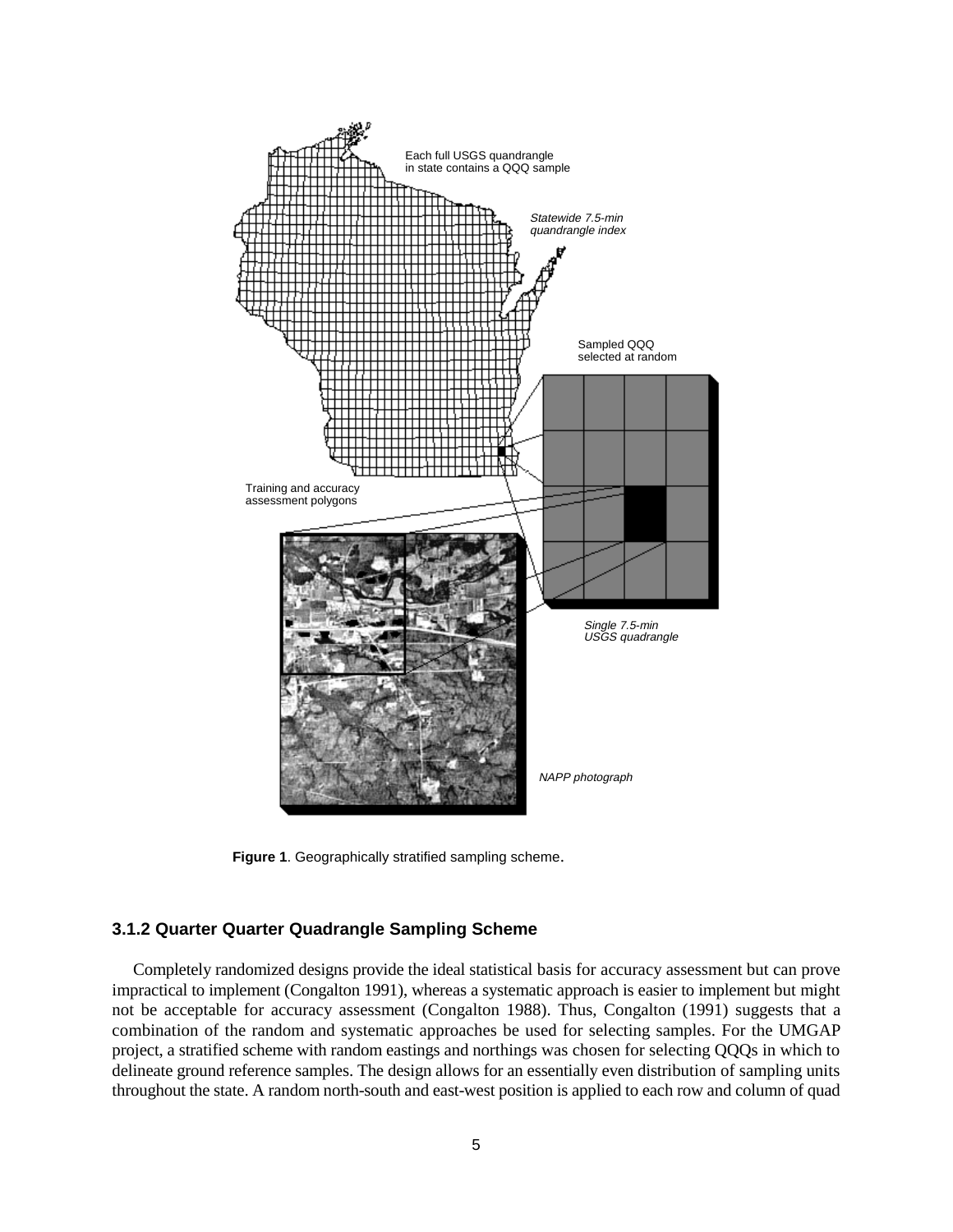

**Figure 1**. Geographically stratified sampling scheme.

### **3.1.2 Quarter Quarter Quadrangle Sampling Scheme**

Completely randomized designs provide the ideal statistical basis for accuracy assessment but can prove impractical to implement (Congalton 1991), whereas a systematic approach is easier to implement but might not be acceptable for accuracy assessment (Congalton 1988). Thus, Congalton (1991) suggests that a combination of the random and systematic approaches be used for selecting samples. For the UMGAP project, a stratified scheme with random eastings and northings was chosen for selecting QQQs in which to delineate ground reference samples. The design allows for an essentially even distribution of sampling units throughout the state. A random north-south and east-west position is applied to each row and column of quad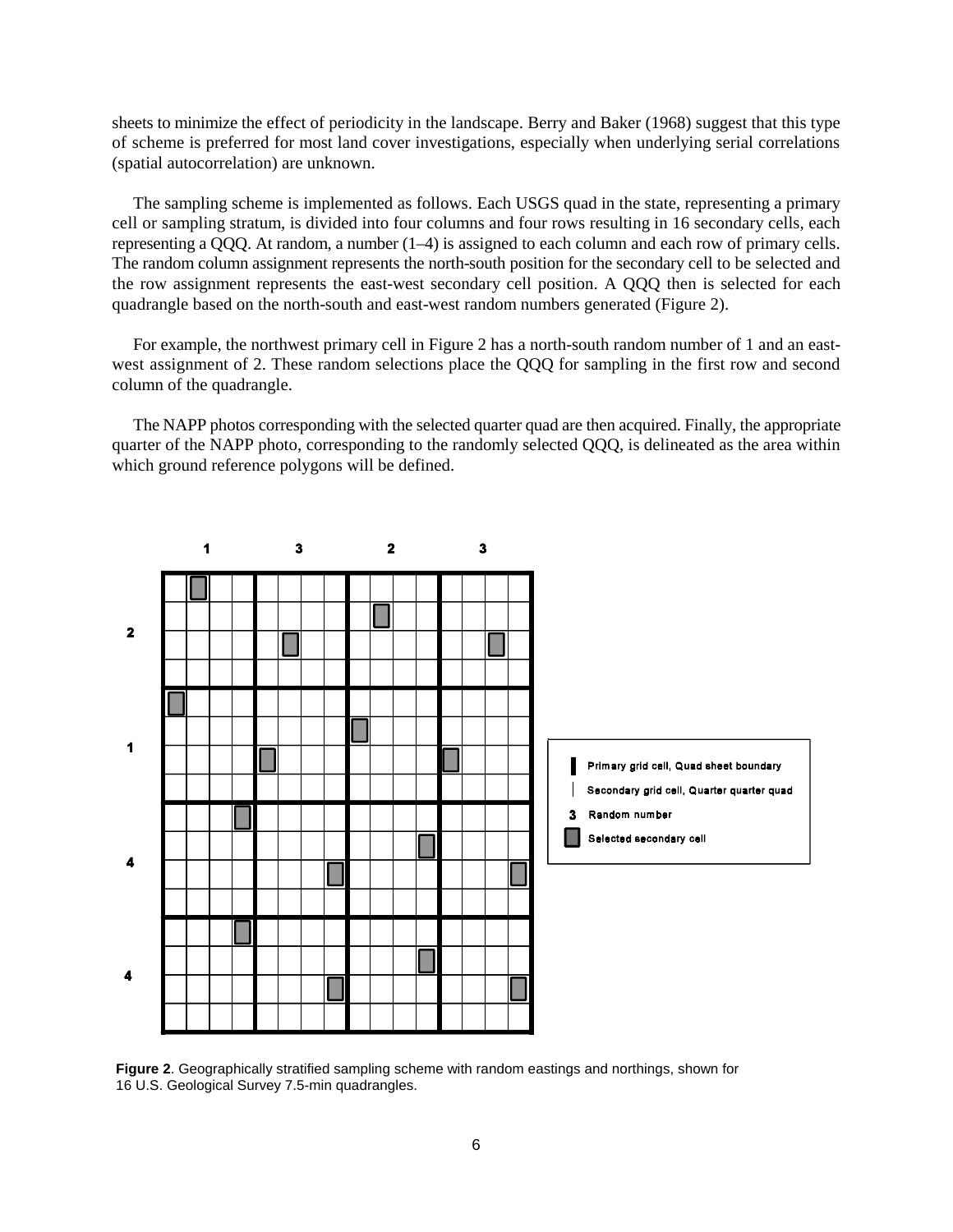sheets to minimize the effect of periodicity in the landscape. Berry and Baker (1968) suggest that this type of scheme is preferred for most land cover investigations, especially when underlying serial correlations (spatial autocorrelation) are unknown.

The sampling scheme is implemented as follows. Each USGS quad in the state, representing a primary cell or sampling stratum, is divided into four columns and four rows resulting in 16 secondary cells, each representing a QQQ. At random, a number (1–4) is assigned to each column and each row of primary cells. The random column assignment represents the north-south position for the secondary cell to be selected and the row assignment represents the east-west secondary cell position. A QQQ then is selected for each quadrangle based on the north-south and east-west random numbers generated (Figure 2).

For example, the northwest primary cell in Figure 2 has a north-south random number of 1 and an eastwest assignment of 2. These random selections place the QQQ for sampling in the first row and second column of the quadrangle.

The NAPP photos corresponding with the selected quarter quad are then acquired. Finally, the appropriate quarter of the NAPP photo, corresponding to the randomly selected QQQ, is delineated as the area within which ground reference polygons will be defined.



**Figure 2**. Geographically stratified sampling scheme with random eastings and northings, shown for 16 U.S. Geological Survey 7.5-min quadrangles.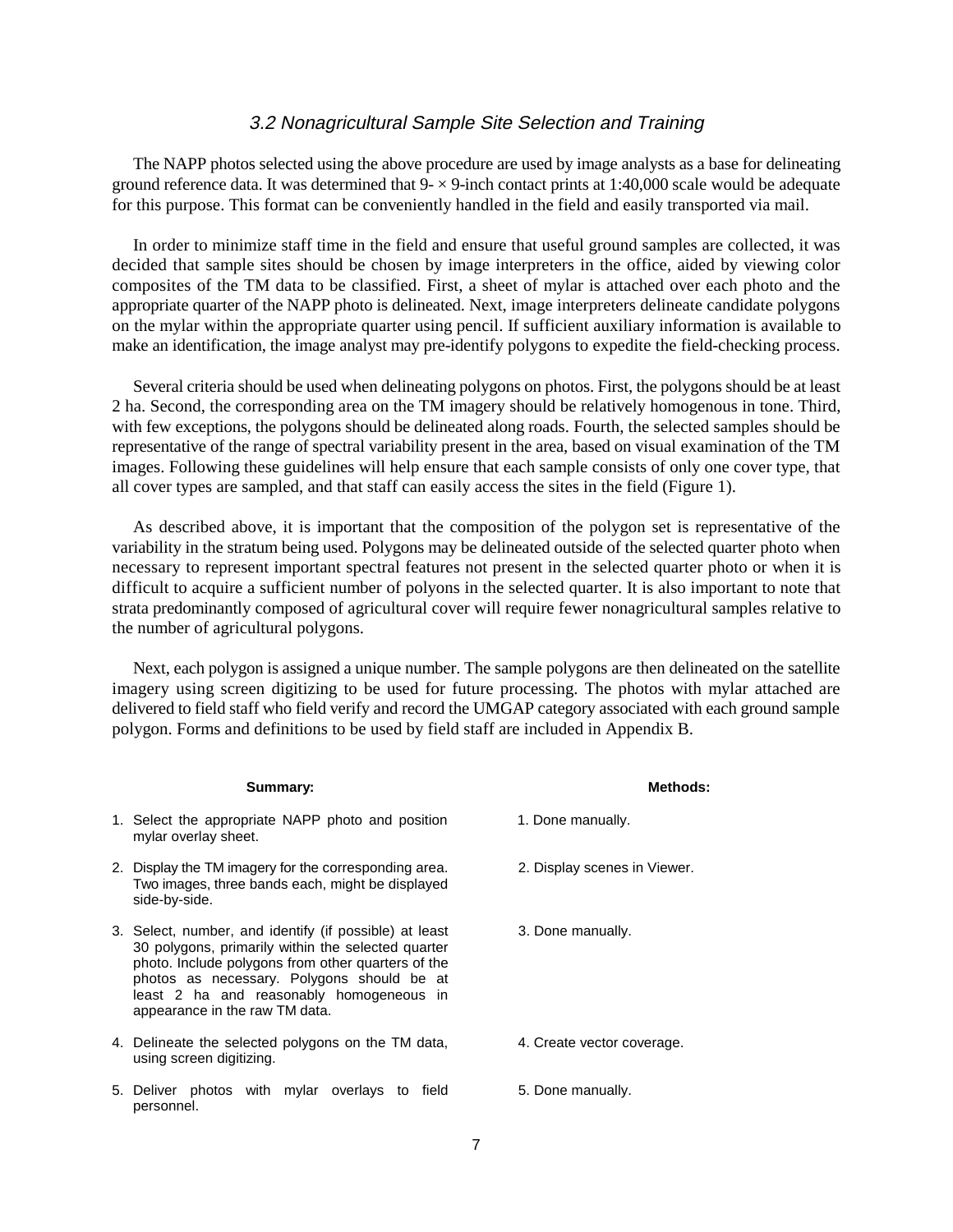### 3.2 Nonagricultural Sample Site Selection and Training

The NAPP photos selected using the above procedure are used by image analysts as a base for delineating ground reference data. It was determined that  $9 - \times 9$ -inch contact prints at 1:40,000 scale would be adequate for this purpose. This format can be conveniently handled in the field and easily transported via mail.

In order to minimize staff time in the field and ensure that useful ground samples are collected, it was decided that sample sites should be chosen by image interpreters in the office, aided by viewing color composites of the TM data to be classified. First, a sheet of mylar is attached over each photo and the appropriate quarter of the NAPP photo is delineated. Next, image interpreters delineate candidate polygons on the mylar within the appropriate quarter using pencil. If sufficient auxiliary information is available to make an identification, the image analyst may pre-identify polygons to expedite the field-checking process.

Several criteria should be used when delineating polygons on photos. First, the polygons should be at least 2 ha. Second, the corresponding area on the TM imagery should be relatively homogenous in tone. Third, with few exceptions, the polygons should be delineated along roads. Fourth, the selected samples should be representative of the range of spectral variability present in the area, based on visual examination of the TM images. Following these guidelines will help ensure that each sample consists of only one cover type, that all cover types are sampled, and that staff can easily access the sites in the field (Figure 1).

As described above, it is important that the composition of the polygon set is representative of the variability in the stratum being used. Polygons may be delineated outside of the selected quarter photo when necessary to represent important spectral features not present in the selected quarter photo or when it is difficult to acquire a sufficient number of polyons in the selected quarter. It is also important to note that strata predominantly composed of agricultural cover will require fewer nonagricultural samples relative to the number of agricultural polygons.

Next, each polygon is assigned a unique number. The sample polygons are then delineated on the satellite imagery using screen digitizing to be used for future processing. The photos with mylar attached are delivered to field staff who field verify and record the UMGAP category associated with each ground sample polygon. Forms and definitions to be used by field staff are included in Appendix B.

| Summary:                                                                                                                                                                                                                                                                                       | <b>Methods:</b>              |
|------------------------------------------------------------------------------------------------------------------------------------------------------------------------------------------------------------------------------------------------------------------------------------------------|------------------------------|
| 1. Select the appropriate NAPP photo and position<br>mylar overlay sheet.                                                                                                                                                                                                                      | 1. Done manually.            |
| 2. Display the TM imagery for the corresponding area.<br>Two images, three bands each, might be displayed<br>side-by-side.                                                                                                                                                                     | 2. Display scenes in Viewer. |
| 3. Select, number, and identify (if possible) at least<br>30 polygons, primarily within the selected quarter<br>photo. Include polygons from other quarters of the<br>photos as necessary. Polygons should be at<br>least 2 ha and reasonably homogeneous in<br>appearance in the raw TM data. | 3. Done manually.            |
| 4. Delineate the selected polygons on the TM data,<br>using screen digitizing.                                                                                                                                                                                                                 | 4. Create vector coverage.   |
| 5. Deliver photos with mylar overlays to field<br>personnel.                                                                                                                                                                                                                                   | 5. Done manually.            |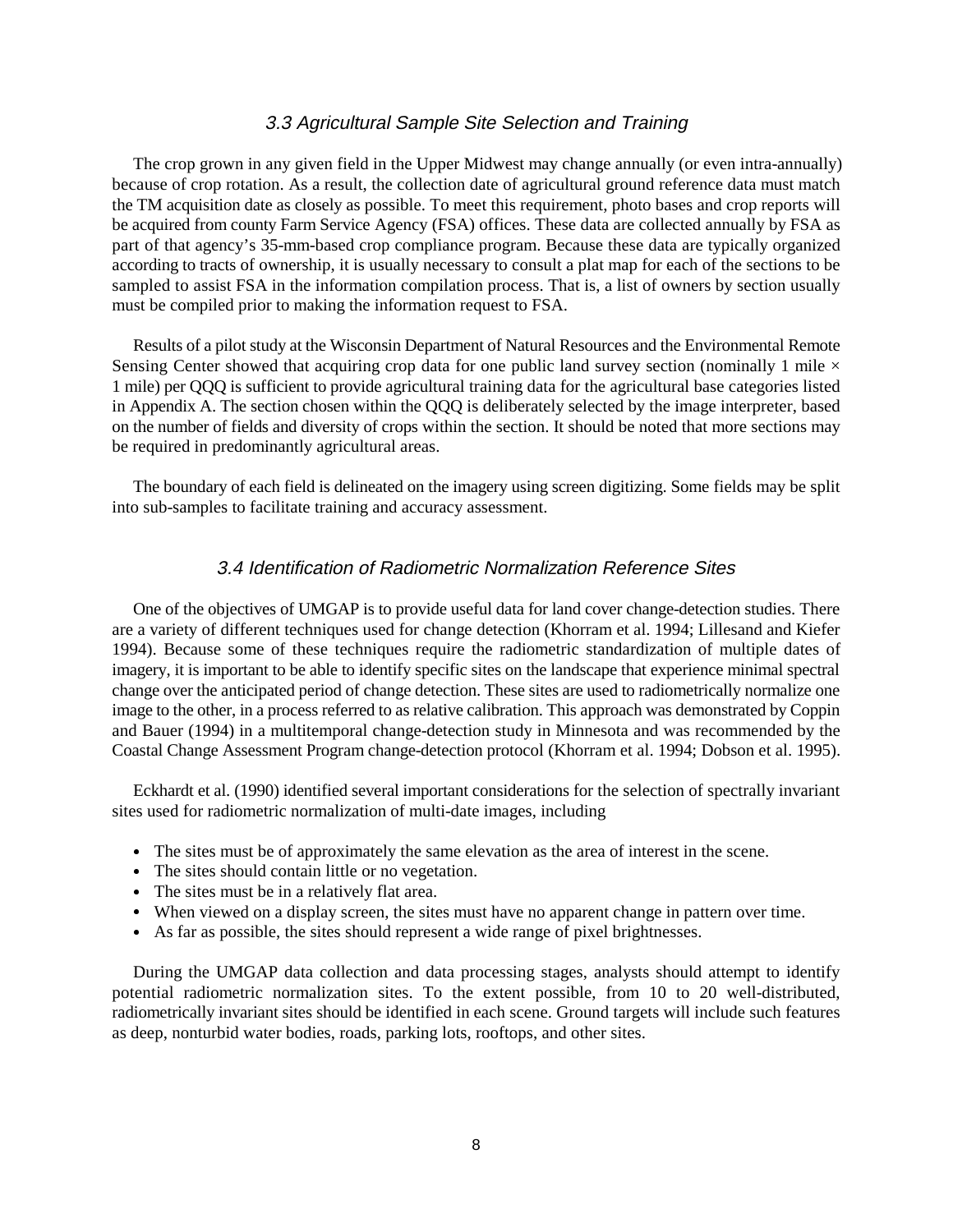### 3.3 Agricultural Sample Site Selection and Training

The crop grown in any given field in the Upper Midwest may change annually (or even intra-annually) because of crop rotation. As a result, the collection date of agricultural ground reference data must match the TM acquisition date as closely as possible. To meet this requirement, photo bases and crop reports will be acquired from county Farm Service Agency (FSA) offices. These data are collected annually by FSA as part of that agency's 35-mm-based crop compliance program. Because these data are typically organized according to tracts of ownership, it is usually necessary to consult a plat map for each of the sections to be sampled to assist FSA in the information compilation process. That is, a list of owners by section usually must be compiled prior to making the information request to FSA.

Results of a pilot study at the Wisconsin Department of Natural Resources and the Environmental Remote Sensing Center showed that acquiring crop data for one public land survey section (nominally 1 mile  $\times$ 1 mile) per QQQ is sufficient to provide agricultural training data for the agricultural base categories listed in Appendix A. The section chosen within the QQQ is deliberately selected by the image interpreter, based on the number of fields and diversity of crops within the section. It should be noted that more sections may be required in predominantly agricultural areas.

The boundary of each field is delineated on the imagery using screen digitizing. Some fields may be split into sub-samples to facilitate training and accuracy assessment.

### 3.4 Identification of Radiometric Normalization Reference Sites

One of the objectives of UMGAP is to provide useful data for land cover change-detection studies. There are a variety of different techniques used for change detection (Khorram et al. 1994; Lillesand and Kiefer 1994). Because some of these techniques require the radiometric standardization of multiple dates of imagery, it is important to be able to identify specific sites on the landscape that experience minimal spectral change over the anticipated period of change detection. These sites are used to radiometrically normalize one image to the other, in a process referred to as relative calibration. This approach was demonstrated by Coppin and Bauer (1994) in a multitemporal change-detection study in Minnesota and was recommended by the Coastal Change Assessment Program change-detection protocol (Khorram et al. 1994; Dobson et al. 1995).

Eckhardt et al. (1990) identified several important considerations for the selection of spectrally invariant sites used for radiometric normalization of multi-date images, including

- The sites must be of approximately the same elevation as the area of interest in the scene.
- The sites should contain little or no vegetation.
- The sites should contain fittle of no veget<br>• The sites must be in a relatively flat area.
- When viewed on a display screen, the sites must have no apparent change in pattern over time.
- As far as possible, the sites should represent a wide range of pixel brightnesses.

During the UMGAP data collection and data processing stages, analysts should attempt to identify potential radiometric normalization sites. To the extent possible, from 10 to 20 well-distributed, radiometrically invariant sites should be identified in each scene. Ground targets will include such features as deep, nonturbid water bodies, roads, parking lots, rooftops, and other sites.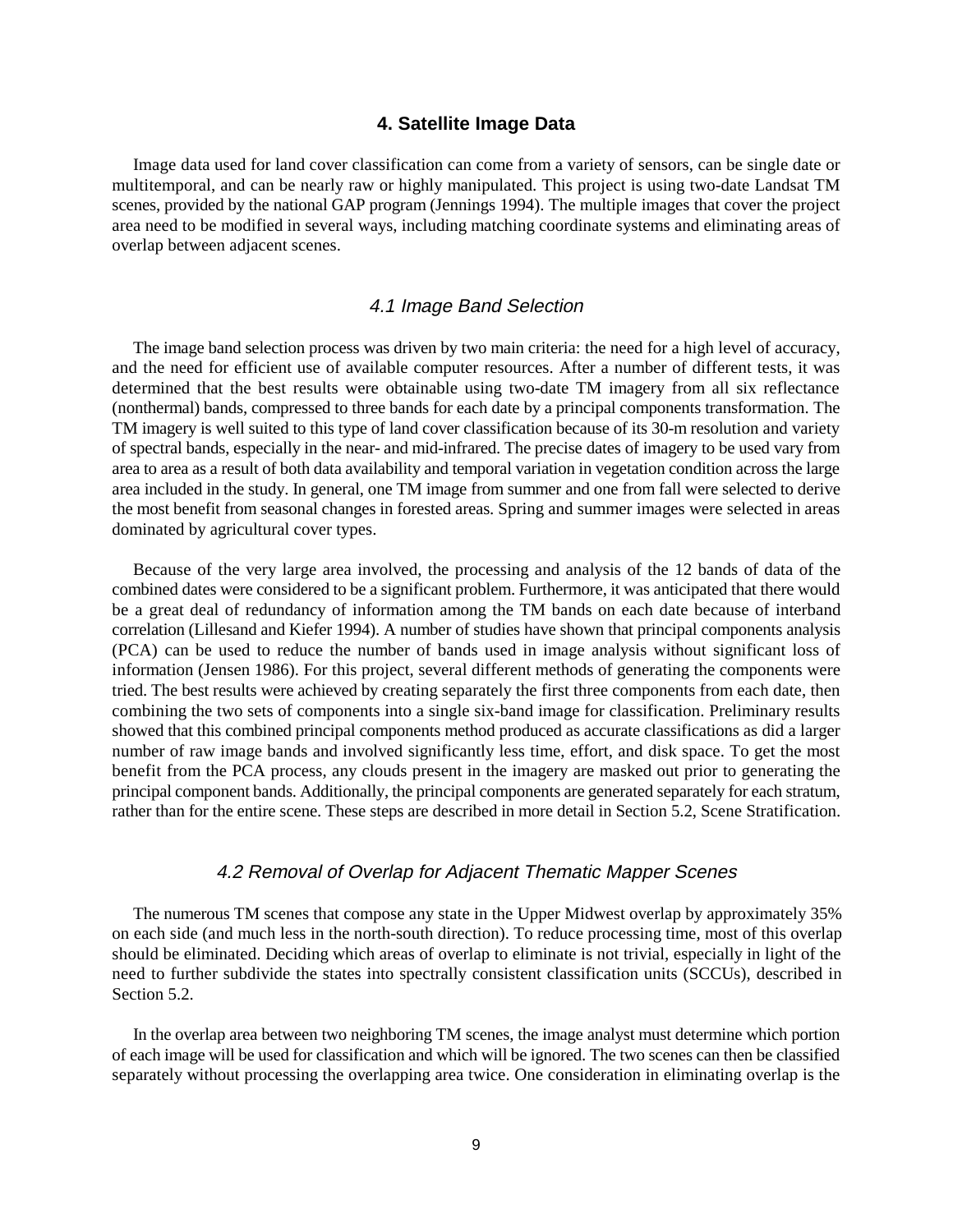### **4. Satellite Image Data**

Image data used for land cover classification can come from a variety of sensors, can be single date or multitemporal, and can be nearly raw or highly manipulated. This project is using two-date Landsat TM scenes, provided by the national GAP program (Jennings 1994). The multiple images that cover the project area need to be modified in several ways, including matching coordinate systems and eliminating areas of overlap between adjacent scenes.

### 4.1 Image Band Selection

The image band selection process was driven by two main criteria: the need for a high level of accuracy, and the need for efficient use of available computer resources. After a number of different tests, it was determined that the best results were obtainable using two-date TM imagery from all six reflectance (nonthermal) bands, compressed to three bands for each date by a principal components transformation. The TM imagery is well suited to this type of land cover classification because of its 30-m resolution and variety of spectral bands, especially in the near- and mid-infrared. The precise dates of imagery to be used vary from area to area as a result of both data availability and temporal variation in vegetation condition across the large area included in the study. In general, one TM image from summer and one from fall were selected to derive the most benefit from seasonal changes in forested areas. Spring and summer images were selected in areas dominated by agricultural cover types.

Because of the very large area involved, the processing and analysis of the 12 bands of data of the combined dates were considered to be a significant problem. Furthermore, it was anticipated that there would be a great deal of redundancy of information among the TM bands on each date because of interband correlation (Lillesand and Kiefer 1994). A number of studies have shown that principal components analysis (PCA) can be used to reduce the number of bands used in image analysis without significant loss of information (Jensen 1986). For this project, several different methods of generating the components were tried. The best results were achieved by creating separately the first three components from each date, then combining the two sets of components into a single six-band image for classification. Preliminary results showed that this combined principal components method produced as accurate classifications as did a larger number of raw image bands and involved significantly less time, effort, and disk space. To get the most benefit from the PCA process, any clouds present in the imagery are masked out prior to generating the principal component bands. Additionally, the principal components are generated separately for each stratum, rather than for the entire scene. These steps are described in more detail in Section 5.2, Scene Stratification.

### 4.2 Removal of Overlap for Adjacent Thematic Mapper Scenes

The numerous TM scenes that compose any state in the Upper Midwest overlap by approximately 35% on each side (and much less in the north-south direction). To reduce processing time, most of this overlap should be eliminated. Deciding which areas of overlap to eliminate is not trivial, especially in light of the need to further subdivide the states into spectrally consistent classification units (SCCUs), described in Section 5.2.

In the overlap area between two neighboring TM scenes, the image analyst must determine which portion of each image will be used for classification and which will be ignored. The two scenes can then be classified separately without processing the overlapping area twice. One consideration in eliminating overlap is the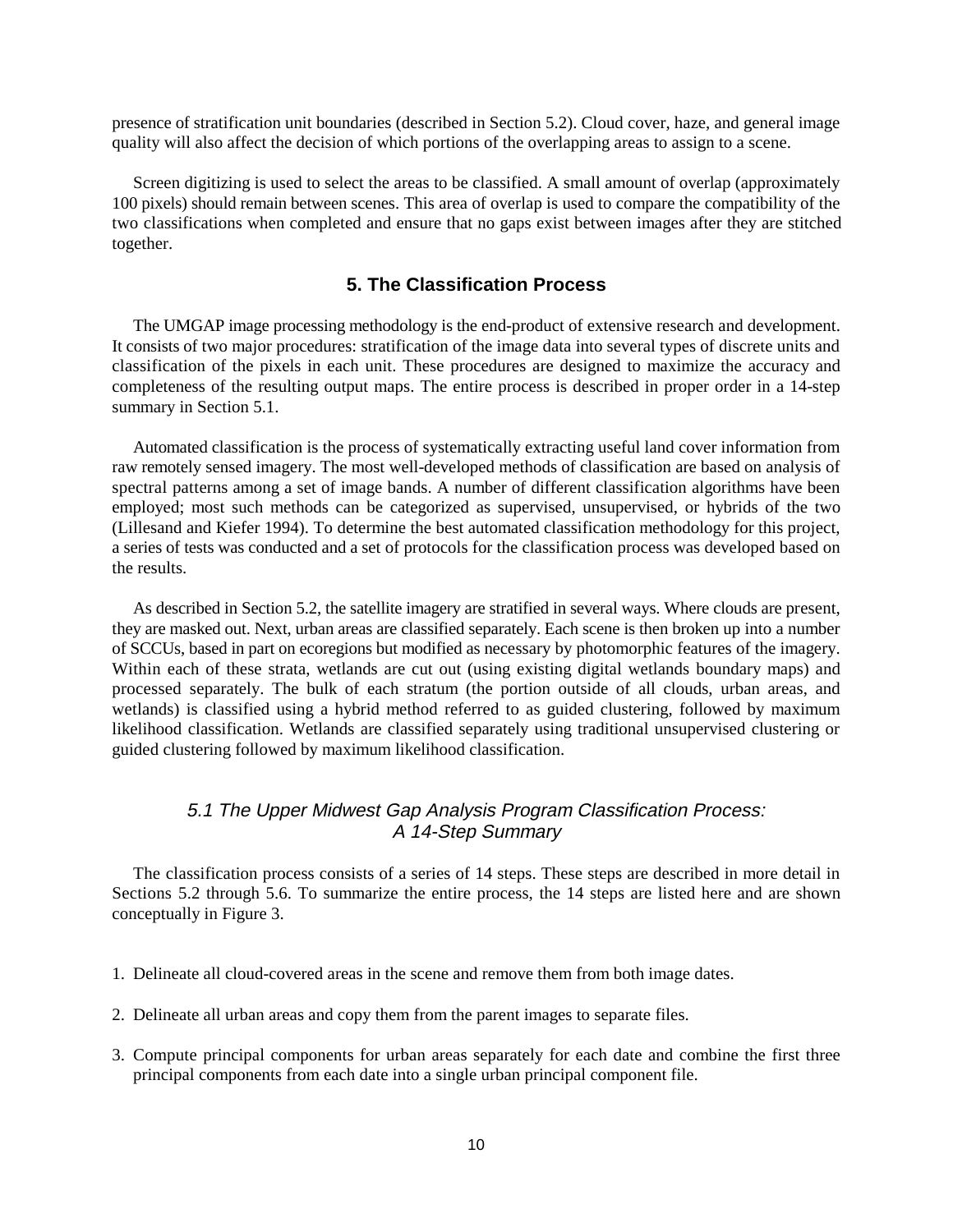presence of stratification unit boundaries (described in Section 5.2). Cloud cover, haze, and general image quality will also affect the decision of which portions of the overlapping areas to assign to a scene.

Screen digitizing is used to select the areas to be classified. A small amount of overlap (approximately 100 pixels) should remain between scenes. This area of overlap is used to compare the compatibility of the two classifications when completed and ensure that no gaps exist between images after they are stitched together.

### **5. The Classification Process**

The UMGAP image processing methodology is the end-product of extensive research and development. It consists of two major procedures: stratification of the image data into several types of discrete units and classification of the pixels in each unit. These procedures are designed to maximize the accuracy and completeness of the resulting output maps. The entire process is described in proper order in a 14-step summary in Section 5.1.

Automated classification is the process of systematically extracting useful land cover information from raw remotely sensed imagery. The most well-developed methods of classification are based on analysis of spectral patterns among a set of image bands. A number of different classification algorithms have been employed; most such methods can be categorized as supervised, unsupervised, or hybrids of the two (Lillesand and Kiefer 1994). To determine the best automated classification methodology for this project, a series of tests was conducted and a set of protocols for the classification process was developed based on the results.

As described in Section 5.2, the satellite imagery are stratified in several ways. Where clouds are present, they are masked out. Next, urban areas are classified separately. Each scene is then broken up into a number of SCCUs, based in part on ecoregions but modified as necessary by photomorphic features of the imagery. Within each of these strata, wetlands are cut out (using existing digital wetlands boundary maps) and processed separately. The bulk of each stratum (the portion outside of all clouds, urban areas, and wetlands) is classified using a hybrid method referred to as guided clustering, followed by maximum likelihood classification. Wetlands are classified separately using traditional unsupervised clustering or guided clustering followed by maximum likelihood classification.

### 5.1 The Upper Midwest Gap Analysis Program Classification Process: A 14-Step Summary

The classification process consists of a series of 14 steps. These steps are described in more detail in Sections 5.2 through 5.6. To summarize the entire process, the 14 steps are listed here and are shown conceptually in Figure 3.

- 1. Delineate all cloud-covered areas in the scene and remove them from both image dates.
- 2. Delineate all urban areas and copy them from the parent images to separate files.
- 3. Compute principal components for urban areas separately for each date and combine the first three principal components from each date into a single urban principal component file.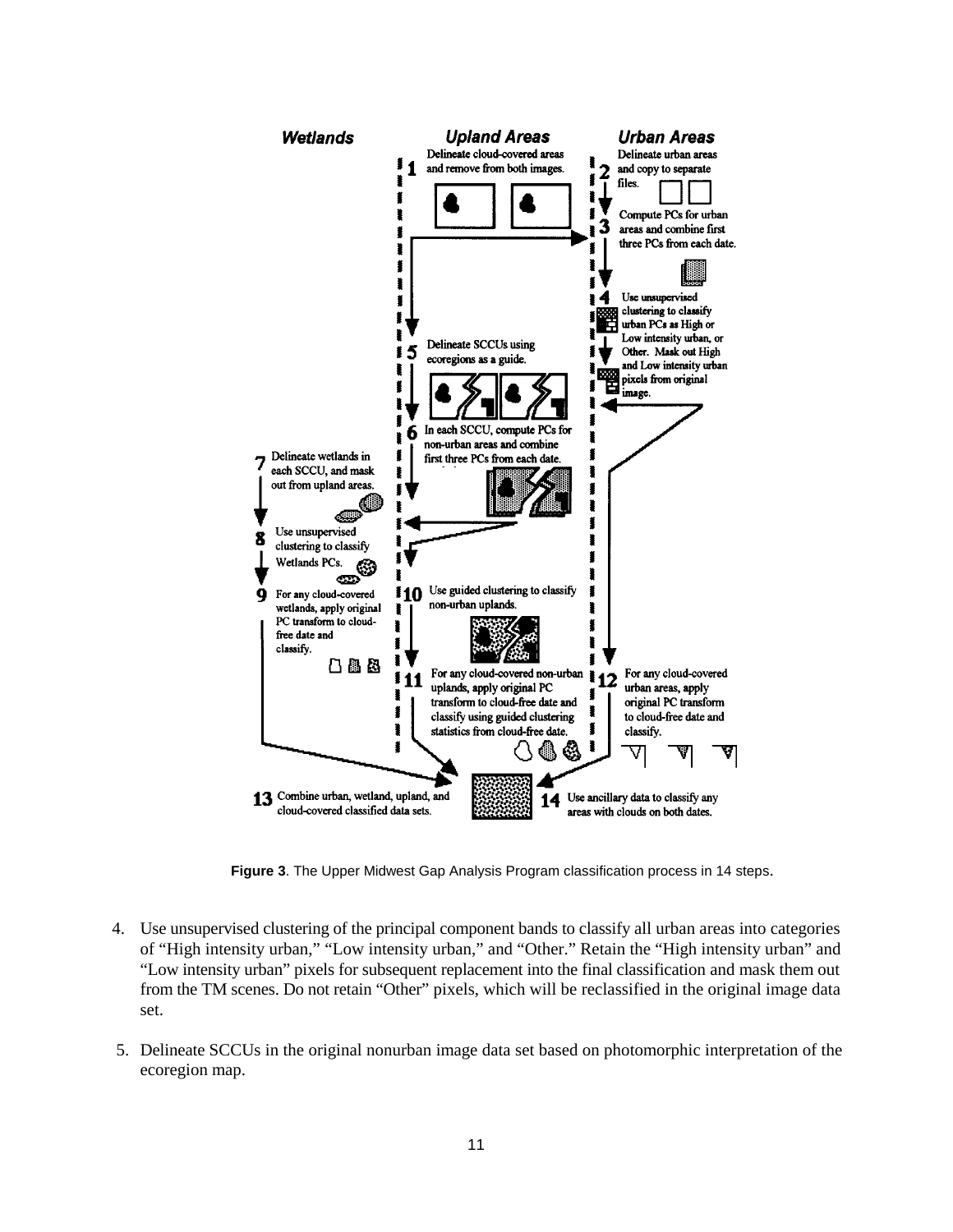

**Figure 3**. The Upper Midwest Gap Analysis Program classification process in 14 steps.

- 4. Use unsupervised clustering of the principal component bands to classify all urban areas into categories of "High intensity urban," "Low intensity urban," and "Other." Retain the "High intensity urban" and "Low intensity urban" pixels for subsequent replacement into the final classification and mask them out from the TM scenes. Do not retain "Other" pixels, which will be reclassified in the original image data set.
- 5. Delineate SCCUs in the original nonurban image data set based on photomorphic interpretation of the ecoregion map.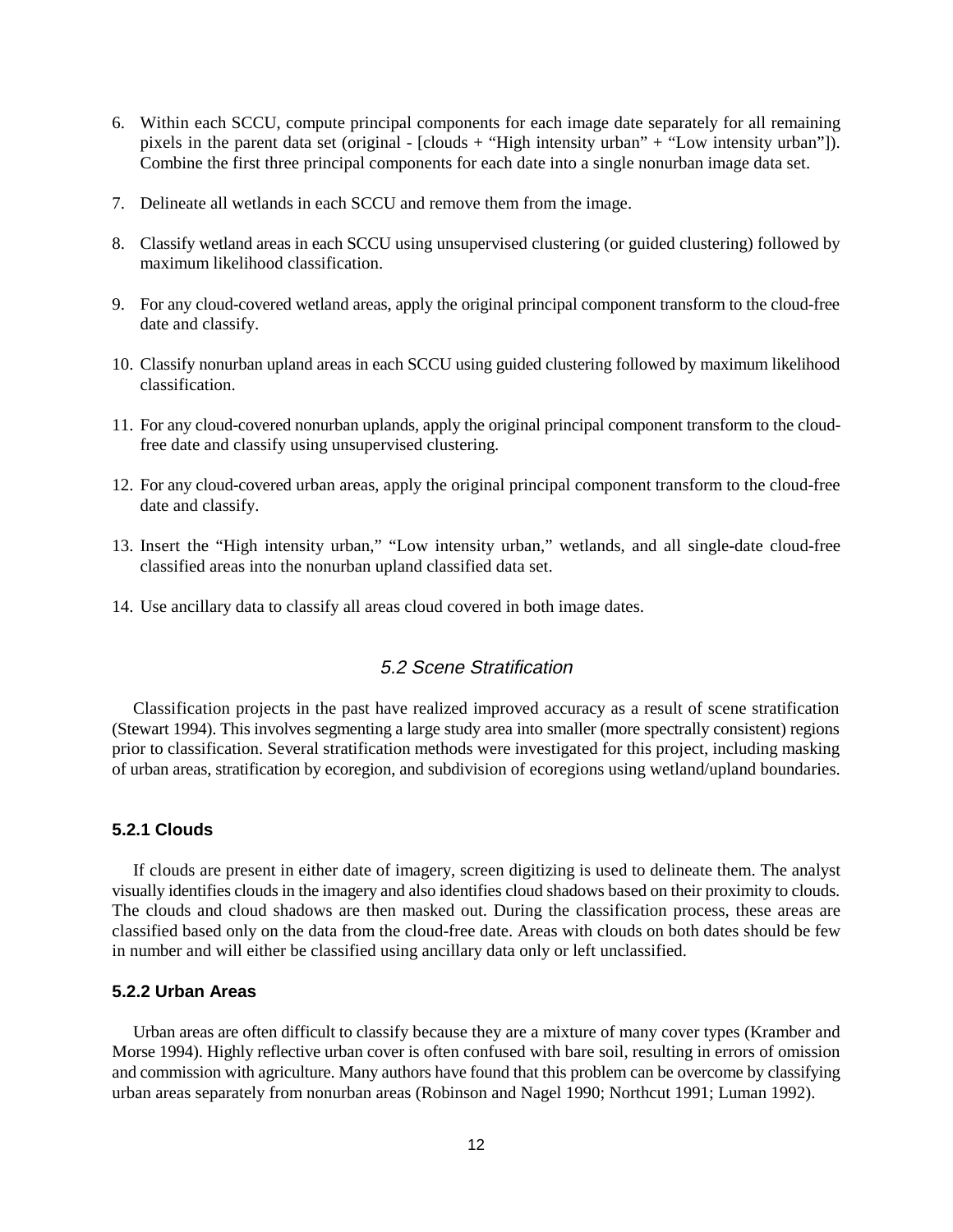- 6. Within each SCCU, compute principal components for each image date separately for all remaining pixels in the parent data set (original - [clouds + "High intensity urban" + "Low intensity urban"]). Combine the first three principal components for each date into a single nonurban image data set.
- 7. Delineate all wetlands in each SCCU and remove them from the image.
- 8. Classify wetland areas in each SCCU using unsupervised clustering (or guided clustering) followed by maximum likelihood classification.
- 9. For any cloud-covered wetland areas, apply the original principal component transform to the cloud-free date and classify.
- 10. Classify nonurban upland areas in each SCCU using guided clustering followed by maximum likelihood classification.
- 11. For any cloud-covered nonurban uplands, apply the original principal component transform to the cloudfree date and classify using unsupervised clustering.
- 12. For any cloud-covered urban areas, apply the original principal component transform to the cloud-free date and classify.
- 13. Insert the "High intensity urban," "Low intensity urban," wetlands, and all single-date cloud-free classified areas into the nonurban upland classified data set.
- 14. Use ancillary data to classify all areas cloud covered in both image dates.

### 5.2 Scene Stratification

Classification projects in the past have realized improved accuracy as a result of scene stratification (Stewart 1994). This involves segmenting a large study area into smaller (more spectrally consistent) regions prior to classification. Several stratification methods were investigated for this project, including masking of urban areas, stratification by ecoregion, and subdivision of ecoregions using wetland/upland boundaries.

### **5.2.1 Clouds**

If clouds are present in either date of imagery, screen digitizing is used to delineate them. The analyst visually identifies clouds in the imagery and also identifies cloud shadows based on their proximity to clouds. The clouds and cloud shadows are then masked out. During the classification process, these areas are classified based only on the data from the cloud-free date. Areas with clouds on both dates should be few in number and will either be classified using ancillary data only or left unclassified.

### **5.2.2 Urban Areas**

Urban areas are often difficult to classify because they are a mixture of many cover types (Kramber and Morse 1994). Highly reflective urban cover is often confused with bare soil, resulting in errors of omission and commission with agriculture. Many authors have found that this problem can be overcome by classifying urban areas separately from nonurban areas (Robinson and Nagel 1990; Northcut 1991; Luman 1992).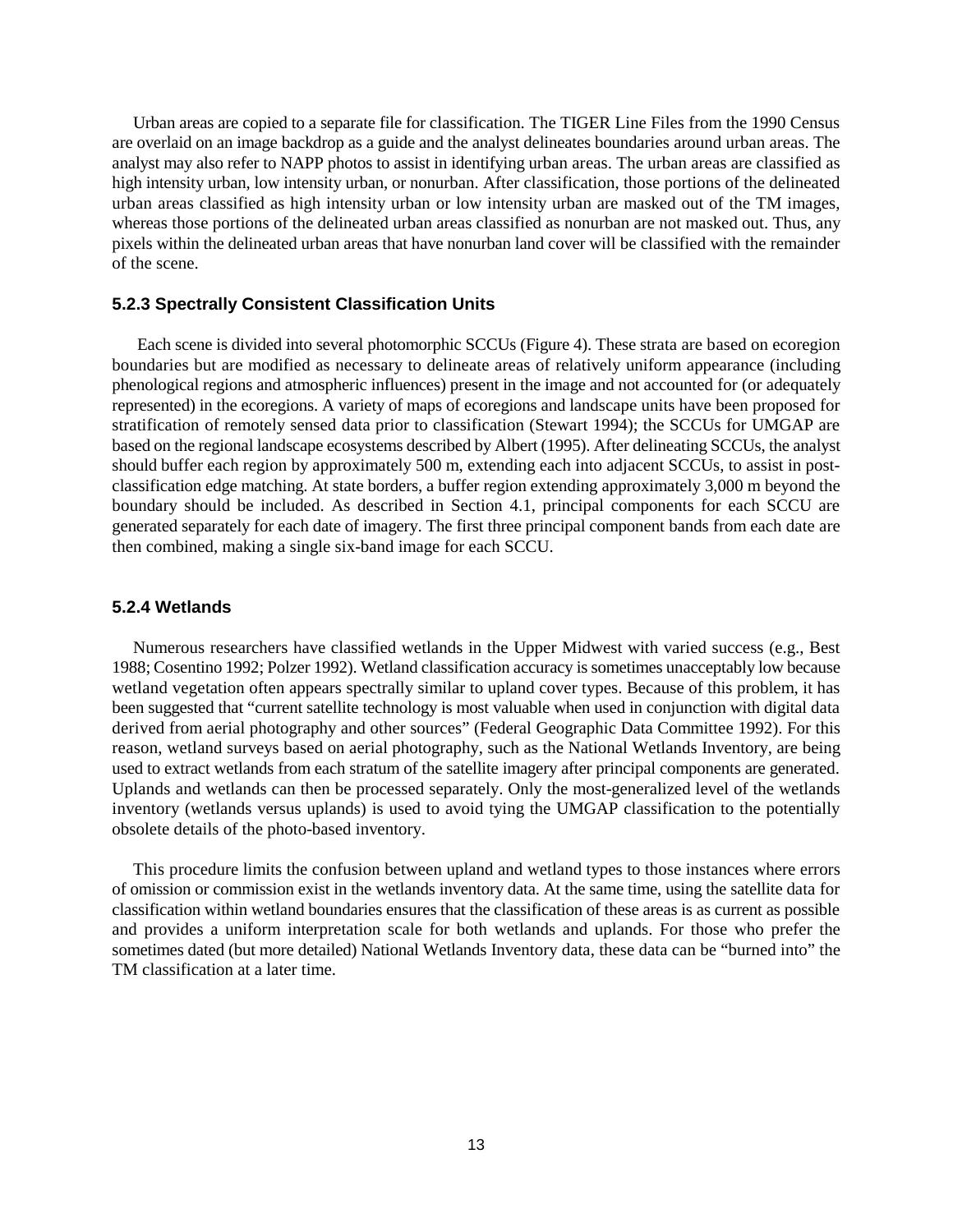Urban areas are copied to a separate file for classification. The TIGER Line Files from the 1990 Census are overlaid on an image backdrop as a guide and the analyst delineates boundaries around urban areas. The analyst may also refer to NAPP photos to assist in identifying urban areas. The urban areas are classified as high intensity urban, low intensity urban, or nonurban. After classification, those portions of the delineated urban areas classified as high intensity urban or low intensity urban are masked out of the TM images, whereas those portions of the delineated urban areas classified as nonurban are not masked out. Thus, any pixels within the delineated urban areas that have nonurban land cover will be classified with the remainder of the scene.

### **5.2.3 Spectrally Consistent Classification Units**

 Each scene is divided into several photomorphic SCCUs (Figure 4). These strata are based on ecoregion boundaries but are modified as necessary to delineate areas of relatively uniform appearance (including phenological regions and atmospheric influences) present in the image and not accounted for (or adequately represented) in the ecoregions. A variety of maps of ecoregions and landscape units have been proposed for stratification of remotely sensed data prior to classification (Stewart 1994); the SCCUs for UMGAP are based on the regional landscape ecosystems described by Albert (1995). After delineating SCCUs, the analyst should buffer each region by approximately 500 m, extending each into adjacent SCCUs, to assist in postclassification edge matching. At state borders, a buffer region extending approximately 3,000 m beyond the boundary should be included. As described in Section 4.1, principal components for each SCCU are generated separately for each date of imagery. The first three principal component bands from each date are then combined, making a single six-band image for each SCCU.

### **5.2.4 Wetlands**

Numerous researchers have classified wetlands in the Upper Midwest with varied success (e.g., Best 1988; Cosentino 1992; Polzer 1992). Wetland classification accuracy is sometimes unacceptably low because wetland vegetation often appears spectrally similar to upland cover types. Because of this problem, it has been suggested that "current satellite technology is most valuable when used in conjunction with digital data derived from aerial photography and other sources" (Federal Geographic Data Committee 1992). For this reason, wetland surveys based on aerial photography, such as the National Wetlands Inventory, are being used to extract wetlands from each stratum of the satellite imagery after principal components are generated. Uplands and wetlands can then be processed separately. Only the most-generalized level of the wetlands inventory (wetlands versus uplands) is used to avoid tying the UMGAP classification to the potentially obsolete details of the photo-based inventory.

This procedure limits the confusion between upland and wetland types to those instances where errors of omission or commission exist in the wetlands inventory data. At the same time, using the satellite data for classification within wetland boundaries ensures that the classification of these areas is as current as possible and provides a uniform interpretation scale for both wetlands and uplands. For those who prefer the sometimes dated (but more detailed) National Wetlands Inventory data, these data can be "burned into" the TM classification at a later time.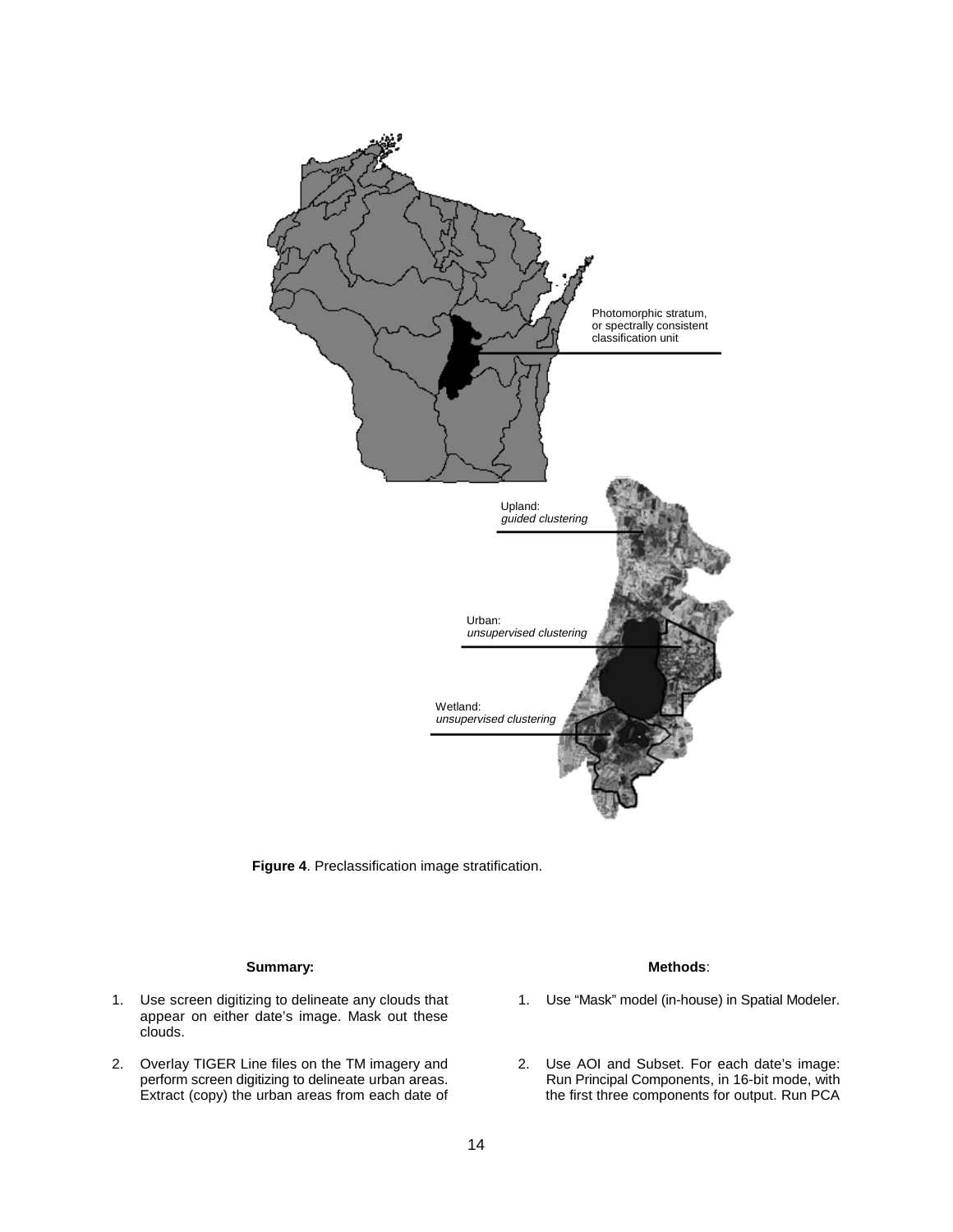



### **Summary:** Methods:

- appear on either date's image. Mask out these clouds.
- 2. Overlay TIGER Line files on the TM imagery and 2. Use AOI and Subset. For each date's image:<br>
perform screen digitizing to delineate urban areas. Run Principal Components, in 16-bit mode, with

- 1. Use screen digitizing to delineate any clouds that 1. Use "Mask" model (in-house) in Spatial Modeler.
	- perform screen digitizing to delineate urban areas. Run Principal Components, in 16-bit mode, with Extract (copy) the urban areas from each date of the first three components for output. Run PCA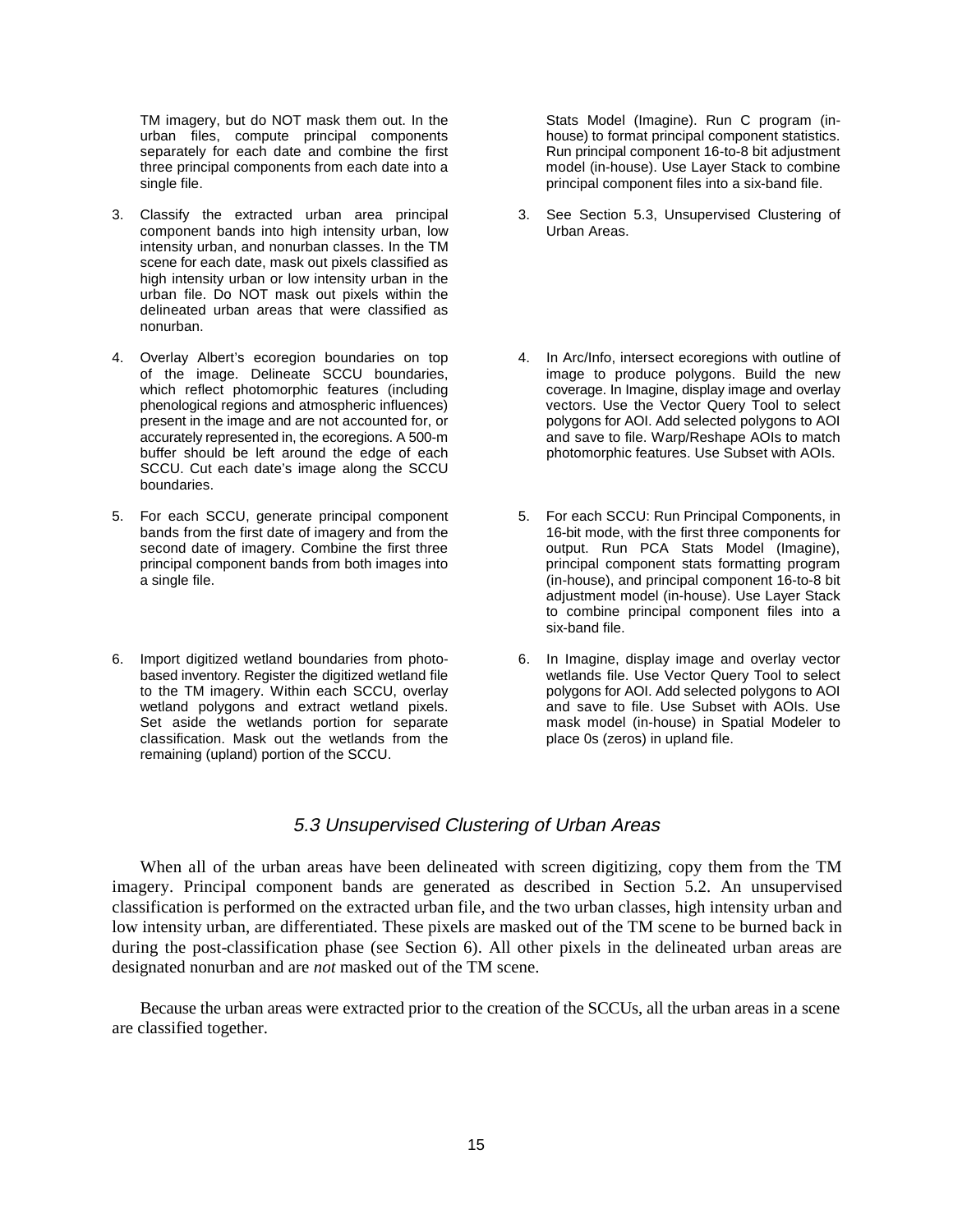TM imagery, but do NOT mask them out. In the Stats Model (Imagine). Run C program (in-<br>urban files, compute principal components bouse) to format principal component statistics. urban files, compute principal components separately for each date and combine the first Run principal component 16-to-8 bit adjustment three principal components from each date into a model (in-house). Use Layer Stack to combine single file. **principal component files into a six-band file.** principal component files into a six-band file.

- 3. Classify the extracted urban area principal 3. See Section 5.3, Unsupervised Clustering of component bands into high intensity urban, low Urban Areas. intensity urban, and nonurban classes. In the TM scene for each date, mask out pixels classified as high intensity urban or low intensity urban in the urban file. Do NOT mask out pixels within the delineated urban areas that were classified as nonurban.
- 4. Overlay Albert's ecoregion boundaries on top 4. In Arc/Info, intersect ecoregions with outline of present in the image and are not accounted for, or buffer should be left around the edge of each SCCU. Cut each date's image along the SCCU boundaries.
- 5. For each SCCU, generate principal component 5. For each SCCU: Run Principal Components, in principal component bands from both images into a single file.
- 6. Import digitized wetland boundaries from photo-<br>based inventory. Register the digitized wetland file and some vertlands file. Use Vector Query Tool to select to the TM imagery. Within each SCCU, overlay classification. Mask out the wetlands from the place 0s (zeros) in upland file. remaining (upland) portion of the SCCU.

- 
- of the image. Delineate SCCU boundaries, image to produce polygons. Build the new which reflect photomorphic features (including coverage. In Imagine, display image and overlay phenological regions and atmospheric influences) vectors. Use the Vector Query Tool to select<br>
present in the image and are not accounted for, or solutions for AOI. Add selected polygons to AOI accurately represented in, the ecoregions. A 500-m and save to file. Warp/Reshape AOIs to match<br>buffer should be left around the edge of each photomorphic features. Use Subset with AOIs.
- bands from the first date of imagery and from the 16-bit mode, with the first three components for second date of imagery. Combine the first three  $\frac{1}{2}$  output. Run PCA Stats Model (Imagine), second date of imagery. Combine the first three output. Run PCA Stats Model (Imagine),<br>
principal component bands from both images into principal component stats formatting program (in-house), and principal component 16-to-8 bit adjustment model (in-house). Use Layer Stack to combine principal component files into a six-band file.
- based inventory. Register the digitized wetland file wetlands file. Use Vector Query Tool to select to the TM imagery. Within each SCCU, overlay polygons for AOI. Add selected polygons to AOI wetland polygons and extract wetland pixels. and save to file. Use Subset with AOIs. Use Set aside the wetlands portion for separate mask model (in-house) in Spatial Modeler to

### 5.3 Unsupervised Clustering of Urban Areas

When all of the urban areas have been delineated with screen digitizing, copy them from the TM imagery. Principal component bands are generated as described in Section 5.2. An unsupervised classification is performed on the extracted urban file, and the two urban classes, high intensity urban and low intensity urban, are differentiated. These pixels are masked out of the TM scene to be burned back in during the post-classification phase (see Section 6). All other pixels in the delineated urban areas are designated nonurban and are *not* masked out of the TM scene.

Because the urban areas were extracted prior to the creation of the SCCUs, all the urban areas in a scene are classified together.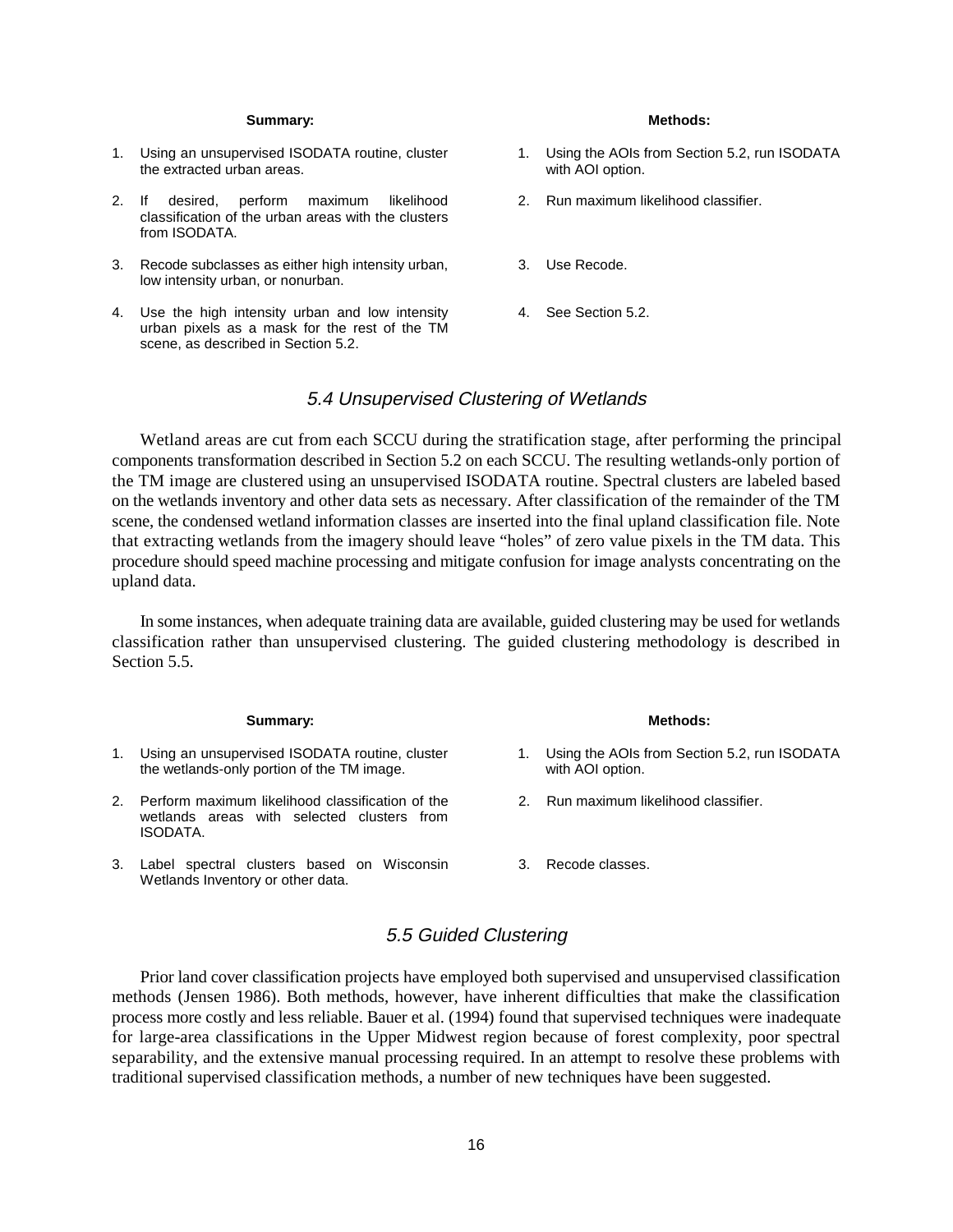### Summary: **Methods: Methods: Methods: Methods: Methods: Methods: Methods: Methods: Methods: Methods: Methods: Methods: Methods: Methods: Methods: Methods: Methods: Methods: Methods: Met**

- 1. Using an unsupervised ISODATA routine, cluster 1. Using the AOIs from Section 5.2, run ISODATA<br>the extracted urban areas.<br>with AOI option. the extracted urban areas.
- 2. If desired, perform maximum likelihood 2. Run maximum likelihood classifier. classification of the urban areas with the clusters from ISODATA.
- 3. Recode subclasses as either high intensity urban, 3. Use Recode. low intensity urban, or nonurban.
- 4. Use the high intensity urban and low intensity 4. See Section 5.2. urban pixels as a mask for the rest of the TM scene, as described in Section 5.2.

- 
- 
- 
- 

### 5.4 Unsupervised Clustering of Wetlands

Wetland areas are cut from each SCCU during the stratification stage, after performing the principal components transformation described in Section 5.2 on each SCCU. The resulting wetlands-only portion of the TM image are clustered using an unsupervised ISODATA routine. Spectral clusters are labeled based on the wetlands inventory and other data sets as necessary. After classification of the remainder of the TM scene, the condensed wetland information classes are inserted into the final upland classification file. Note that extracting wetlands from the imagery should leave "holes" of zero value pixels in the TM data. This procedure should speed machine processing and mitigate confusion for image analysts concentrating on the upland data.

In some instances, when adequate training data are available, guided clustering may be used for wetlands classification rather than unsupervised clustering. The guided clustering methodology is described in Section 5.5.

### **Summary:** Methods:

- 1. Using an unsupervised ISODATA routine, cluster 1. Using the AOIs from Section 5.2, run ISODATA the wetlands-only portion of the TM image. with AOI option.
- 2. Perform maximum likelihood classification of the 2. Run maximum likelihood classifier. wetlands areas with selected clusters from ISODATA.
- 3. Label spectral clusters based on Wisconsin 3. Recode classes. Wetlands Inventory or other data.

- 
- 
- 

### 5.5 Guided Clustering

Prior land cover classification projects have employed both supervised and unsupervised classification methods (Jensen 1986). Both methods, however, have inherent difficulties that make the classification process more costly and less reliable. Bauer et al. (1994) found that supervised techniques were inadequate for large-area classifications in the Upper Midwest region because of forest complexity, poor spectral separability, and the extensive manual processing required. In an attempt to resolve these problems with traditional supervised classification methods, a number of new techniques have been suggested.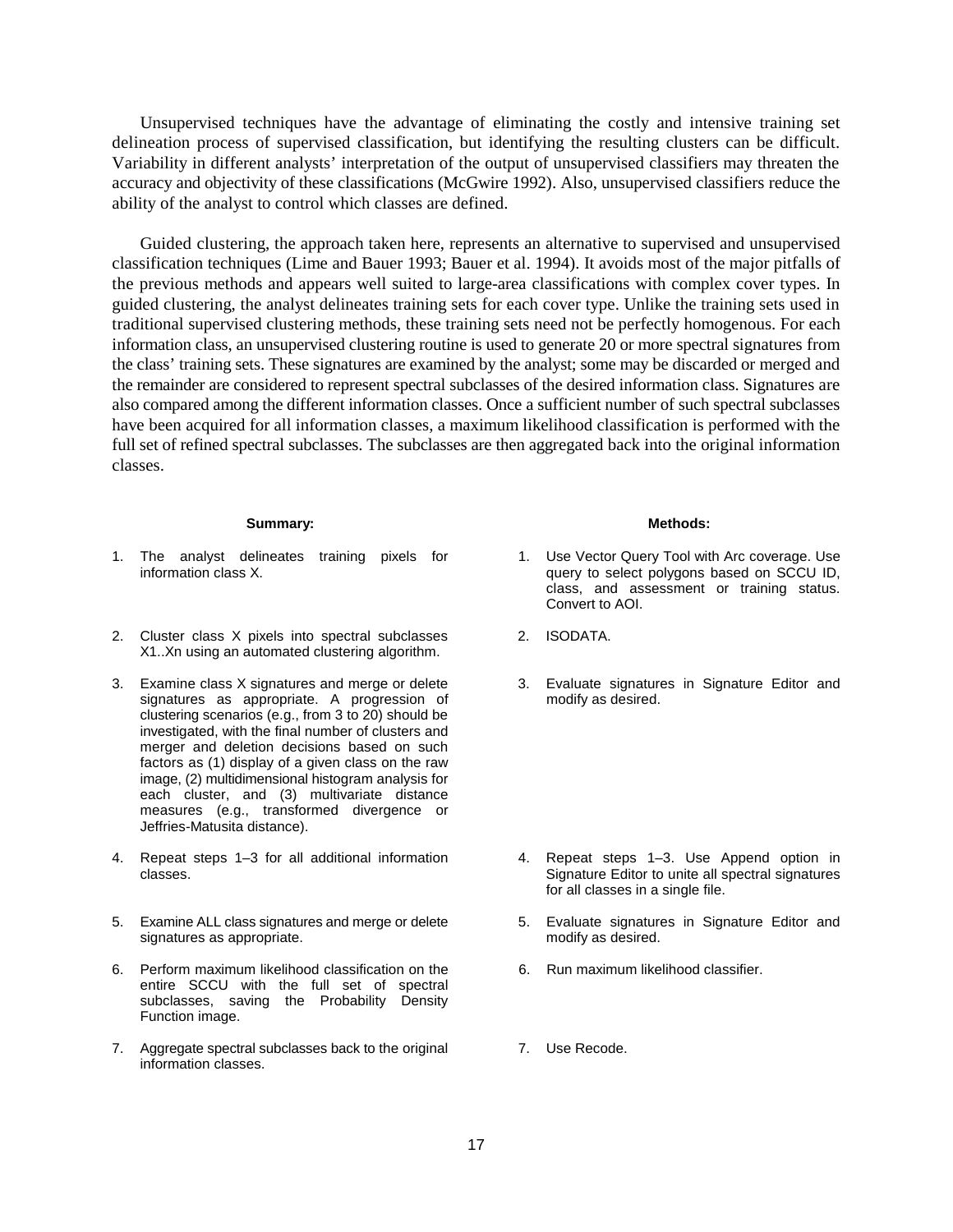Unsupervised techniques have the advantage of eliminating the costly and intensive training set delineation process of supervised classification, but identifying the resulting clusters can be difficult. Variability in different analysts' interpretation of the output of unsupervised classifiers may threaten the accuracy and objectivity of these classifications (McGwire 1992). Also, unsupervised classifiers reduce the ability of the analyst to control which classes are defined.

Guided clustering, the approach taken here, represents an alternative to supervised and unsupervised classification techniques (Lime and Bauer 1993; Bauer et al. 1994). It avoids most of the major pitfalls of the previous methods and appears well suited to large-area classifications with complex cover types. In guided clustering, the analyst delineates training sets for each cover type. Unlike the training sets used in traditional supervised clustering methods, these training sets need not be perfectly homogenous. For each information class, an unsupervised clustering routine is used to generate 20 or more spectral signatures from the class' training sets. These signatures are examined by the analyst; some may be discarded or merged and the remainder are considered to represent spectral subclasses of the desired information class. Signatures are also compared among the different information classes. Once a sufficient number of such spectral subclasses have been acquired for all information classes, a maximum likelihood classification is performed with the full set of refined spectral subclasses. The subclasses are then aggregated back into the original information classes.

### **Summary:** Methods:

- 1. The analyst delineates training pixels for 1. Use Vector Query Tool with Arc coverage. Use<br>1. Information class X. appropriation and the straining pixels for the query to select polygons based on SCCU
- 2. Cluster class X pixels into spectral subclasses 2. ISODATA. X1..Xn using an automated clustering algorithm.
- signatures as appropriate. A progression of modify as desired. clustering scenarios (e.g., from 3 to 20) should be investigated, with the final number of clusters and merger and deletion decisions based on such factors as (1) display of a given class on the raw image, (2) multidimensional histogram analysis for each cluster, and (3) multivariate distance measures (e.g., transformed divergence or Jeffries-Matusita distance).
- 4. Repeat steps 1–3 for all additional information 4. Repeat steps 1–3. Use Append option in
- 5. Examine ALL class signatures and merge or delete 5. Evaluate signatures in Signature Editor and signatures as appropriate. The modify as desired.
- 6. Perform maximum likelihood classification on the 6. Run maximum likelihood classifier. entire SCCU with the full set of spectral subclasses, saving the Probability Density Function image.
- 7. Aggregate spectral subclasses back to the original **7.** Use Recode. information classes.

- query to select polygons based on SCCU ID, class, and assessment or training status. Convert to AOI.
- 
- 3. Examine class X signatures and merge or delete 3. Evaluate signatures in Signature Editor and

- classes. Signature Editor to unite all spectral signatures for all classes in a single file.
	-
	-
	-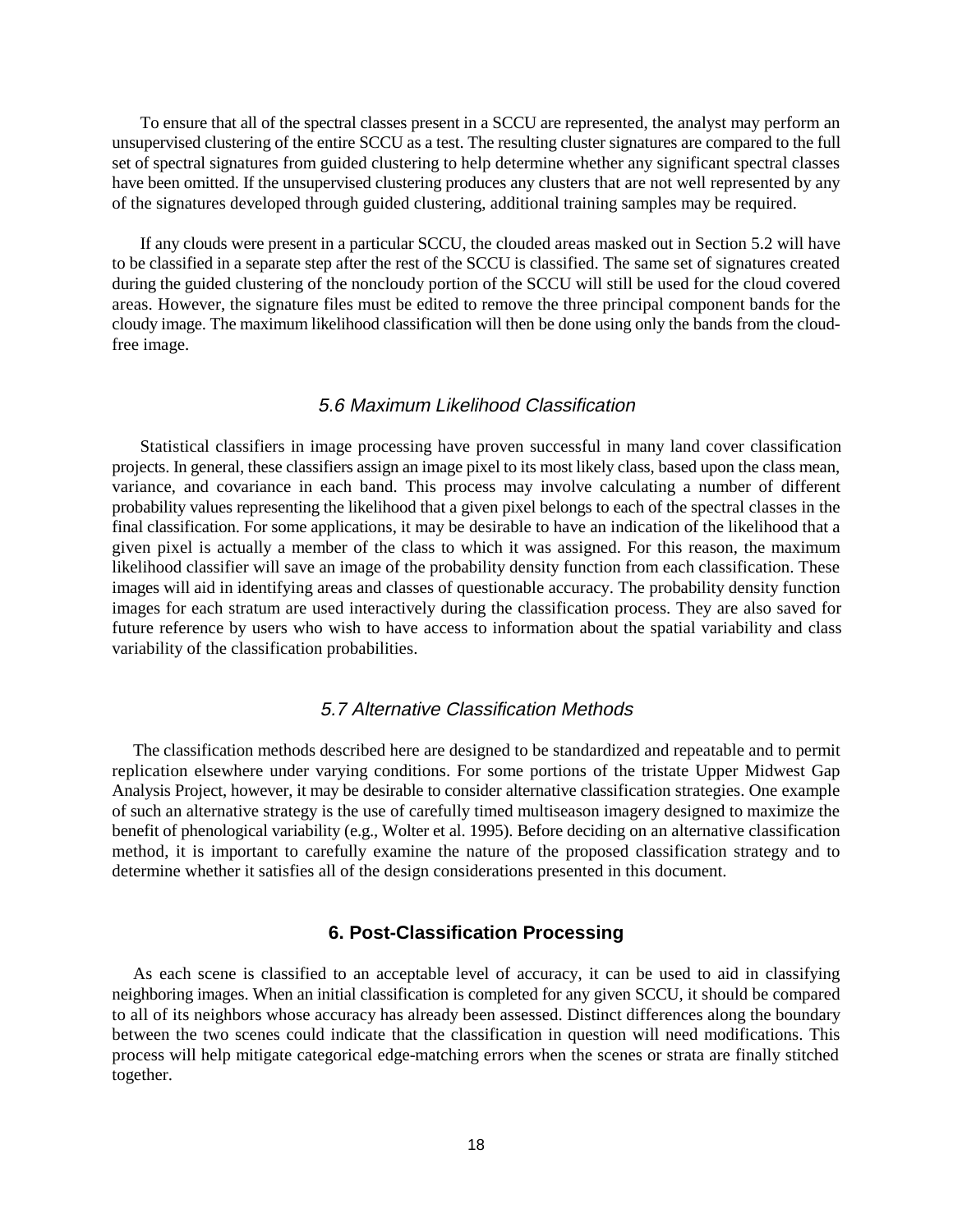To ensure that all of the spectral classes present in a SCCU are represented, the analyst may perform an unsupervised clustering of the entire SCCU as a test. The resulting cluster signatures are compared to the full set of spectral signatures from guided clustering to help determine whether any significant spectral classes have been omitted. If the unsupervised clustering produces any clusters that are not well represented by any of the signatures developed through guided clustering, additional training samples may be required.

If any clouds were present in a particular SCCU, the clouded areas masked out in Section 5.2 will have to be classified in a separate step after the rest of the SCCU is classified. The same set of signatures created during the guided clustering of the noncloudy portion of the SCCU will still be used for the cloud covered areas. However, the signature files must be edited to remove the three principal component bands for the cloudy image. The maximum likelihood classification will then be done using only the bands from the cloudfree image.

### 5.6 Maximum Likelihood Classification

Statistical classifiers in image processing have proven successful in many land cover classification projects. In general, these classifiers assign an image pixel to its most likely class, based upon the class mean, variance, and covariance in each band. This process may involve calculating a number of different probability values representing the likelihood that a given pixel belongs to each of the spectral classes in the final classification. For some applications, it may be desirable to have an indication of the likelihood that a given pixel is actually a member of the class to which it was assigned. For this reason, the maximum likelihood classifier will save an image of the probability density function from each classification. These images will aid in identifying areas and classes of questionable accuracy. The probability density function images for each stratum are used interactively during the classification process. They are also saved for future reference by users who wish to have access to information about the spatial variability and class variability of the classification probabilities.

### 5.7 Alternative Classification Methods

The classification methods described here are designed to be standardized and repeatable and to permit replication elsewhere under varying conditions. For some portions of the tristate Upper Midwest Gap Analysis Project, however, it may be desirable to consider alternative classification strategies. One example of such an alternative strategy is the use of carefully timed multiseason imagery designed to maximize the benefit of phenological variability (e.g., Wolter et al. 1995). Before deciding on an alternative classification method, it is important to carefully examine the nature of the proposed classification strategy and to determine whether it satisfies all of the design considerations presented in this document.

### **6. Post-Classification Processing**

As each scene is classified to an acceptable level of accuracy, it can be used to aid in classifying neighboring images. When an initial classification is completed for any given SCCU, it should be compared to all of its neighbors whose accuracy has already been assessed. Distinct differences along the boundary between the two scenes could indicate that the classification in question will need modifications. This process will help mitigate categorical edge-matching errors when the scenes or strata are finally stitched together.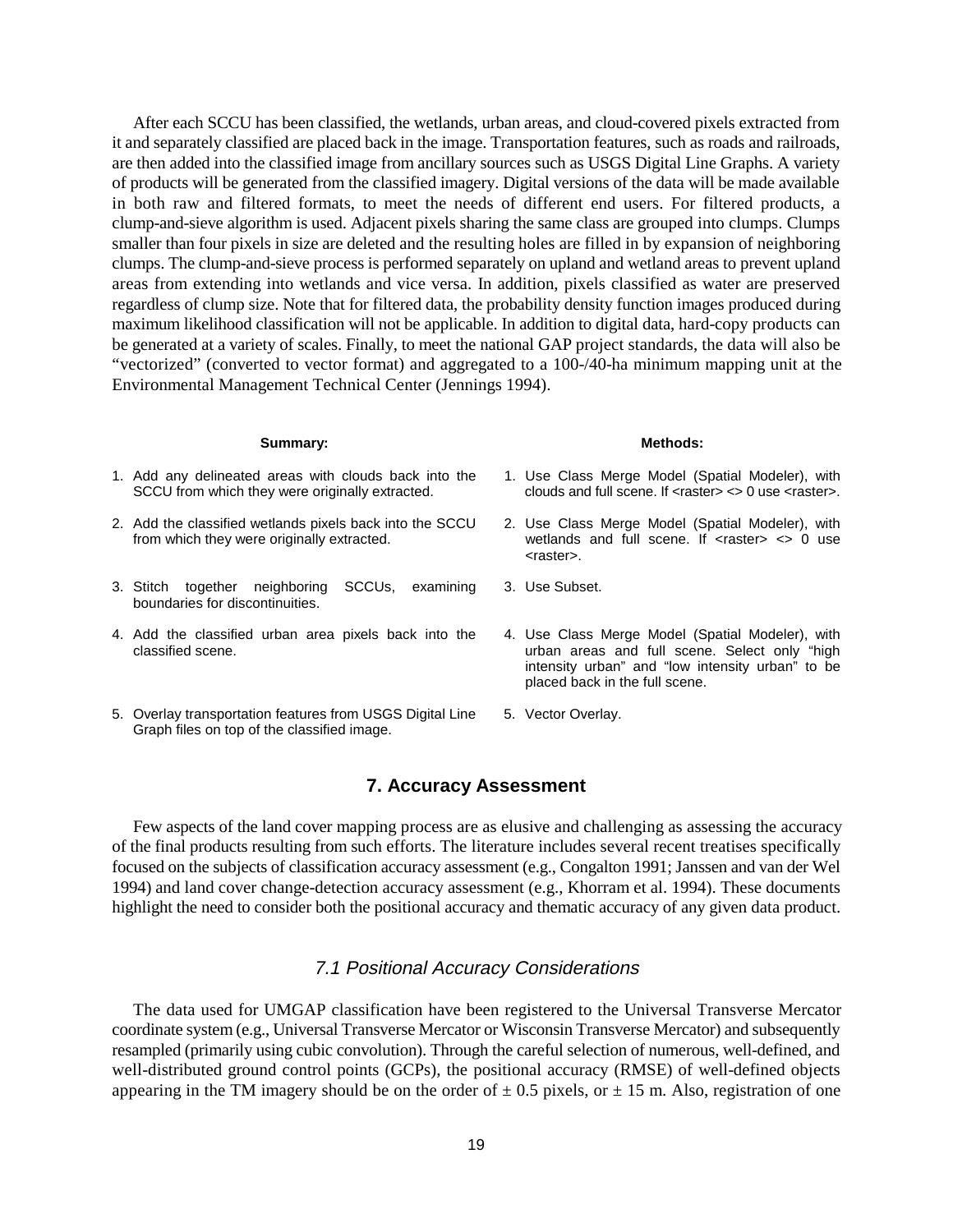After each SCCU has been classified, the wetlands, urban areas, and cloud-covered pixels extracted from it and separately classified are placed back in the image. Transportation features, such as roads and railroads, are then added into the classified image from ancillary sources such as USGS Digital Line Graphs. A variety of products will be generated from the classified imagery. Digital versions of the data will be made available in both raw and filtered formats, to meet the needs of different end users. For filtered products, a clump-and-sieve algorithm is used. Adjacent pixels sharing the same class are grouped into clumps. Clumps smaller than four pixels in size are deleted and the resulting holes are filled in by expansion of neighboring clumps. The clump-and-sieve process is performed separately on upland and wetland areas to prevent upland areas from extending into wetlands and vice versa. In addition, pixels classified as water are preserved regardless of clump size. Note that for filtered data, the probability density function images produced during maximum likelihood classification will not be applicable. In addition to digital data, hard-copy products can be generated at a variety of scales. Finally, to meet the national GAP project standards, the data will also be "vectorized" (converted to vector format) and aggregated to a 100-/40-ha minimum mapping unit at the Environmental Management Technical Center (Jennings 1994).

### **Summary:** Methods:

- 1. Add any delineated areas with clouds back into the 1. Use Class Merge Model (Spatial Modeler), with SCCU from which they were originally extracted. clouds and full scene. If <raster> <> 0 use <raster>.
- 2. Add the classified wetlands pixels back into the SCCU 2. Use Class Merge Model (Spatial Modeler), with from which they were originally extracted. wetlands and full scene. If <raster> <> 0 use
- 3. Stitch together neighboring SCCUs, examining 3. Use Subset. boundaries for discontinuities.
- 4. Add the classified urban area pixels back into the 4. Use Class Merge Model (Spatial Modeler), with classified scene.
- 5. Overlay transportation features from USGS Digital Line 5. Vector Overlay. Graph files on top of the classified image.

- 
- <raster>.
- 
- urban areas and full scene. Select only "high intensity urban" and "low intensity urban" to be placed back in the full scene.
- 

### **7. Accuracy Assessment**

Few aspects of the land cover mapping process are as elusive and challenging as assessing the accuracy of the final products resulting from such efforts. The literature includes several recent treatises specifically focused on the subjects of classification accuracy assessment (e.g., Congalton 1991; Janssen and van der Wel 1994) and land cover change-detection accuracy assessment (e.g., Khorram et al. 1994). These documents highlight the need to consider both the positional accuracy and thematic accuracy of any given data product.

### 7.1 Positional Accuracy Considerations

The data used for UMGAP classification have been registered to the Universal Transverse Mercator coordinate system (e.g., Universal Transverse Mercator or Wisconsin Transverse Mercator) and subsequently resampled (primarily using cubic convolution). Through the careful selection of numerous, well-defined, and well-distributed ground control points (GCPs), the positional accuracy (RMSE) of well-defined objects appearing in the TM imagery should be on the order of  $\pm$  0.5 pixels, or  $\pm$  15 m. Also, registration of one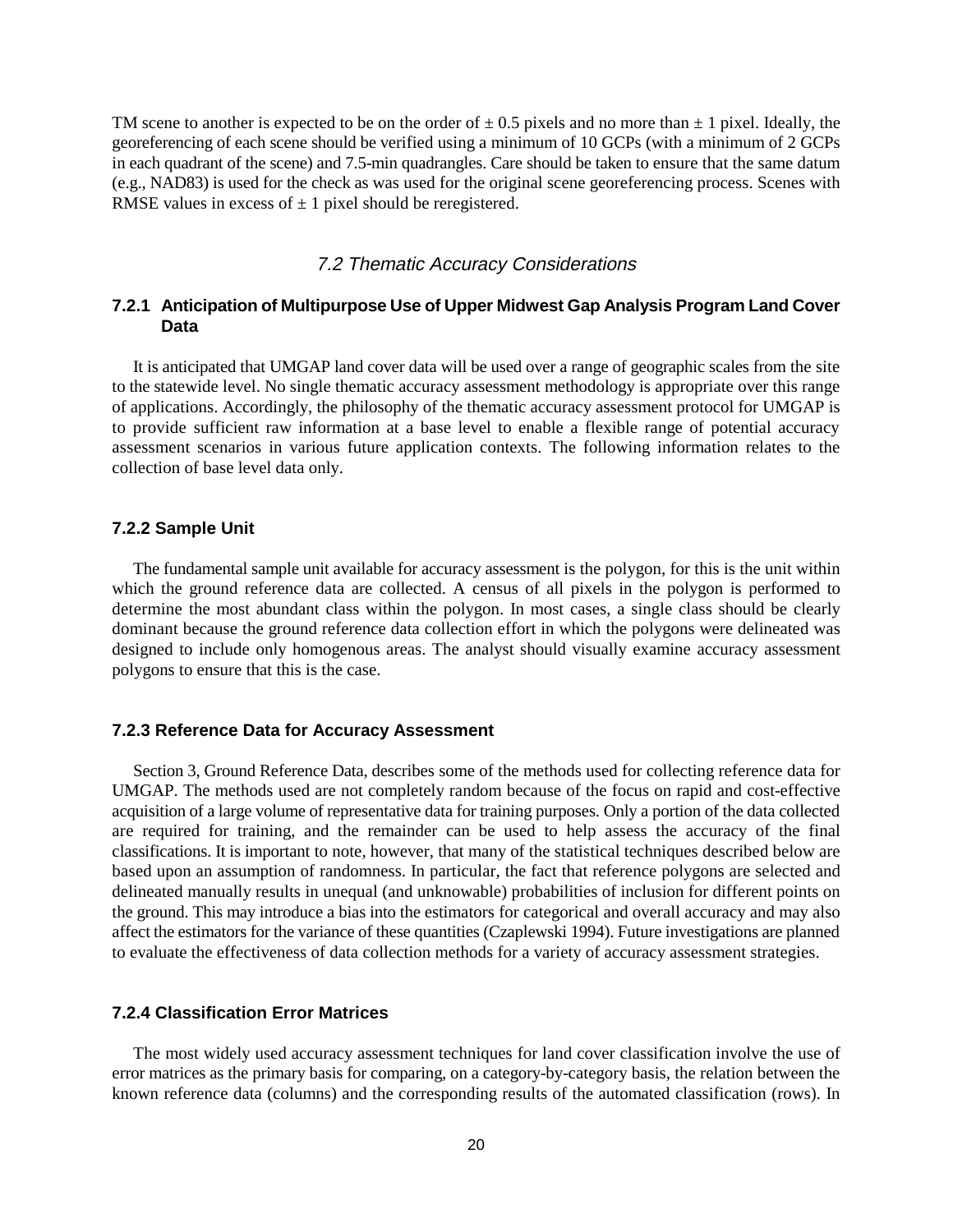TM scene to another is expected to be on the order of  $\pm$  0.5 pixels and no more than  $\pm$  1 pixel. Ideally, the georeferencing of each scene should be verified using a minimum of 10 GCPs (with a minimum of 2 GCPs in each quadrant of the scene) and 7.5-min quadrangles. Care should be taken to ensure that the same datum (e.g., NAD83) is used for the check as was used for the original scene georeferencing process. Scenes with RMSE values in excess of  $\pm$  1 pixel should be reregistered.

### 7.2 Thematic Accuracy Considerations

### **7.2.1 Anticipation of Multipurpose Use of Upper Midwest Gap Analysis Program Land Cover Data**

It is anticipated that UMGAP land cover data will be used over a range of geographic scales from the site to the statewide level. No single thematic accuracy assessment methodology is appropriate over this range of applications. Accordingly, the philosophy of the thematic accuracy assessment protocol for UMGAP is to provide sufficient raw information at a base level to enable a flexible range of potential accuracy assessment scenarios in various future application contexts. The following information relates to the collection of base level data only.

### **7.2.2 Sample Unit**

The fundamental sample unit available for accuracy assessment is the polygon, for this is the unit within which the ground reference data are collected. A census of all pixels in the polygon is performed to determine the most abundant class within the polygon. In most cases, a single class should be clearly dominant because the ground reference data collection effort in which the polygons were delineated was designed to include only homogenous areas. The analyst should visually examine accuracy assessment polygons to ensure that this is the case.

### **7.2.3 Reference Data for Accuracy Assessment**

Section 3, Ground Reference Data, describes some of the methods used for collecting reference data for UMGAP. The methods used are not completely random because of the focus on rapid and cost-effective acquisition of a large volume of representative data for training purposes. Only a portion of the data collected are required for training, and the remainder can be used to help assess the accuracy of the final classifications. It is important to note, however, that many of the statistical techniques described below are based upon an assumption of randomness. In particular, the fact that reference polygons are selected and delineated manually results in unequal (and unknowable) probabilities of inclusion for different points on the ground. This may introduce a bias into the estimators for categorical and overall accuracy and may also affect the estimators for the variance of these quantities (Czaplewski 1994). Future investigations are planned to evaluate the effectiveness of data collection methods for a variety of accuracy assessment strategies.

### **7.2.4 Classification Error Matrices**

The most widely used accuracy assessment techniques for land cover classification involve the use of error matrices as the primary basis for comparing, on a category-by-category basis, the relation between the known reference data (columns) and the corresponding results of the automated classification (rows). In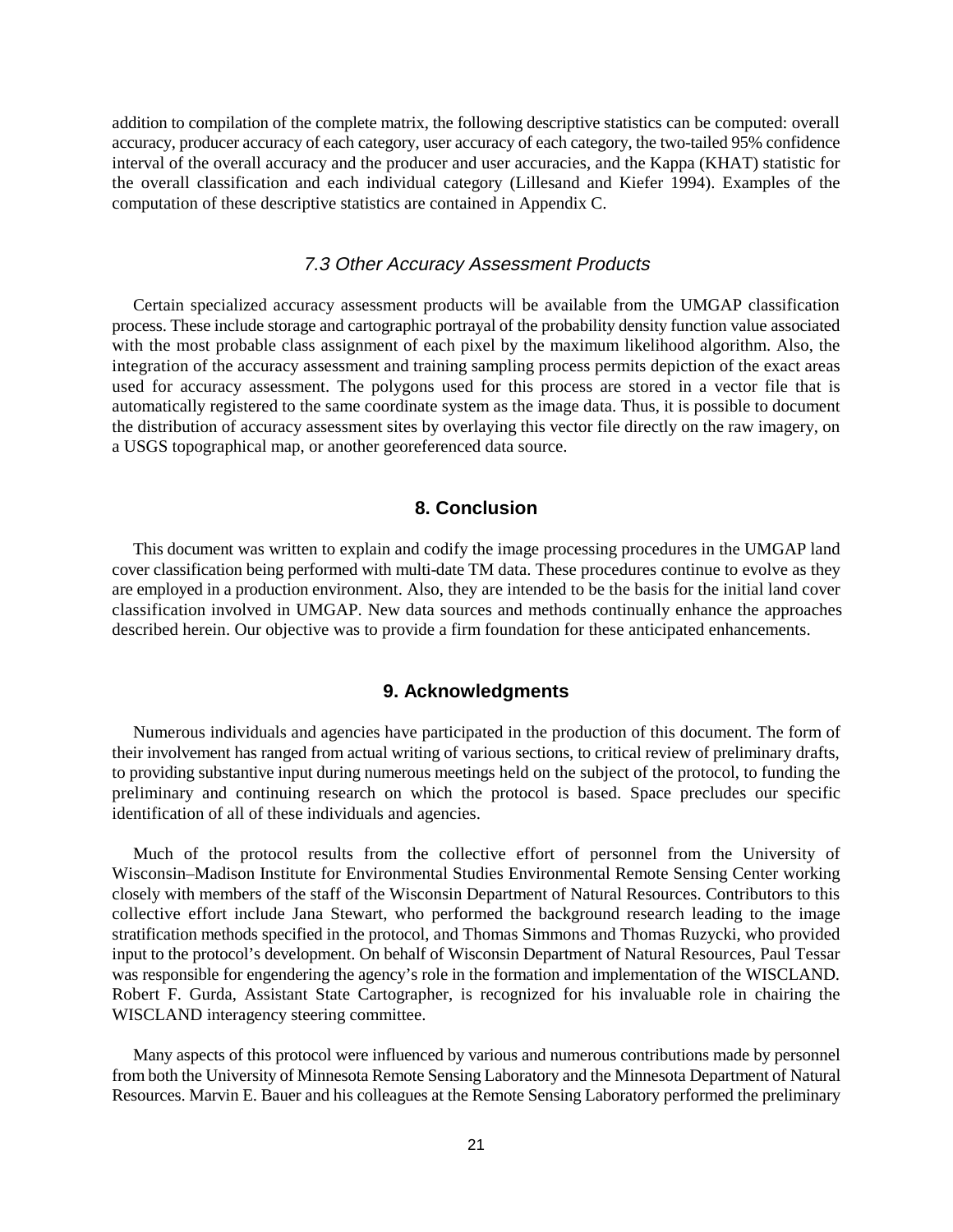addition to compilation of the complete matrix, the following descriptive statistics can be computed: overall accuracy, producer accuracy of each category, user accuracy of each category, the two-tailed 95% confidence interval of the overall accuracy and the producer and user accuracies, and the Kappa (KHAT) statistic for the overall classification and each individual category (Lillesand and Kiefer 1994). Examples of the computation of these descriptive statistics are contained in Appendix C.

### 7.3 Other Accuracy Assessment Products

Certain specialized accuracy assessment products will be available from the UMGAP classification process. These include storage and cartographic portrayal of the probability density function value associated with the most probable class assignment of each pixel by the maximum likelihood algorithm. Also, the integration of the accuracy assessment and training sampling process permits depiction of the exact areas used for accuracy assessment. The polygons used for this process are stored in a vector file that is automatically registered to the same coordinate system as the image data. Thus, it is possible to document the distribution of accuracy assessment sites by overlaying this vector file directly on the raw imagery, on a USGS topographical map, or another georeferenced data source.

### **8. Conclusion**

This document was written to explain and codify the image processing procedures in the UMGAP land cover classification being performed with multi-date TM data. These procedures continue to evolve as they are employed in a production environment. Also, they are intended to be the basis for the initial land cover classification involved in UMGAP. New data sources and methods continually enhance the approaches described herein. Our objective was to provide a firm foundation for these anticipated enhancements.

### **9. Acknowledgments**

Numerous individuals and agencies have participated in the production of this document. The form of their involvement has ranged from actual writing of various sections, to critical review of preliminary drafts, to providing substantive input during numerous meetings held on the subject of the protocol, to funding the preliminary and continuing research on which the protocol is based. Space precludes our specific identification of all of these individuals and agencies.

Much of the protocol results from the collective effort of personnel from the University of Wisconsin–Madison Institute for Environmental Studies Environmental Remote Sensing Center working closely with members of the staff of the Wisconsin Department of Natural Resources. Contributors to this collective effort include Jana Stewart, who performed the background research leading to the image stratification methods specified in the protocol, and Thomas Simmons and Thomas Ruzycki, who provided input to the protocol's development. On behalf of Wisconsin Department of Natural Resources, Paul Tessar was responsible for engendering the agency's role in the formation and implementation of the WISCLAND. Robert F. Gurda, Assistant State Cartographer, is recognized for his invaluable role in chairing the WISCLAND interagency steering committee.

Many aspects of this protocol were influenced by various and numerous contributions made by personnel from both the University of Minnesota Remote Sensing Laboratory and the Minnesota Department of Natural Resources. Marvin E. Bauer and his colleagues at the Remote Sensing Laboratory performed the preliminary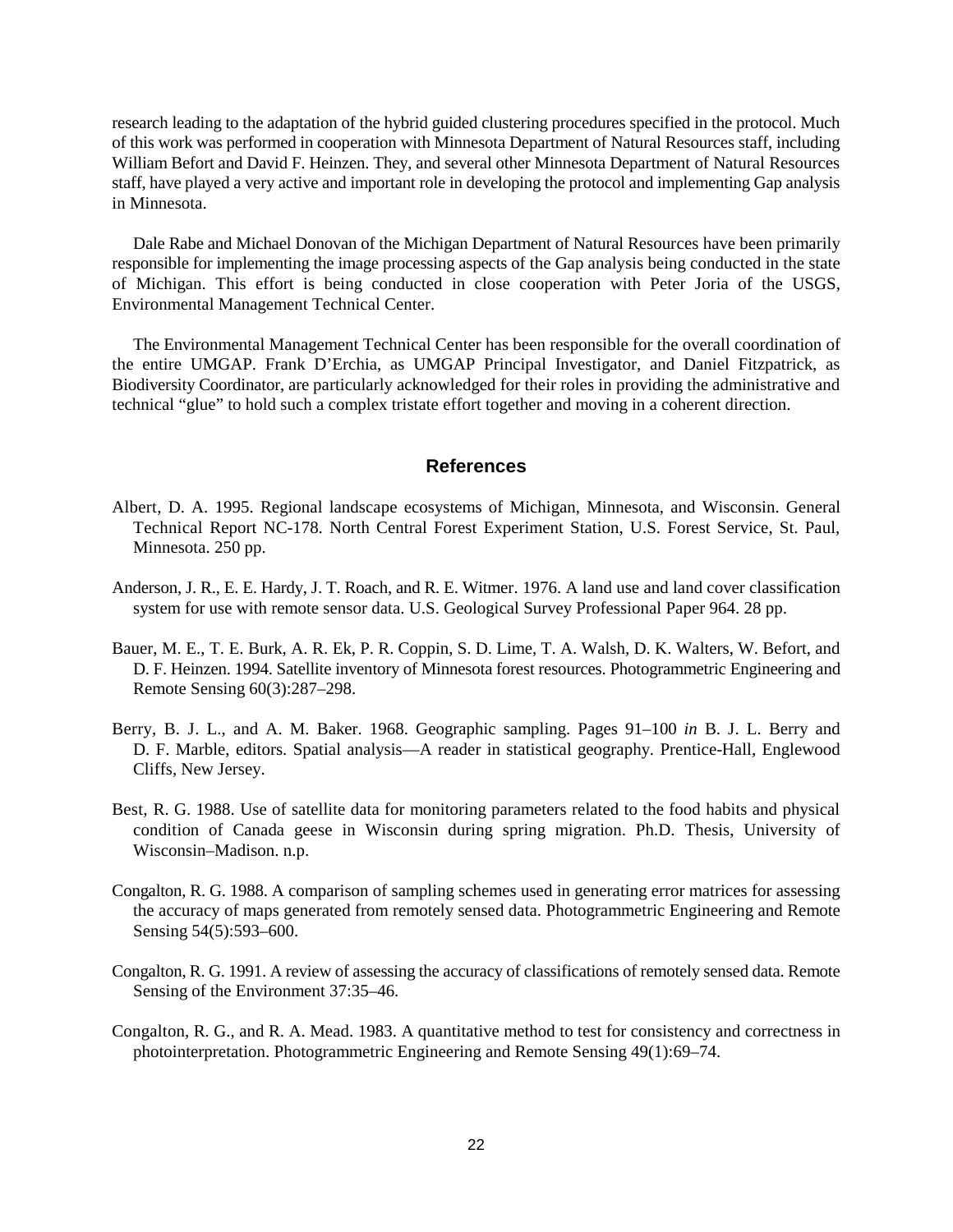research leading to the adaptation of the hybrid guided clustering procedures specified in the protocol. Much of this work was performed in cooperation with Minnesota Department of Natural Resources staff, including William Befort and David F. Heinzen. They, and several other Minnesota Department of Natural Resources staff, have played a very active and important role in developing the protocol and implementing Gap analysis in Minnesota.

Dale Rabe and Michael Donovan of the Michigan Department of Natural Resources have been primarily responsible for implementing the image processing aspects of the Gap analysis being conducted in the state of Michigan. This effort is being conducted in close cooperation with Peter Joria of the USGS, Environmental Management Technical Center.

The Environmental Management Technical Center has been responsible for the overall coordination of the entire UMGAP. Frank D'Erchia, as UMGAP Principal Investigator, and Daniel Fitzpatrick, as Biodiversity Coordinator, are particularly acknowledged for their roles in providing the administrative and technical "glue" to hold such a complex tristate effort together and moving in a coherent direction.

### **References**

- Albert, D. A. 1995. Regional landscape ecosystems of Michigan, Minnesota, and Wisconsin. General Technical Report NC-178. North Central Forest Experiment Station, U.S. Forest Service, St. Paul, Minnesota. 250 pp.
- Anderson, J. R., E. E. Hardy, J. T. Roach, and R. E. Witmer. 1976. A land use and land cover classification system for use with remote sensor data. U.S. Geological Survey Professional Paper 964. 28 pp.
- Bauer, M. E., T. E. Burk, A. R. Ek, P. R. Coppin, S. D. Lime, T. A. Walsh, D. K. Walters, W. Befort, and D. F. Heinzen. 1994. Satellite inventory of Minnesota forest resources. Photogrammetric Engineering and Remote Sensing 60(3):287–298.
- Berry, B. J. L., and A. M. Baker. 1968. Geographic sampling. Pages 91–100 *in* B. J. L. Berry and D. F. Marble, editors. Spatial analysis—A reader in statistical geography. Prentice-Hall, Englewood Cliffs, New Jersey.
- Best, R. G. 1988. Use of satellite data for monitoring parameters related to the food habits and physical condition of Canada geese in Wisconsin during spring migration. Ph.D. Thesis, University of Wisconsin–Madison. n.p.
- Congalton, R. G. 1988. A comparison of sampling schemes used in generating error matrices for assessing the accuracy of maps generated from remotely sensed data. Photogrammetric Engineering and Remote Sensing 54(5):593–600.
- Congalton, R. G. 1991. A review of assessing the accuracy of classifications of remotely sensed data. Remote Sensing of the Environment 37:35–46.
- Congalton, R. G., and R. A. Mead. 1983. A quantitative method to test for consistency and correctness in photointerpretation. Photogrammetric Engineering and Remote Sensing 49(1):69–74.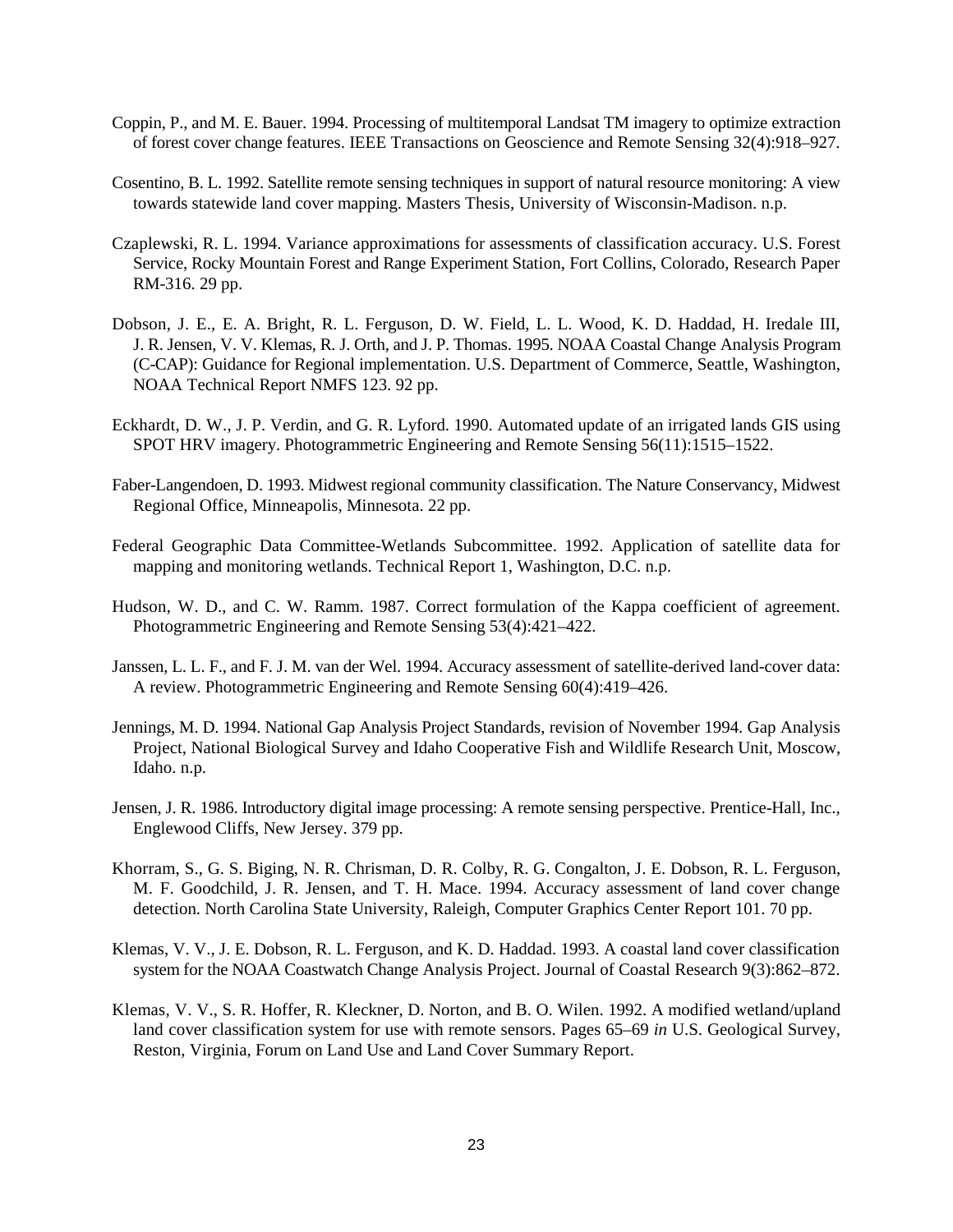- Coppin, P., and M. E. Bauer. 1994. Processing of multitemporal Landsat TM imagery to optimize extraction of forest cover change features. IEEE Transactions on Geoscience and Remote Sensing 32(4):918–927.
- Cosentino, B. L. 1992. Satellite remote sensing techniques in support of natural resource monitoring: A view towards statewide land cover mapping. Masters Thesis, University of Wisconsin-Madison. n.p.
- Czaplewski, R. L. 1994. Variance approximations for assessments of classification accuracy. U.S. Forest Service, Rocky Mountain Forest and Range Experiment Station, Fort Collins, Colorado, Research Paper RM-316. 29 pp.
- Dobson, J. E., E. A. Bright, R. L. Ferguson, D. W. Field, L. L. Wood, K. D. Haddad, H. Iredale III, J. R. Jensen, V. V. Klemas, R. J. Orth, and J. P. Thomas. 1995. NOAA Coastal Change Analysis Program (C-CAP): Guidance for Regional implementation. U.S. Department of Commerce, Seattle, Washington, NOAA Technical Report NMFS 123. 92 pp.
- Eckhardt, D. W., J. P. Verdin, and G. R. Lyford. 1990. Automated update of an irrigated lands GIS using SPOT HRV imagery. Photogrammetric Engineering and Remote Sensing 56(11):1515–1522.
- Faber-Langendoen, D. 1993. Midwest regional community classification. The Nature Conservancy, Midwest Regional Office, Minneapolis, Minnesota. 22 pp.
- Federal Geographic Data Committee-Wetlands Subcommittee. 1992. Application of satellite data for mapping and monitoring wetlands. Technical Report 1, Washington, D.C. n.p.
- Hudson, W. D., and C. W. Ramm. 1987. Correct formulation of the Kappa coefficient of agreement. Photogrammetric Engineering and Remote Sensing 53(4):421–422.
- Janssen, L. L. F., and F. J. M. van der Wel. 1994. Accuracy assessment of satellite-derived land-cover data: A review. Photogrammetric Engineering and Remote Sensing 60(4):419–426.
- Jennings, M. D. 1994. National Gap Analysis Project Standards, revision of November 1994. Gap Analysis Project, National Biological Survey and Idaho Cooperative Fish and Wildlife Research Unit, Moscow, Idaho. n.p.
- Jensen, J. R. 1986. Introductory digital image processing: A remote sensing perspective. Prentice-Hall, Inc., Englewood Cliffs, New Jersey. 379 pp.
- Khorram, S., G. S. Biging, N. R. Chrisman, D. R. Colby, R. G. Congalton, J. E. Dobson, R. L. Ferguson, M. F. Goodchild, J. R. Jensen, and T. H. Mace. 1994. Accuracy assessment of land cover change detection. North Carolina State University, Raleigh, Computer Graphics Center Report 101. 70 pp.
- Klemas, V. V., J. E. Dobson, R. L. Ferguson, and K. D. Haddad. 1993. A coastal land cover classification system for the NOAA Coastwatch Change Analysis Project. Journal of Coastal Research 9(3):862–872.
- Klemas, V. V., S. R. Hoffer, R. Kleckner, D. Norton, and B. O. Wilen. 1992. A modified wetland/upland land cover classification system for use with remote sensors. Pages 65–69 *in* U.S. Geological Survey, Reston, Virginia, Forum on Land Use and Land Cover Summary Report.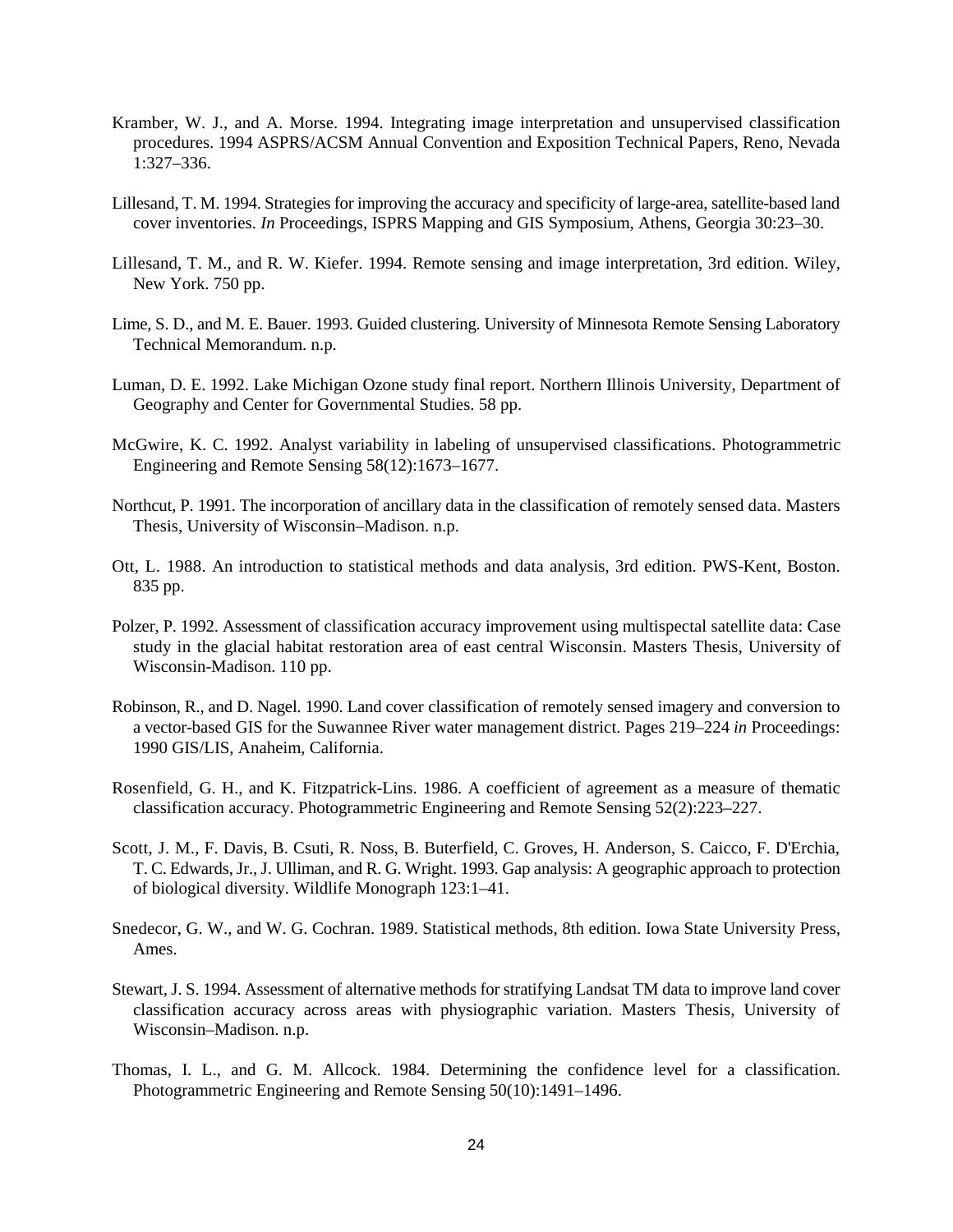- Kramber, W. J., and A. Morse. 1994. Integrating image interpretation and unsupervised classification procedures. 1994 ASPRS/ACSM Annual Convention and Exposition Technical Papers, Reno, Nevada 1:327–336.
- Lillesand, T. M. 1994. Strategies for improving the accuracy and specificity of large-area, satellite-based land cover inventories. *In* Proceedings, ISPRS Mapping and GIS Symposium, Athens, Georgia 30:23–30.
- Lillesand, T. M., and R. W. Kiefer. 1994. Remote sensing and image interpretation, 3rd edition. Wiley, New York. 750 pp.
- Lime, S. D., and M. E. Bauer. 1993. Guided clustering. University of Minnesota Remote Sensing Laboratory Technical Memorandum. n.p.
- Luman, D. E. 1992. Lake Michigan Ozone study final report. Northern Illinois University, Department of Geography and Center for Governmental Studies. 58 pp.
- McGwire, K. C. 1992. Analyst variability in labeling of unsupervised classifications. Photogrammetric Engineering and Remote Sensing 58(12):1673–1677.
- Northcut, P. 1991. The incorporation of ancillary data in the classification of remotely sensed data. Masters Thesis, University of Wisconsin–Madison. n.p.
- Ott, L. 1988. An introduction to statistical methods and data analysis, 3rd edition. PWS-Kent, Boston. 835 pp.
- Polzer, P. 1992. Assessment of classification accuracy improvement using multispectal satellite data: Case study in the glacial habitat restoration area of east central Wisconsin. Masters Thesis, University of Wisconsin-Madison. 110 pp.
- Robinson, R., and D. Nagel. 1990. Land cover classification of remotely sensed imagery and conversion to a vector-based GIS for the Suwannee River water management district. Pages 219–224 *in* Proceedings: 1990 GIS/LIS, Anaheim, California.
- Rosenfield, G. H., and K. Fitzpatrick-Lins. 1986. A coefficient of agreement as a measure of thematic classification accuracy. Photogrammetric Engineering and Remote Sensing 52(2):223–227.
- Scott, J. M., F. Davis, B. Csuti, R. Noss, B. Buterfield, C. Groves, H. Anderson, S. Caicco, F. D'Erchia, T. C. Edwards, Jr., J. Ulliman, and R. G. Wright. 1993. Gap analysis: A geographic approach to protection of biological diversity. Wildlife Monograph 123:1–41.
- Snedecor, G. W., and W. G. Cochran. 1989. Statistical methods, 8th edition. Iowa State University Press, Ames.
- Stewart, J. S. 1994. Assessment of alternative methods for stratifying Landsat TM data to improve land cover classification accuracy across areas with physiographic variation. Masters Thesis, University of Wisconsin–Madison. n.p.
- Thomas, I. L., and G. M. Allcock. 1984. Determining the confidence level for a classification. Photogrammetric Engineering and Remote Sensing 50(10):1491–1496.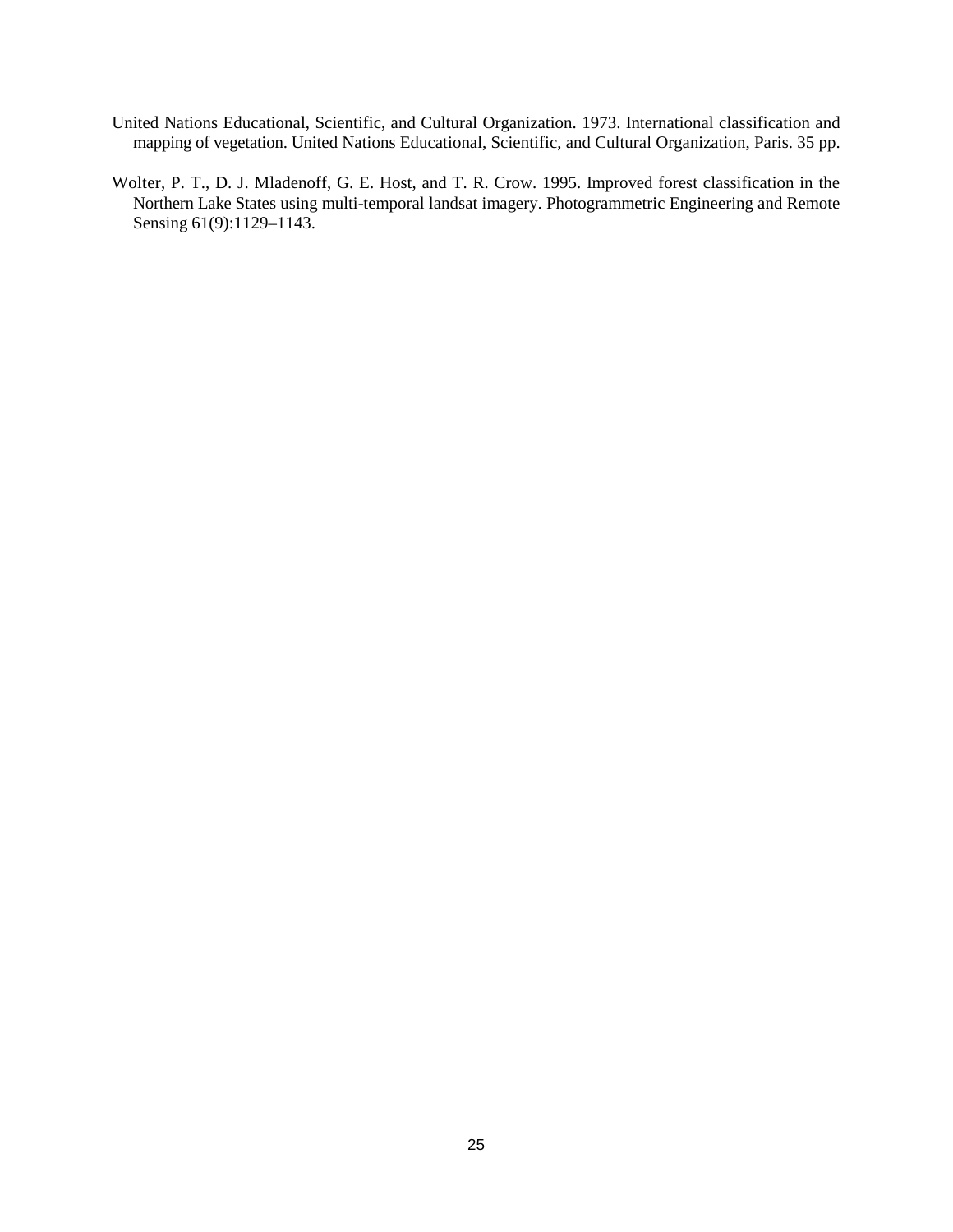- United Nations Educational, Scientific, and Cultural Organization. 1973. International classification and mapping of vegetation. United Nations Educational, Scientific, and Cultural Organization, Paris. 35 pp.
- Wolter, P. T., D. J. Mladenoff, G. E. Host, and T. R. Crow. 1995. Improved forest classification in the Northern Lake States using multi-temporal landsat imagery. Photogrammetric Engineering and Remote Sensing 61(9):1129-1143.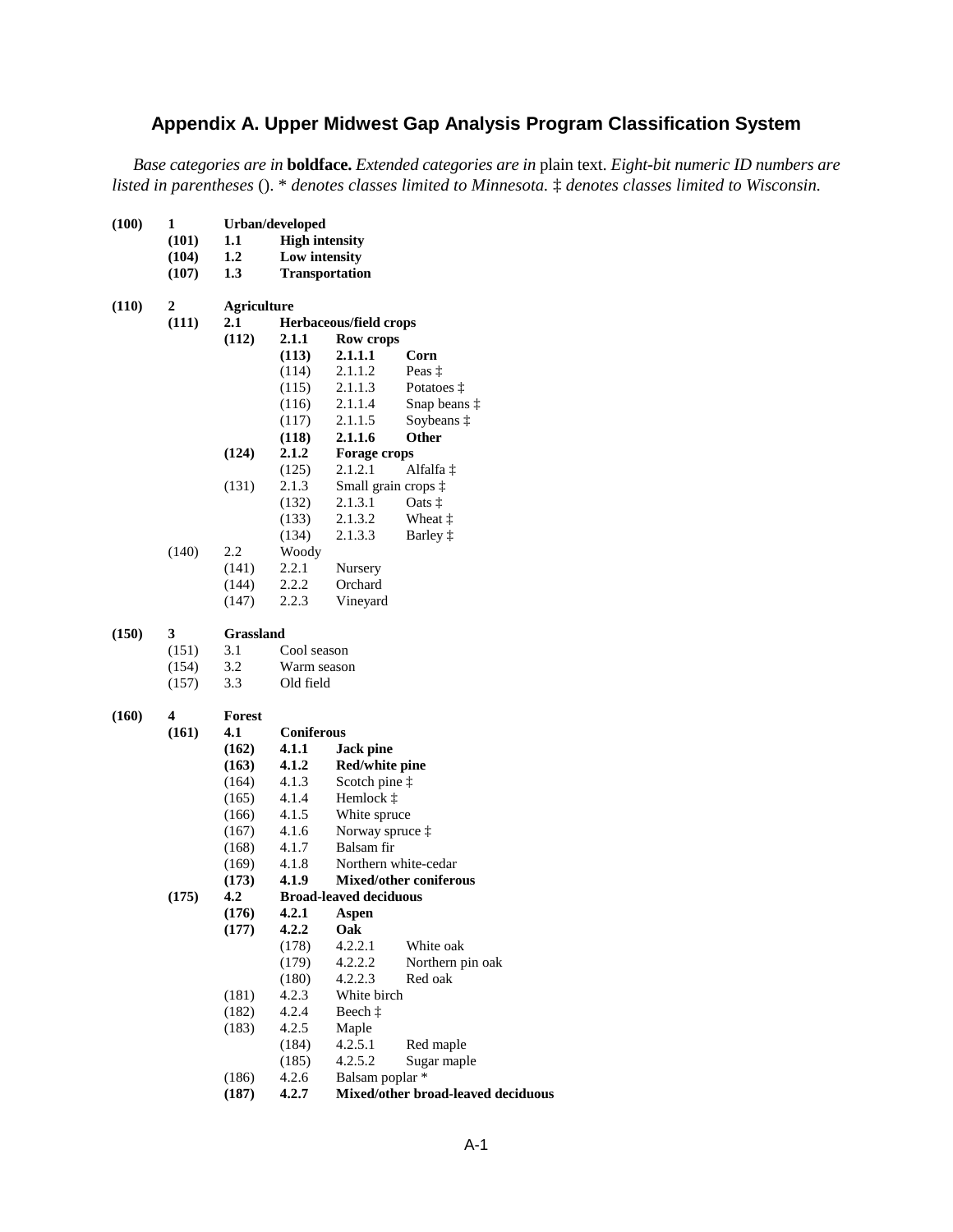## **Appendix A. Upper Midwest Gap Analysis Program Classification System**

*Base categories are in* **boldface.** *Extended categories are in* plain text. *Eight-bit numeric ID numbers are listed in parentheses* (). \* *denotes classes limited to Minnesota.* ‡ *denotes classes limited to Wisconsin.*

| (100) | 1     |               | Urban/developed       |                               |                                    |  |  |  |
|-------|-------|---------------|-----------------------|-------------------------------|------------------------------------|--|--|--|
|       | (101) | 1.1           | <b>High intensity</b> |                               |                                    |  |  |  |
|       | (104) | 1.2           | Low intensity         |                               |                                    |  |  |  |
|       | (107) | 1.3           |                       | <b>Transportation</b>         |                                    |  |  |  |
| (110) | 2     |               | <b>Agriculture</b>    |                               |                                    |  |  |  |
|       | (111) | 2.1           |                       | Herbaceous/field crops        |                                    |  |  |  |
|       |       | (112)         | 2.1.1                 | Row crops                     |                                    |  |  |  |
|       |       |               | (113)                 | 2.1.1.1                       | Corn                               |  |  |  |
|       |       |               | (114)                 | 2.1.1.2                       | Peas $\ddagger$                    |  |  |  |
|       |       |               | (115)                 | 2.1.1.3                       | Potatoes $\ddagger$                |  |  |  |
|       |       |               | (116)                 | 2.1.1.4                       | Snap beans $\ddagger$              |  |  |  |
|       |       |               | (117)                 | 2.1.1.5                       | Soybeans $\ddagger$                |  |  |  |
|       |       |               | (118)                 | 2.1.1.6                       | Other                              |  |  |  |
|       |       | (124)         | 2.1.2                 | <b>Forage crops</b>           |                                    |  |  |  |
|       |       |               | (125)                 | 2.1.2.1                       | Alfalfa ‡                          |  |  |  |
|       |       | (131)         | 2.1.3                 |                               | Small grain crops $\ddagger$       |  |  |  |
|       |       |               | (132)                 | 2.1.3.1                       | Oats $\ddagger$                    |  |  |  |
|       |       |               | (133)                 | 2.1.3.2                       | Wheat $\ddagger$                   |  |  |  |
|       |       |               | (134)                 | 2.1.3.3                       | Barley $\ddagger$                  |  |  |  |
|       | (140) | 2.2           | Woody                 |                               |                                    |  |  |  |
|       |       | (141)         | 2.2.1                 | Nursery                       |                                    |  |  |  |
|       |       | (144)         | 2.2.2                 | Orchard                       |                                    |  |  |  |
|       |       | (147)         | 2.2.3                 | Vineyard                      |                                    |  |  |  |
| (150) | 3     | Grassland     |                       |                               |                                    |  |  |  |
|       | (151) | 3.1           | Cool season           |                               |                                    |  |  |  |
|       | (154) | 3.2           | Warm season           |                               |                                    |  |  |  |
|       | (157) | 3.3           | Old field             |                               |                                    |  |  |  |
| (160) | 4     | <b>Forest</b> |                       |                               |                                    |  |  |  |
|       | (161) | 4.1           | Coniferous            |                               |                                    |  |  |  |
|       |       | (162)         | 4.1.1                 | Jack pine                     |                                    |  |  |  |
|       |       | (163)         | 4.1.2                 | Red/white pine                |                                    |  |  |  |
|       |       | (164)         | 4.1.3                 | Scotch pine $\ddagger$        |                                    |  |  |  |
|       |       | (165)         | 4.1.4                 | Hemlock $\ddagger$            |                                    |  |  |  |
|       |       | (166)         | 4.1.5                 | White spruce                  |                                    |  |  |  |
|       |       | (167)         | 4.1.6                 | Norway spruce $\ddagger$      |                                    |  |  |  |
|       |       | (168)         | 4.1.7                 | Balsam fir                    |                                    |  |  |  |
|       |       | (169)         | 4.1.8                 |                               | Northern white-cedar               |  |  |  |
|       |       | (173)         | 4.1.9                 |                               | <b>Mixed/other coniferous</b>      |  |  |  |
|       | (175) | 4.2           |                       | <b>Broad-leaved deciduous</b> |                                    |  |  |  |
|       |       | (176)         | 4.2.1                 | Aspen                         |                                    |  |  |  |
|       |       | (177)         | 4.2.2                 | Oak                           |                                    |  |  |  |
|       |       |               | (178)                 | 4.2.2.1                       | White oak                          |  |  |  |
|       |       |               | (179)                 | 4.2.2.2                       | Northern pin oak                   |  |  |  |
|       |       |               | (180)                 | 4.2.2.3                       | Red oak                            |  |  |  |
|       |       | (181)         | 4.2.3                 | White birch                   |                                    |  |  |  |
|       |       | (182)         | 4.2.4                 | Beech $\ddagger$              |                                    |  |  |  |
|       |       | (183)         | 4.2.5                 | Maple                         |                                    |  |  |  |
|       |       |               | (184)                 | 4.2.5.1                       | Red maple                          |  |  |  |
|       |       |               | (185)                 | 4.2.5.2                       | Sugar maple                        |  |  |  |
|       |       | (186)         | 4.2.6                 | Balsam poplar *               |                                    |  |  |  |
|       |       | (187)         | 4.2.7                 |                               | Mixed/other broad-leaved deciduous |  |  |  |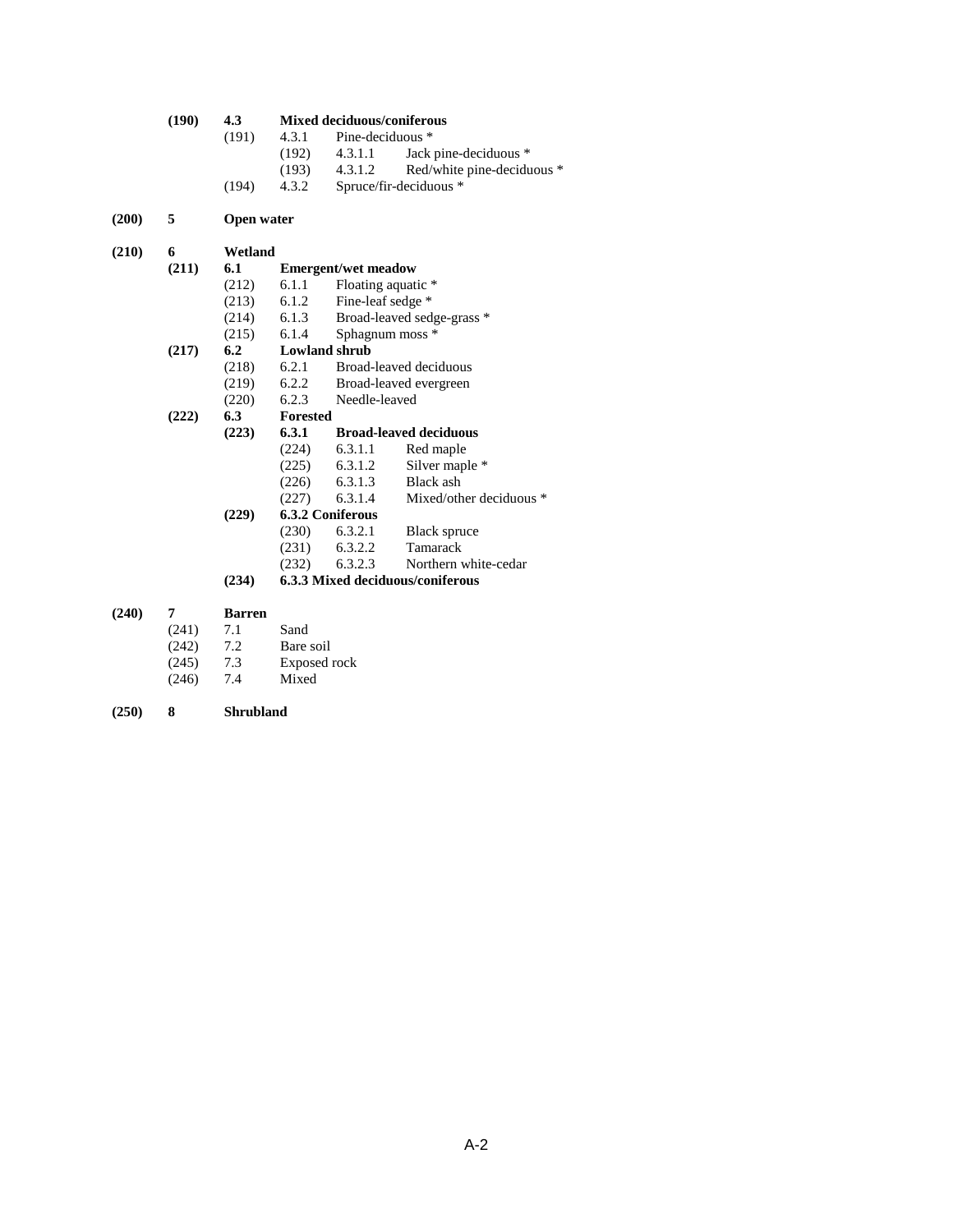# **(190) 4.3 Mixed deciduous/coniferous**

- 4.3.1 Pine-deciduous \*<br>(192) 4.3.1.1 Jack (192) 4.3.1.1 Jack pine-deciduous \*<br>(193) 4.3.1.2 Red/white pine-decidu
- (193) 4.3.1.2 Red/white pine-deciduous \* (194) 4.3.2 Spruce/fir-deciduous \*
- **(200) 5 Open water**

| (210) | 6     | Wetland |                 |                            |                               |
|-------|-------|---------|-----------------|----------------------------|-------------------------------|
|       | (211) | 6.1     |                 | <b>Emergent/wet meadow</b> |                               |
|       |       | (212)   | 6.1.1           | Floating aquatic *         |                               |
|       |       | (213)   | 6.1.2           | Fine-leaf sedge *          |                               |
|       |       | (214)   | 6.1.3           |                            | Broad-leaved sedge-grass *    |
|       |       | (215)   | 6.1.4           | Sphagnum moss *            |                               |
|       | (217) | 6.2     |                 | <b>Lowland shrub</b>       |                               |
|       |       | (218)   | 6.2.1           |                            | Broad-leaved deciduous        |
|       |       | (219)   | 6.2.2           |                            | Broad-leaved evergreen        |
|       |       | (220)   | 6.2.3           | Needle-leaved              |                               |
|       | (222) | 6.3     | <b>Forested</b> |                            |                               |
|       |       | (223)   | 6.3.1           |                            | <b>Broad-leaved deciduous</b> |
|       |       |         | (224)           | 6.3.1.1                    | Red maple                     |
|       |       |         |                 |                            |                               |

- (224) 6.3.1.1 Red maple<br>(225) 6.3.1.2 Silver map (225) 6.3.1.2 Silver maple \*<br>(226) 6.3.1.3 Black ash
	- (226) 6.3.1.3 Black ash<br>(227) 6.3.1.4 Mixed/oth
	- Mixed/other deciduous \*
- **(229) 6.3.2 Coniferous**
	- (230) 6.3.2.1 Black spruce<br>(231) 6.3.2.2 Tamarack
	- (231) 6.3.2.2 Tamarack<br>(232) 6.3.2.3 Northern v
	- Northern white-cedar
- **(234) 6.3.3 Mixed deciduous/coniferous**
- **(240) 7 Barren**

(241) 7.1 Sand<br>(242) 7.2 Bare

- 
- (242) 7.2 Bare soil<br>(245) 7.3 Exposed i (245) 7.3 Exposed rock
- Mixed
- **(250) 8 Shrubland**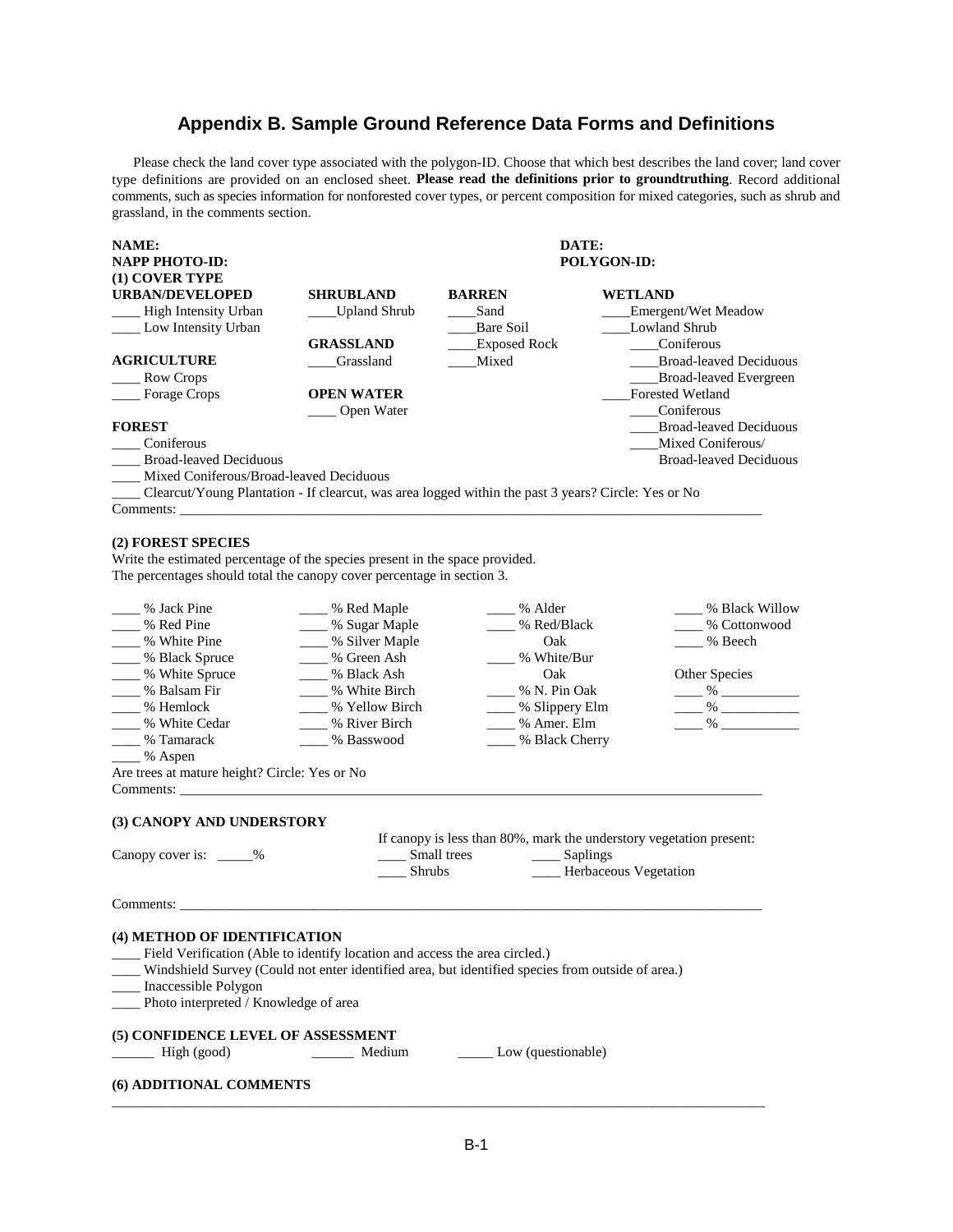### **Appendix B. Sample Ground Reference Data Forms and Definitions**

Please check the land cover type associated with the polygon-ID. Choose that which best describes the land cover; land cover type definitions are provided on an enclosed sheet. **Please read the definitions prior to groundtruthing**. Record additional comments, such as species information for nonforested cover types, or percent composition for mixed categories, such as shrub and grassland, in the comments section.

| NAME:                                   |                     | DATE:         |                               |  |  |
|-----------------------------------------|---------------------|---------------|-------------------------------|--|--|
| NAPP PHOTO-ID:                          |                     | POLYGON-ID:   |                               |  |  |
| (1) COVER TYPE                          |                     |               |                               |  |  |
| <b>URBAN/DEVELOPED</b>                  | <b>SHRUBLAND</b>    | <b>BARREN</b> | <b>WETLAND</b>                |  |  |
| High Intensity Urban                    | <b>Upland Shrub</b> | Sand          | Emergent/Wet Meadow           |  |  |
| Low Intensity Urban                     |                     | Bare Soil     | <b>Lowland Shrub</b>          |  |  |
|                                         | <b>GRASSLAND</b>    | Exposed Rock  | Coniferous                    |  |  |
| <b>AGRICULTURE</b>                      | Grassland           | Mixed         | <b>Broad-leaved Deciduous</b> |  |  |
| Row Crops                               |                     |               | <b>Broad-leaved Evergreen</b> |  |  |
| <b>Forage Crops</b>                     | <b>OPEN WATER</b>   |               | Forested Wetland              |  |  |
|                                         | Open Water          |               | Coniferous                    |  |  |
| <b>FOREST</b>                           |                     |               | <b>Broad-leaved Deciduous</b> |  |  |
| Coniferous                              |                     |               | Mixed Coniferous/             |  |  |
| <b>Broad-leaved Deciduous</b>           |                     |               | <b>Broad-leaved Deciduous</b> |  |  |
| Mixed Coniferous/Broad-leaved Deciduous |                     |               |                               |  |  |

\_\_\_\_ Clearcut/Young Plantation - If clearcut, was area logged within the past 3 years? Circle: Yes or No Comments:

### **(2) FOREST SPECIES**

Write the estimated percentage of the species present in the space provided. The percentages should total the canopy cover percentage in section 3.

| % Jack Pine                                                                                                                                                                                                                                                                                         | % Red Maple         | ___ % Alder                                                                                                               | % Black Willow |
|-----------------------------------------------------------------------------------------------------------------------------------------------------------------------------------------------------------------------------------------------------------------------------------------------------|---------------------|---------------------------------------------------------------------------------------------------------------------------|----------------|
| ___ % Red Pine                                                                                                                                                                                                                                                                                      | ____ % Sugar Maple  | % Red/Black                                                                                                               | % Cottonwood   |
| % White Pine                                                                                                                                                                                                                                                                                        | ____ % Silver Maple | Oak                                                                                                                       | % Beech        |
| ____ % Black Spruce                                                                                                                                                                                                                                                                                 | % Green Ash         | % White/Bur                                                                                                               |                |
| ____% White Spruce                                                                                                                                                                                                                                                                                  | % Black Ash         | Oak                                                                                                                       | Other Species  |
| ___ % Balsam Fir                                                                                                                                                                                                                                                                                    | % White Birch       | % N. Pin Oak                                                                                                              | $\frac{96}{2}$ |
| ___ % Hemlock                                                                                                                                                                                                                                                                                       | ___ % Yellow Birch  | ____ % Slippery Elm                                                                                                       | $\frac{96}{2}$ |
| % White Cedar                                                                                                                                                                                                                                                                                       | % River Birch       | ____ % Amer. Elm                                                                                                          |                |
| % Tamarack                                                                                                                                                                                                                                                                                          | ___ % Basswood      | ____ % Black Cherry                                                                                                       |                |
| % Aspen                                                                                                                                                                                                                                                                                             |                     |                                                                                                                           |                |
| Are trees at mature height? Circle: Yes or No                                                                                                                                                                                                                                                       |                     |                                                                                                                           |                |
|                                                                                                                                                                                                                                                                                                     |                     |                                                                                                                           |                |
| Canopy cover is: ______%                                                                                                                                                                                                                                                                            | Shrubs              | If canopy is less than 80%, mark the understory vegetation present:<br>Small trees Saplings<br>____ Herbaceous Vegetation |                |
| Comments:                                                                                                                                                                                                                                                                                           |                     |                                                                                                                           |                |
| (4) METHOD OF IDENTIFICATION<br>__ Field Verification (Able to identify location and access the area circled.)<br>_____ Windshield Survey (Could not enter identified area, but identified species from outside of area.)<br>____ Inaccessible Polygon<br>___ Photo interpreted / Knowledge of area |                     |                                                                                                                           |                |
| (5) CONFIDENCE LEVEL OF ASSESSMENT                                                                                                                                                                                                                                                                  |                     |                                                                                                                           |                |
| High (good)                                                                                                                                                                                                                                                                                         | Medium              | Low (questionable)                                                                                                        |                |
| (6) ADDITIONAL COMMENTS                                                                                                                                                                                                                                                                             |                     |                                                                                                                           |                |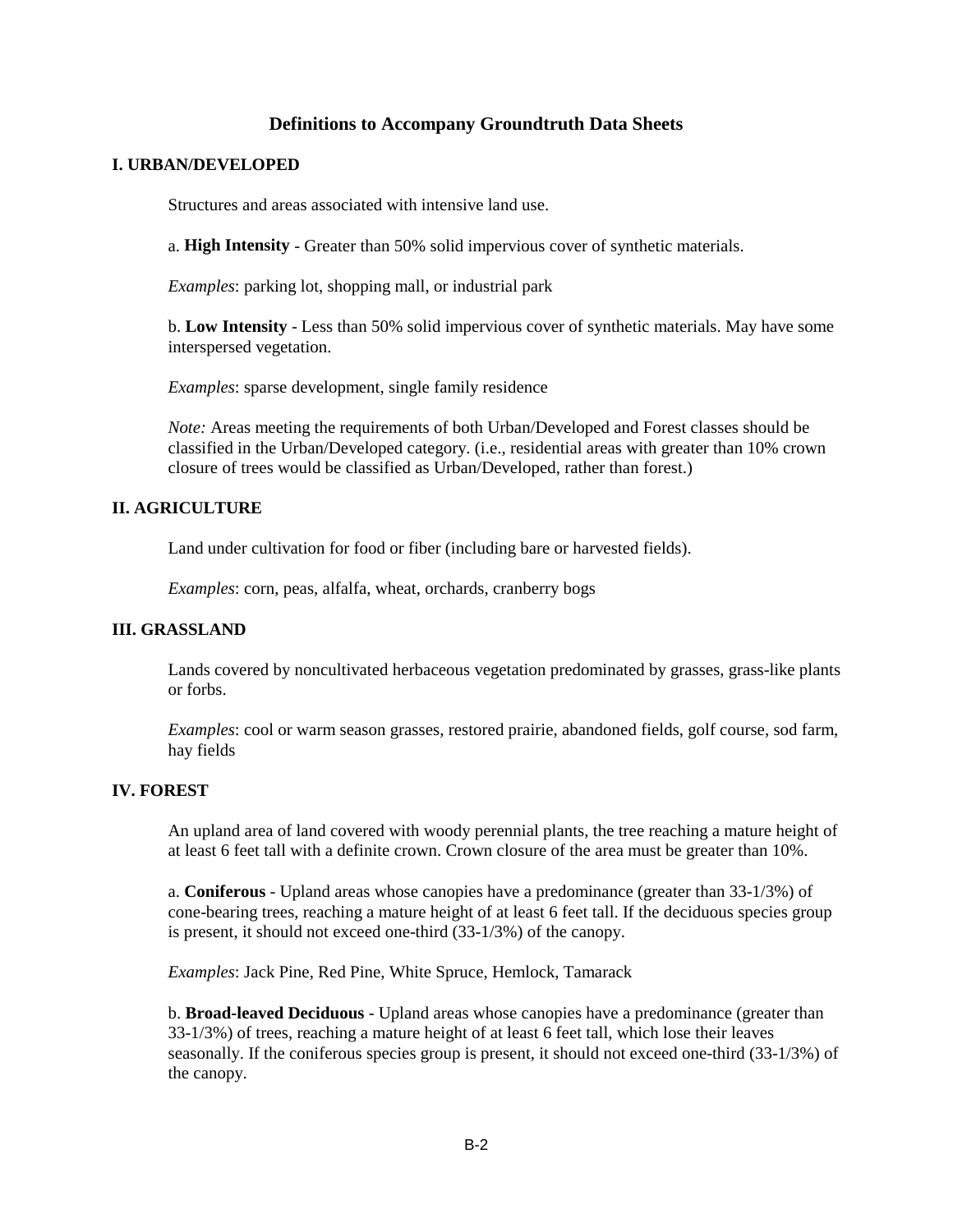### **Definitions to Accompany Groundtruth Data Sheets**

### **I. URBAN/DEVELOPED**

Structures and areas associated with intensive land use.

a. **High Intensity** - Greater than 50% solid impervious cover of synthetic materials.

*Examples*: parking lot, shopping mall, or industrial park

b. **Low Intensity** - Less than 50% solid impervious cover of synthetic materials. May have some interspersed vegetation.

*Examples*: sparse development, single family residence

*Note:* Areas meeting the requirements of both Urban/Developed and Forest classes should be classified in the Urban/Developed category. (i.e., residential areas with greater than 10% crown closure of trees would be classified as Urban/Developed, rather than forest.)

### **II. AGRICULTURE**

Land under cultivation for food or fiber (including bare or harvested fields).

*Examples*: corn, peas, alfalfa, wheat, orchards, cranberry bogs

### **III. GRASSLAND**

Lands covered by noncultivated herbaceous vegetation predominated by grasses, grass-like plants or forbs.

*Examples*: cool or warm season grasses, restored prairie, abandoned fields, golf course, sod farm, hay fields

### **IV. FOREST**

An upland area of land covered with woody perennial plants, the tree reaching a mature height of at least 6 feet tall with a definite crown. Crown closure of the area must be greater than 10%.

a. **Coniferous** - Upland areas whose canopies have a predominance (greater than 33-1/3%) of cone-bearing trees, reaching a mature height of at least 6 feet tall. If the deciduous species group is present, it should not exceed one-third (33-1/3%) of the canopy.

*Examples*: Jack Pine, Red Pine, White Spruce, Hemlock, Tamarack

b. **Broad-leaved Deciduous** - Upland areas whose canopies have a predominance (greater than 33-1/3%) of trees, reaching a mature height of at least 6 feet tall, which lose their leaves seasonally. If the coniferous species group is present, it should not exceed one-third (33-1/3%) of the canopy.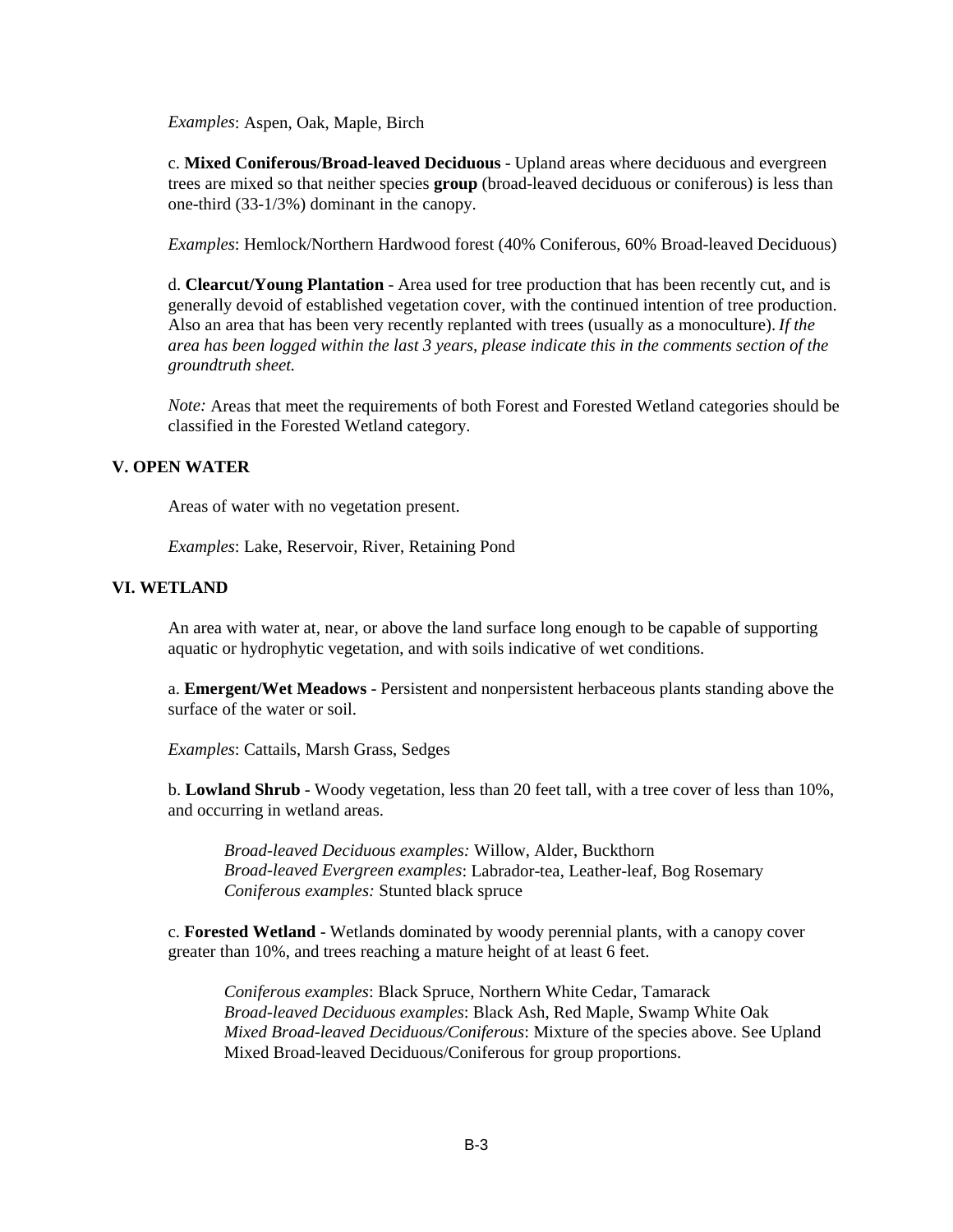*Examples*: Aspen, Oak, Maple, Birch

c. **Mixed Coniferous/Broad-leaved Deciduous** - Upland areas where deciduous and evergreen trees are mixed so that neither species **group** (broad-leaved deciduous or coniferous) is less than one-third (33-1/3%) dominant in the canopy.

*Examples*: Hemlock/Northern Hardwood forest (40% Coniferous, 60% Broad-leaved Deciduous)

d. **Clearcut/Young Plantation** - Area used for tree production that has been recently cut, and is generally devoid of established vegetation cover, with the continued intention of tree production. Also an area that has been very recently replanted with trees (usually as a monoculture). *If the area has been logged within the last 3 years, please indicate this in the comments section of the groundtruth sheet.*

*Note:* Areas that meet the requirements of both Forest and Forested Wetland categories should be classified in the Forested Wetland category.

### **V. OPEN WATER**

Areas of water with no vegetation present.

*Examples*: Lake, Reservoir, River, Retaining Pond

### **VI. WETLAND**

An area with water at, near, or above the land surface long enough to be capable of supporting aquatic or hydrophytic vegetation, and with soils indicative of wet conditions.

a. **Emergent/Wet Meadows** - Persistent and nonpersistent herbaceous plants standing above the surface of the water or soil.

*Examples*: Cattails, Marsh Grass, Sedges

b. **Lowland Shrub** - Woody vegetation, less than 20 feet tall, with a tree cover of less than 10%, and occurring in wetland areas.

*Broad-leaved Deciduous examples:* Willow, Alder, Buckthorn *Broad-leaved Evergreen examples*: Labrador-tea, Leather-leaf, Bog Rosemary *Coniferous examples:* Stunted black spruce

c. **Forested Wetland** - Wetlands dominated by woody perennial plants, with a canopy cover greater than 10%, and trees reaching a mature height of at least 6 feet.

*Coniferous examples*: Black Spruce, Northern White Cedar, Tamarack *Broad-leaved Deciduous examples*: Black Ash, Red Maple, Swamp White Oak *Mixed Broad-leaved Deciduous/Coniferous*: Mixture of the species above. See Upland Mixed Broad-leaved Deciduous/Coniferous for group proportions.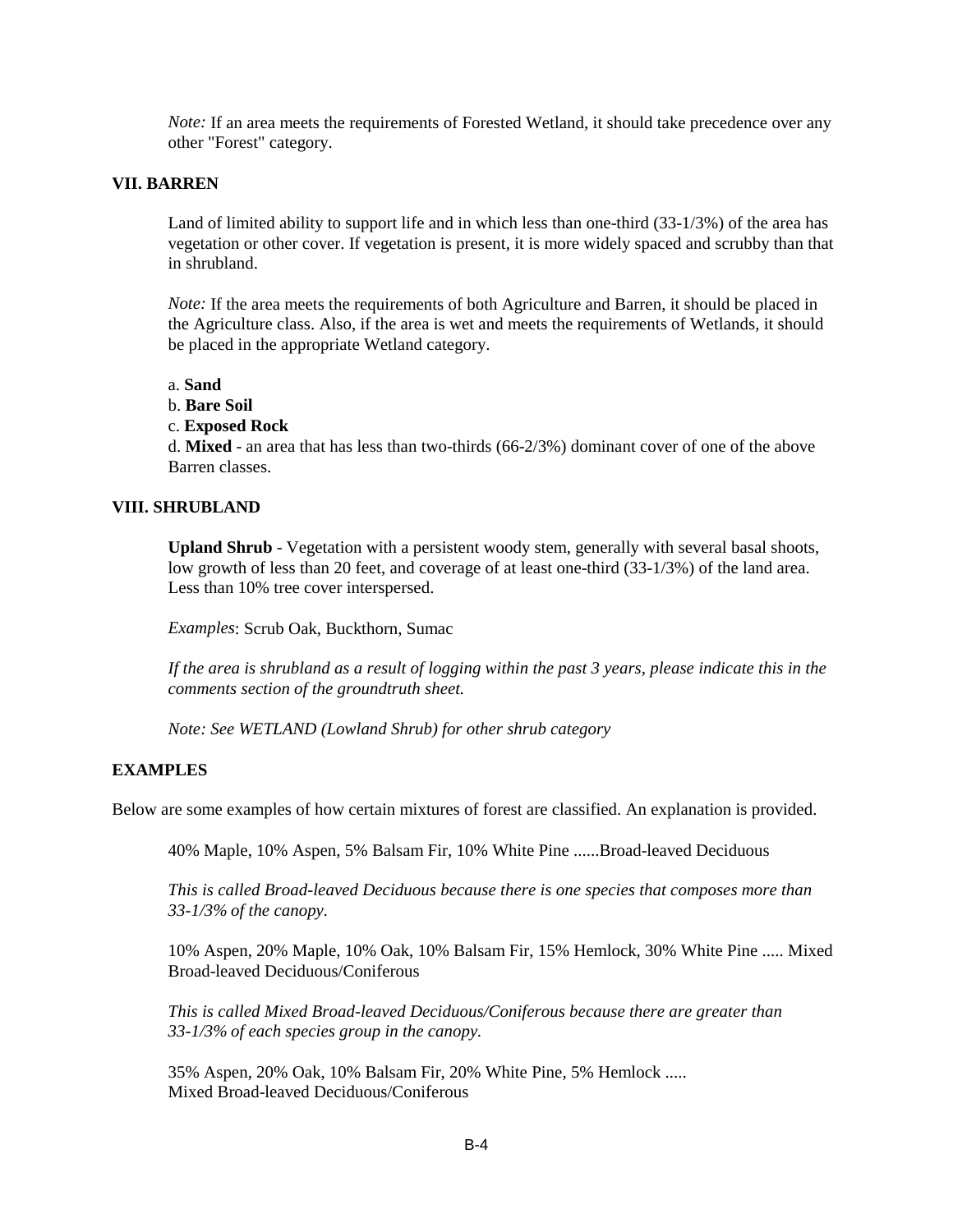*Note:* If an area meets the requirements of Forested Wetland, it should take precedence over any other "Forest" category.

### **VII. BARREN**

Land of limited ability to support life and in which less than one-third (33-1/3%) of the area has vegetation or other cover. If vegetation is present, it is more widely spaced and scrubby than that in shrubland.

*Note:* If the area meets the requirements of both Agriculture and Barren, it should be placed in the Agriculture class. Also, if the area is wet and meets the requirements of Wetlands, it should be placed in the appropriate Wetland category.

a. **Sand**

b. **Bare Soil**

### c. **Exposed Rock**

d. **Mixed** - an area that has less than two-thirds (66-2/3%) dominant cover of one of the above Barren classes.

### **VIII. SHRUBLAND**

**Upland Shrub** - Vegetation with a persistent woody stem, generally with several basal shoots, low growth of less than 20 feet, and coverage of at least one-third (33-1/3%) of the land area. Less than 10% tree cover interspersed.

*Examples*: Scrub Oak, Buckthorn, Sumac

*If the area is shrubland as a result of logging within the past 3 years, please indicate this in the comments section of the groundtruth sheet.*

*Note: See WETLAND (Lowland Shrub) for other shrub category*

### **EXAMPLES**

Below are some examples of how certain mixtures of forest are classified. An explanation is provided.

40% Maple, 10% Aspen, 5% Balsam Fir, 10% White Pine ......Broad-leaved Deciduous

*This is called Broad-leaved Deciduous because there is one species that composes more than 33-1/3% of the canopy.*

10% Aspen, 20% Maple, 10% Oak, 10% Balsam Fir, 15% Hemlock, 30% White Pine ..... Mixed Broad-leaved Deciduous/Coniferous

*This is called Mixed Broad-leaved Deciduous/Coniferous because there are greater than 33-1/3% of each species group in the canopy.*

35% Aspen, 20% Oak, 10% Balsam Fir, 20% White Pine, 5% Hemlock ..... Mixed Broad-leaved Deciduous/Coniferous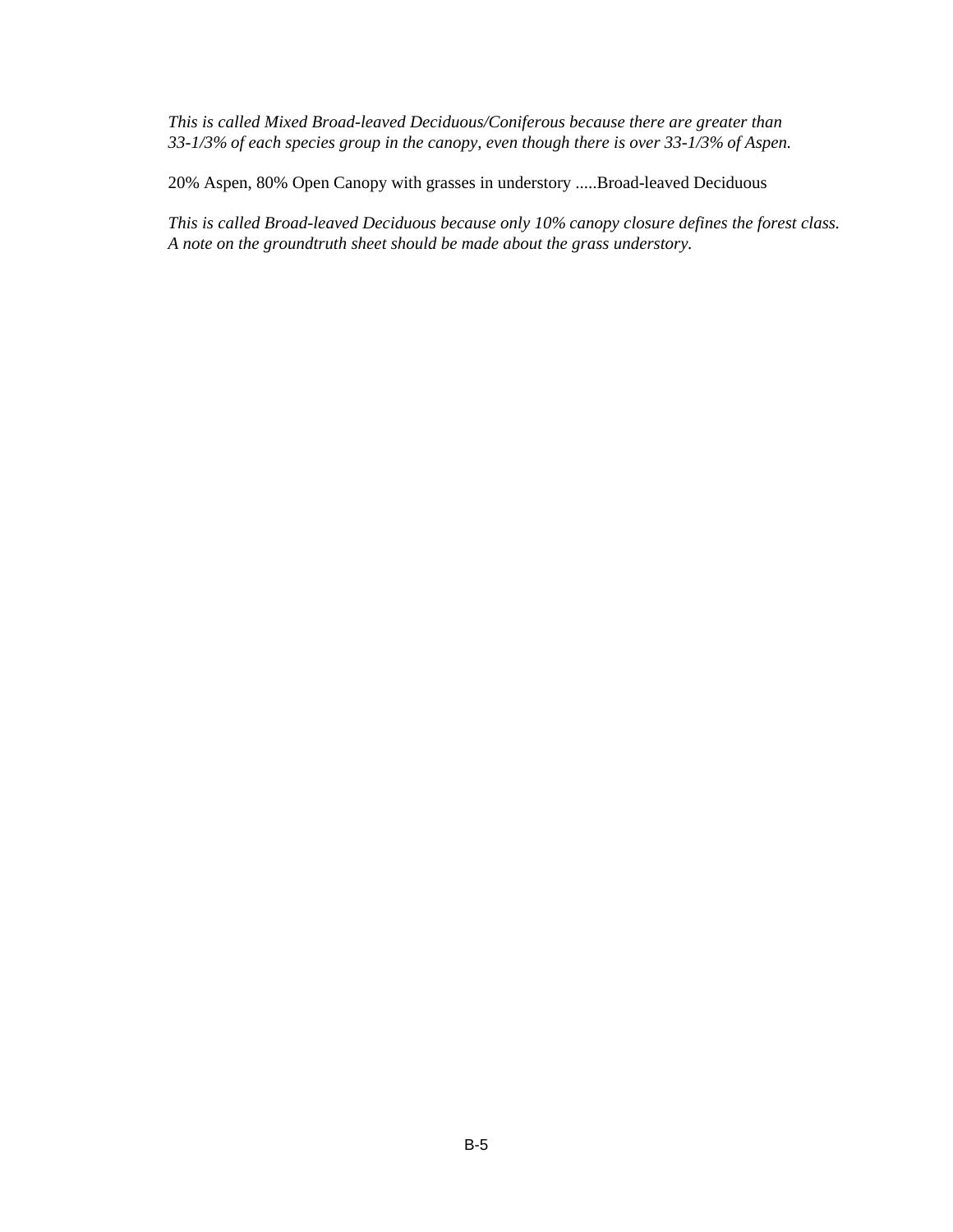*This is called Mixed Broad-leaved Deciduous/Coniferous because there are greater than 33-1/3% of each species group in the canopy, even though there is over 33-1/3% of Aspen.*

20% Aspen, 80% Open Canopy with grasses in understory .....Broad-leaved Deciduous

*This is called Broad-leaved Deciduous because only 10% canopy closure defines the forest class. A note on the groundtruth sheet should be made about the grass understory.*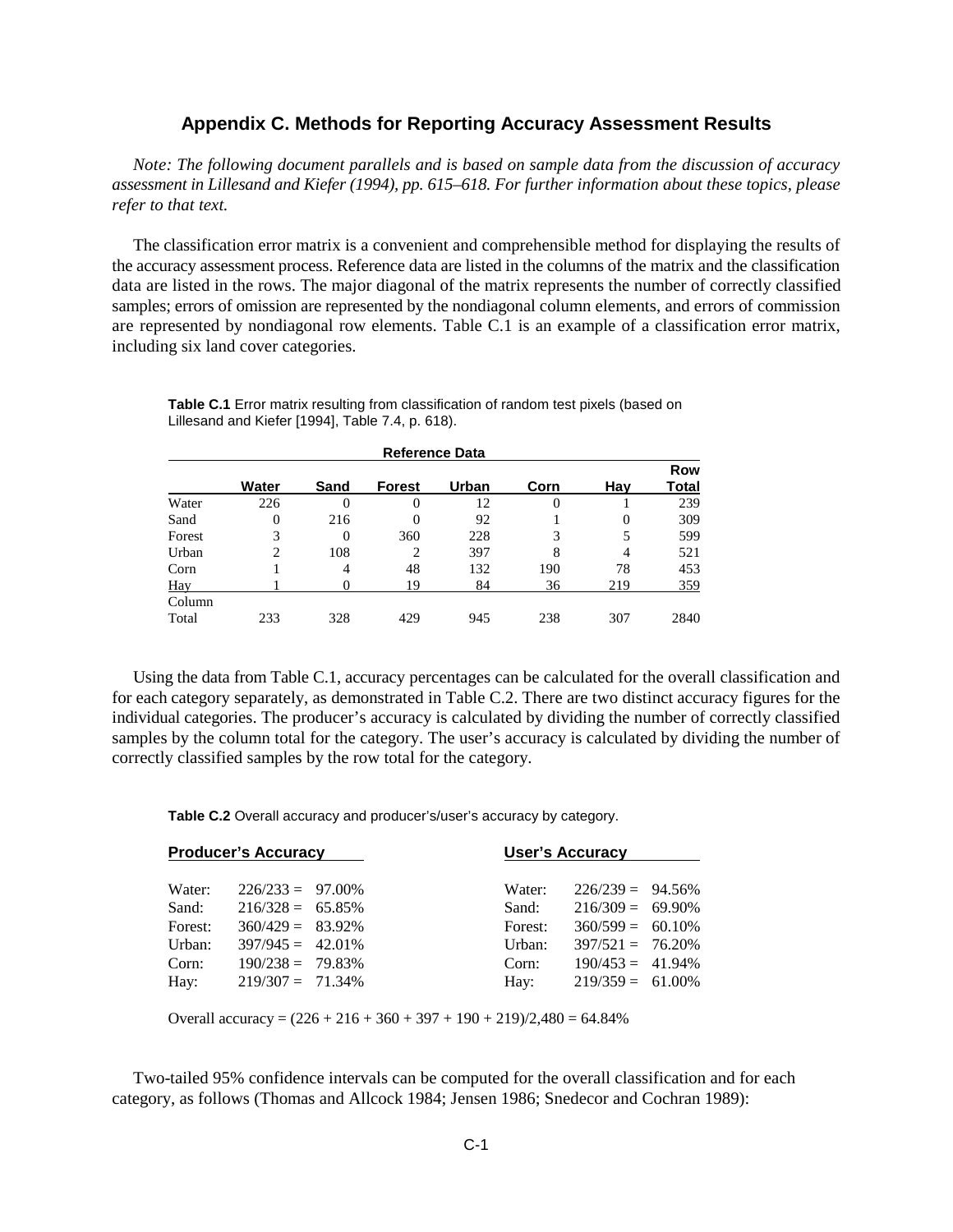### **Appendix C. Methods for Reporting Accuracy Assessment Results**

*Note: The following document parallels and is based on sample data from the discussion of accuracy assessment in Lillesand and Kiefer (1994), pp. 615–618. For further information about these topics, please refer to that text.*

The classification error matrix is a convenient and comprehensible method for displaying the results of the accuracy assessment process. Reference data are listed in the columns of the matrix and the classification data are listed in the rows. The major diagonal of the matrix represents the number of correctly classified samples; errors of omission are represented by the nondiagonal column elements, and errors of commission are represented by nondiagonal row elements. Table C.1 is an example of a classification error matrix, including six land cover categories.

|            | <b>Reference Data</b> |      |               |       |          |     |                     |  |
|------------|-----------------------|------|---------------|-------|----------|-----|---------------------|--|
|            | Water                 | Sand | <b>Forest</b> | Urban | Corn     | Hav | <b>Row</b><br>Total |  |
| Water      | 226                   | 0    |               | 12    | $\theta$ |     | 239                 |  |
| Sand       | 0                     | 216  | 0             | 92    |          | 0   | 309                 |  |
| Forest     | 3                     | 0    | 360           | 228   | 3        | 5   | 599                 |  |
| Urban      | 2                     | 108  | 2             | 397   | 8        | 4   | 521                 |  |
| Corn       |                       | 4    | 48            | 132   | 190      | 78  | 453                 |  |
| <b>Hay</b> |                       |      | 19            | 84    | 36       | 219 | 359                 |  |
| Column     |                       |      |               |       |          |     |                     |  |
| Total      | 233                   | 328  | 429           | 945   | 238      | 307 | 2840                |  |

Table C.1 Error matrix resulting from classification of random test pixels (based on Lillesand and Kiefer [1994], Table 7.4, p. 618).

Using the data from Table C.1, accuracy percentages can be calculated for the overall classification and for each category separately, as demonstrated in Table C.2. There are two distinct accuracy figures for the individual categories. The producer's accuracy is calculated by dividing the number of correctly classified samples by the column total for the category. The user's accuracy is calculated by dividing the number of correctly classified samples by the row total for the category.

**Table C.2** Overall accuracy and producer's/user's accuracy by category.

| <b>Producer's Accuracy</b> |                     | <b>User's Accuracy</b> |         |                     |  |
|----------------------------|---------------------|------------------------|---------|---------------------|--|
| Water:                     | $226/233 = 97.00\%$ |                        | Water:  | $226/239 = 94.56\%$ |  |
| Sand:                      | $216/328 = 65.85\%$ |                        | Sand:   | $216/309 = 69.90\%$ |  |
| Forest:                    | $360/429 = 83.92\%$ |                        | Forest: | $360/599 = 60.10\%$ |  |
| Urban:                     | $397/945 = 42.01\%$ |                        | Urban:  | $397/521 = 76.20\%$ |  |
| Corn:                      | $190/238 = 79.83\%$ |                        | Corn:   | $190/453 = 41.94\%$ |  |
| Hay:                       | $219/307 = 71.34\%$ |                        | Hay:    | $219/359 = 61.00\%$ |  |
|                            |                     |                        |         |                     |  |

Overall accuracy =  $(226 + 216 + 360 + 397 + 190 + 219)/2,480 = 64.84\%$ 

Two-tailed 95% confidence intervals can be computed for the overall classification and for each category, as follows (Thomas and Allcock 1984; Jensen 1986; Snedecor and Cochran 1989):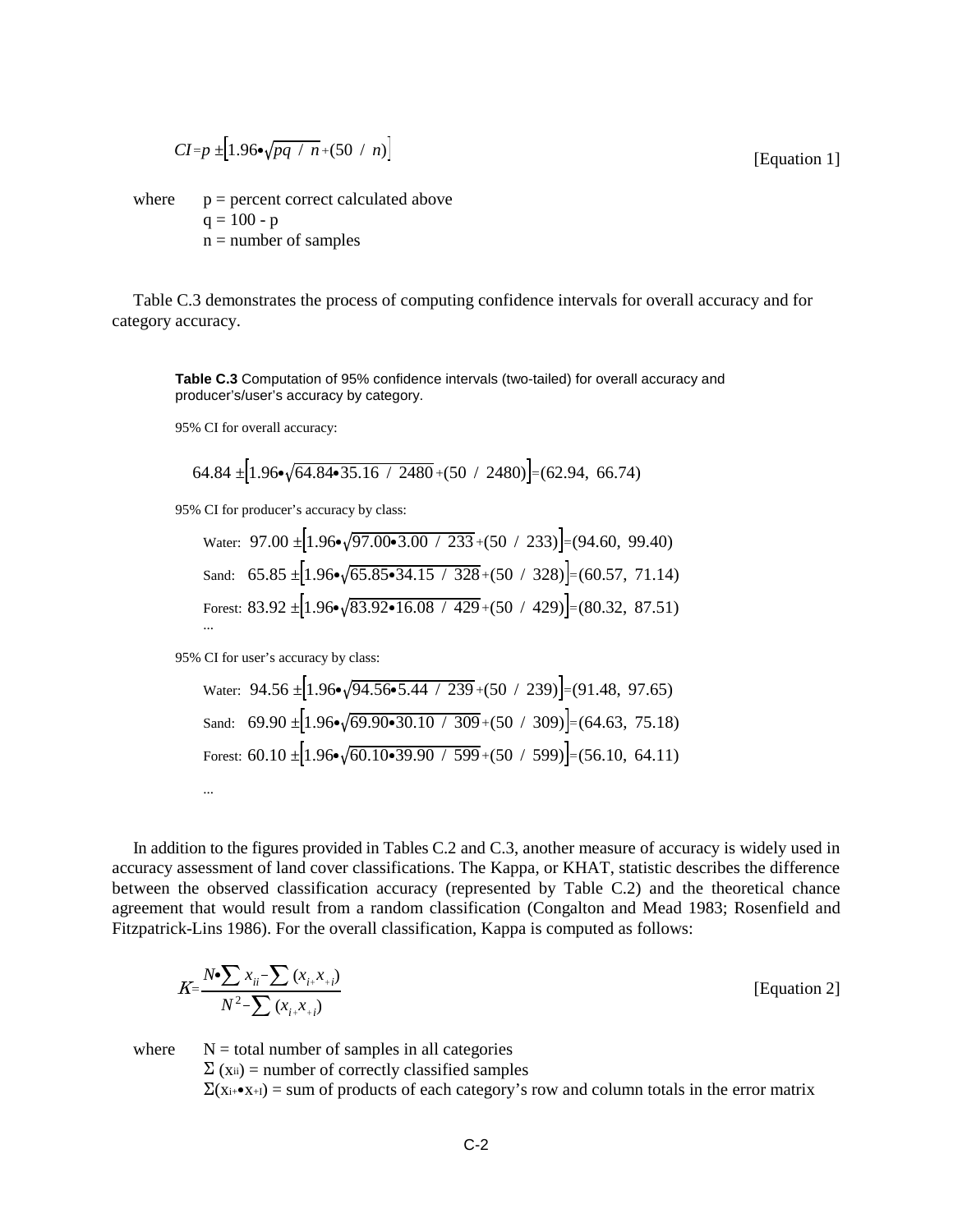$$
CI = p \pm [1.96 \cdot \sqrt{pq / n} + (50 / n)]
$$

where  $p =$  percent correct calculated above  $q = 100 - p$  $n =$  number of samples

Table C.3 demonstrates the process of computing confidence intervals for overall accuracy and for category accuracy.

**Table C.3** Computation of 95% confidence intervals (two-tailed) for overall accuracy and producer's/user's accuracy by category.

95% CI for overall accuracy:

$$
64.84 \pm 1.96 \cdot \sqrt{64.84 \cdot 35.16 / 2480} + (50 / 2480) = (62.94, 66.74)
$$

95% CI for producer's accuracy by class:

Water: 
$$
97.00 \pm [1.96 \cdot \sqrt{97.00 \cdot 3.00 / 233} + (50 / 233)] = (94.60, 99.40)
$$
  
\nSand:  $65.85 \pm [1.96 \cdot \sqrt{65.85 \cdot 34.15 / 328} + (50 / 328)] = (60.57, 71.14)$   
\nForest:  $83.92 \pm [1.96 \cdot \sqrt{83.92 \cdot 16.08 / 429} + (50 / 429)] = (80.32, 87.51)$ 

95% CI for user's accuracy by class:

Water: 
$$
94.56 \pm [1.96 \cdot \sqrt{94.56 \cdot 5.44 / 239} + (50 / 239)] = (91.48, 97.65)
$$
  
Sand:  $69.90 \pm [1.96 \cdot \sqrt{69.90 \cdot 30.10 / 309} + (50 / 309)] = (64.63, 75.18)$   
Forest:  $60.10 \pm [1.96 \cdot \sqrt{60.10 \cdot 39.90 / 599} + (50 / 599)] = (56.10, 64.11)$ 

In addition to the figures provided in Tables C.2 and C.3, another measure of accuracy is widely used in accuracy assessment of land cover classifications. The Kappa, or KHAT, statistic describes the difference between the observed classification accuracy (represented by Table C.2) and the theoretical chance agreement that would result from a random classification (Congalton and Mead 1983; Rosenfield and Fitzpatrick-Lins 1986). For the overall classification, Kappa is computed as follows:

$$
K = \frac{N \cdot \sum x_{ii} - \sum (x_{i+} x_{+i})}{N^2 - \sum (x_{i+} x_{+i})}
$$
 [Equation 2]

where  $N =$  total number of samples in all categories  $\Sigma$  (x<sub>ii</sub>) = number of correctly classified samples  $\Sigma(x_{i+}\bullet x_{+1})$  = sum of products of each category's row and column totals in the error matrix

[Equation 1]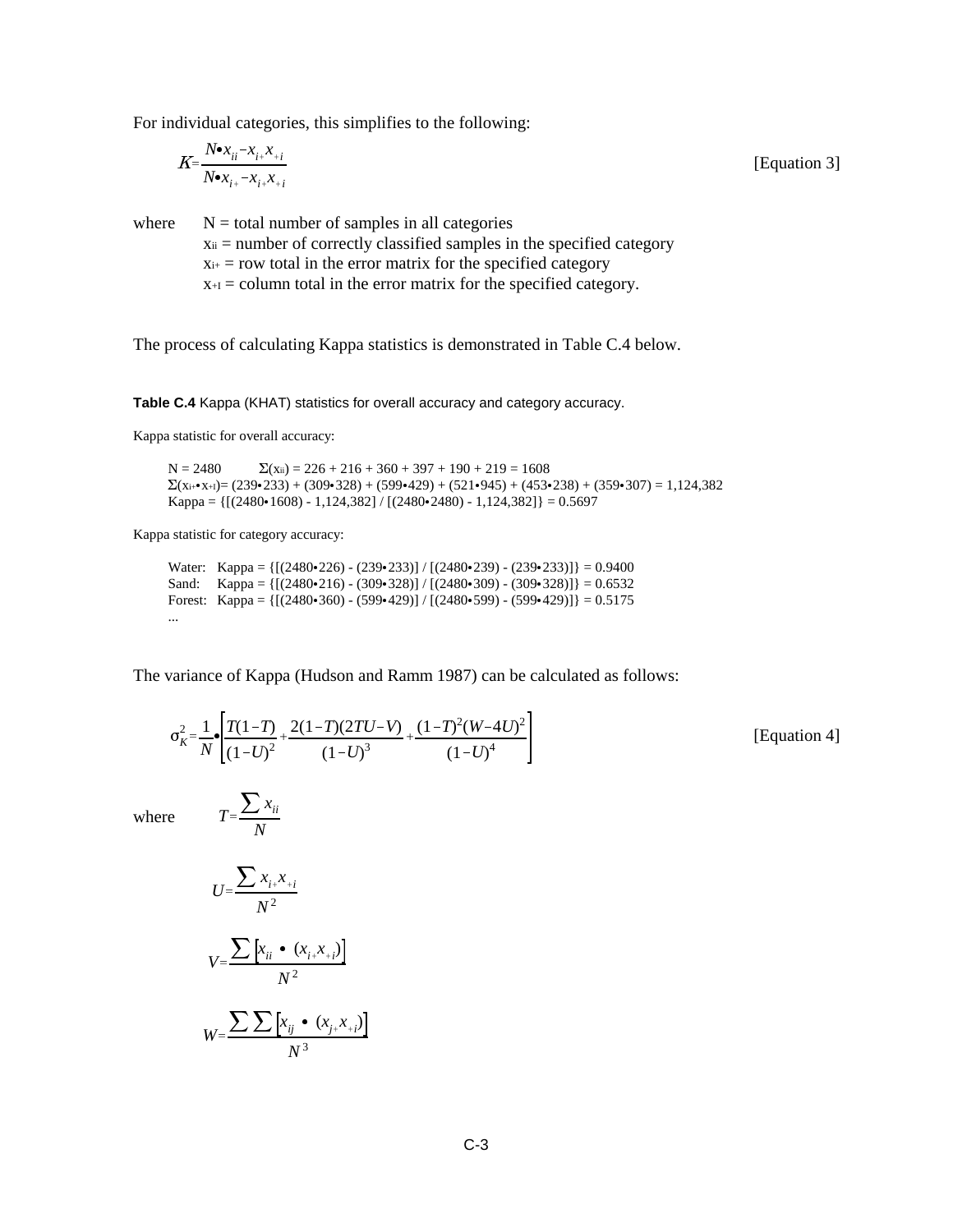For individual categories, this simplifies to the following:

$$
K = \frac{N \cdot x_{ii} - x_{i+}x_{+i}}{N \cdot x_{i+} - x_{i+}x_{+i}}
$$
 [Equation 3]

where  $N =$  total number of samples in all categories  $x_{ii}$  = number of correctly classified samples in the specified category  $x_{i+}$  = row total in the error matrix for the specified category  $x_{+I}$  = column total in the error matrix for the specified category.

The process of calculating Kappa statistics is demonstrated in Table C.4 below.

**Table C.4** Kappa (KHAT) statistics for overall accuracy and category accuracy.

Kappa statistic for overall accuracy:

 $N = 2480$   $\Sigma$ (xii) = 226 + 216 + 360 + 397 + 190 + 219 = 1608  $\Sigma$ (x<sub>i+</sub>•<sub>x+I</sub>)= (239•233) + (309•328) + (599•429) + (521•945) + (453•238) + (359•307) = 1,124,382 Kappa =  ${[(2480 \cdot 1608) - 1,124,382] / [(2480 \cdot 2480) - 1,124,382]} = 0.5697$ 

Kappa statistic for category accuracy:

Water: Kappa =  ${[(2480 \cdot 226) - (239 \cdot 233)] / [(2480 \cdot 239) - (239 \cdot 233)]} = 0.9400$ Sand: Kappa =  ${[(2480 \cdot 216) - (309 \cdot 328)] / [(2480 \cdot 309) - (309 \cdot 328)]} = 0.6532$ Forest: Kappa =  ${[(2480 \cdot 360) - (599 \cdot 429)] / [(2480 \cdot 599) - (599 \cdot 429)]} = 0.5175$ ...

The variance of Kappa (Hudson and Ramm 1987) can be calculated as follows:

$$
\sigma_K^2 = \frac{1}{N} \cdot \left[ \frac{T(1-T)}{(1-U)^2} + \frac{2(1-T)(2TU-V)}{(1-U)^3} + \frac{(1-T)^2(W-4U)^2}{(1-U)^4} \right]
$$
 [Equation 4]

 $\overline{a}$ 

where

$$
U = \frac{\sum x_{i+}x_{+i}}{N^2}
$$

$$
V = \frac{\sum [x_{ii} \cdot (x_{i+}x_{+i})]}{N^2}
$$

$$
W = \frac{\sum \sum [x_{ij} \cdot (x_{j+}x_{+i})]}{N^3}
$$

 $T = \frac{\sum x_{ii}}{\sum x_{ii}}$ *N*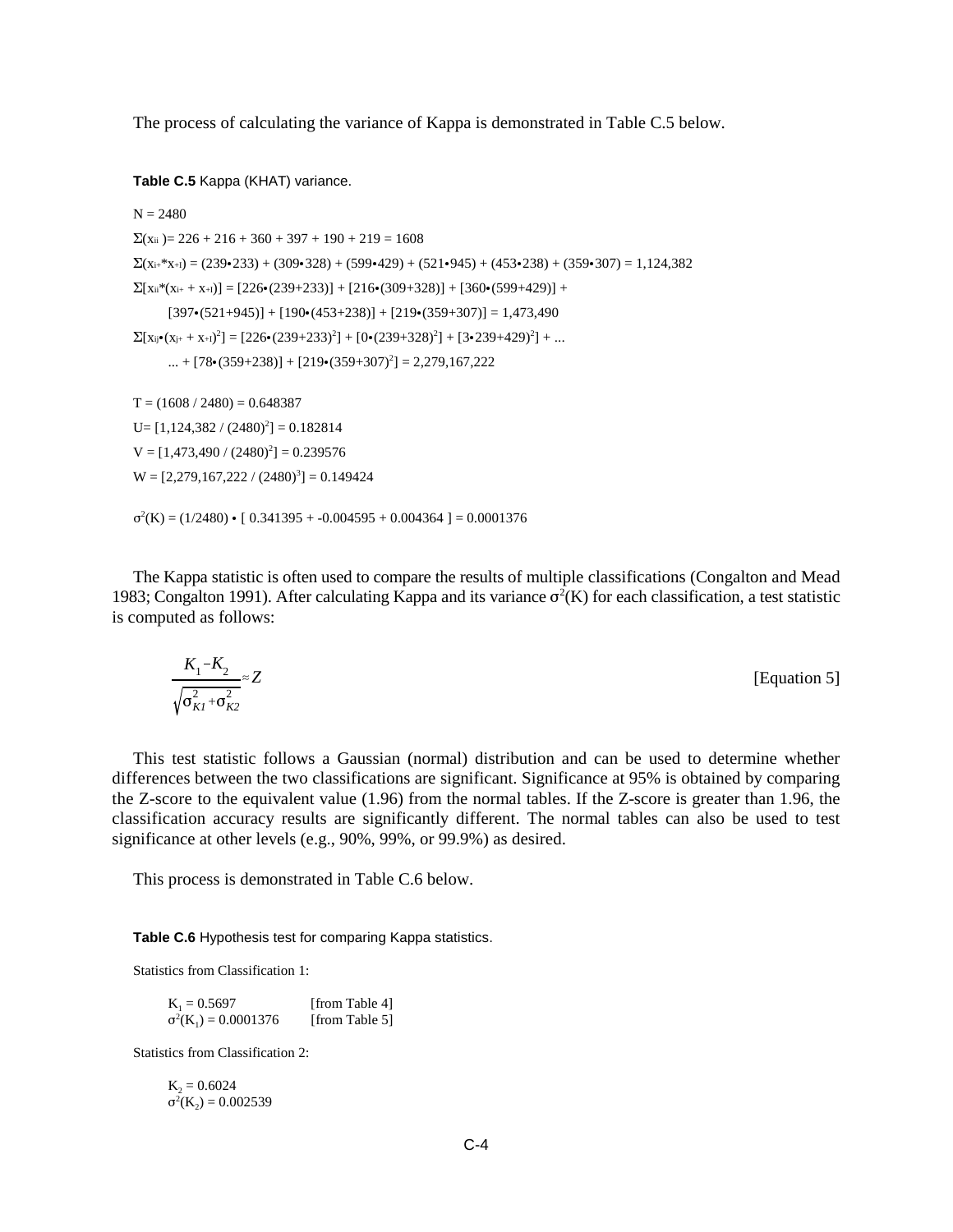The process of calculating the variance of Kappa is demonstrated in Table C.5 below.

**Table C.5** Kappa (KHAT) variance.

```
N = 2480\Sigma(x_{ii}) = 226 + 216 + 360 + 397 + 190 + 219 = 1608
\Sigma(xi+*x+I) = (239•233) + (309•328) + (599•429) + (521•945) + (453•238) + (359•307) = 1,124,382
\Sigma[xii<sup>*</sup>(xi<sub>i</sub> + x<sub>+I</sub>)] = [226•(239+233)] + [216•(309+328)] + [360•(599+429)] +
       [397 \cdot (521+945)] + [190 \cdot (453+238)] + [219 \cdot (359+307)] = 1,473,490\sum [x_{ij} \cdot (x_{j+} + x_{+1})^2] = [226 \cdot (239 + 233)^2] + [0 \cdot (239 + 328)^2] + [3 \cdot 239 + 429)^2] + ...... + [78(359+238)] + [219(359+307)^2] = 2,279,167,222
T = (1608 / 2480) = 0.648387U=[1,124,382/(2480)^{2}]=0.182814V = [1,473,490 / (2480)^{2}] = 0.239576W = [2,279,167,222 / (2480)^{3}] = 0.149424\sigma^2(K) = (1/2480) \cdot [0.341395 + -0.004595 + 0.004364] = 0.0001376
```
The Kappa statistic is often used to compare the results of multiple classifications (Congalton and Mead 1983; Congalton 1991). After calculating Kappa and its variance  $\sigma^2(K)$  for each classification, a test statistic is computed as follows:

$$
\frac{K_1 - K_2}{\sqrt{\sigma_{K1}^2 + \sigma_{K2}^2}} \approx Z
$$
 [Equation 5]

This test statistic follows a Gaussian (normal) distribution and can be used to determine whether differences between the two classifications are significant. Significance at 95% is obtained by comparing the Z-score to the equivalent value (1.96) from the normal tables. If the Z-score is greater than 1.96, the classification accuracy results are significantly different. The normal tables can also be used to test significance at other levels (e.g., 90%, 99%, or 99.9%) as desired.

This process is demonstrated in Table C.6 below.

**Table C.6** Hypothesis test for comparing Kappa statistics.

Statistics from Classification 1:

 $K_1 = 0.5697$  [from Table 4]<br> $\sigma^2(K_1) = 0.0001376$  [from Table 5]  $\sigma^2(K_1) = 0.0001376$  [from Table 5]

Statistics from Classification 2:

 $K_2 = 0.6024$  $\sigma^2(K_2) = 0.002539$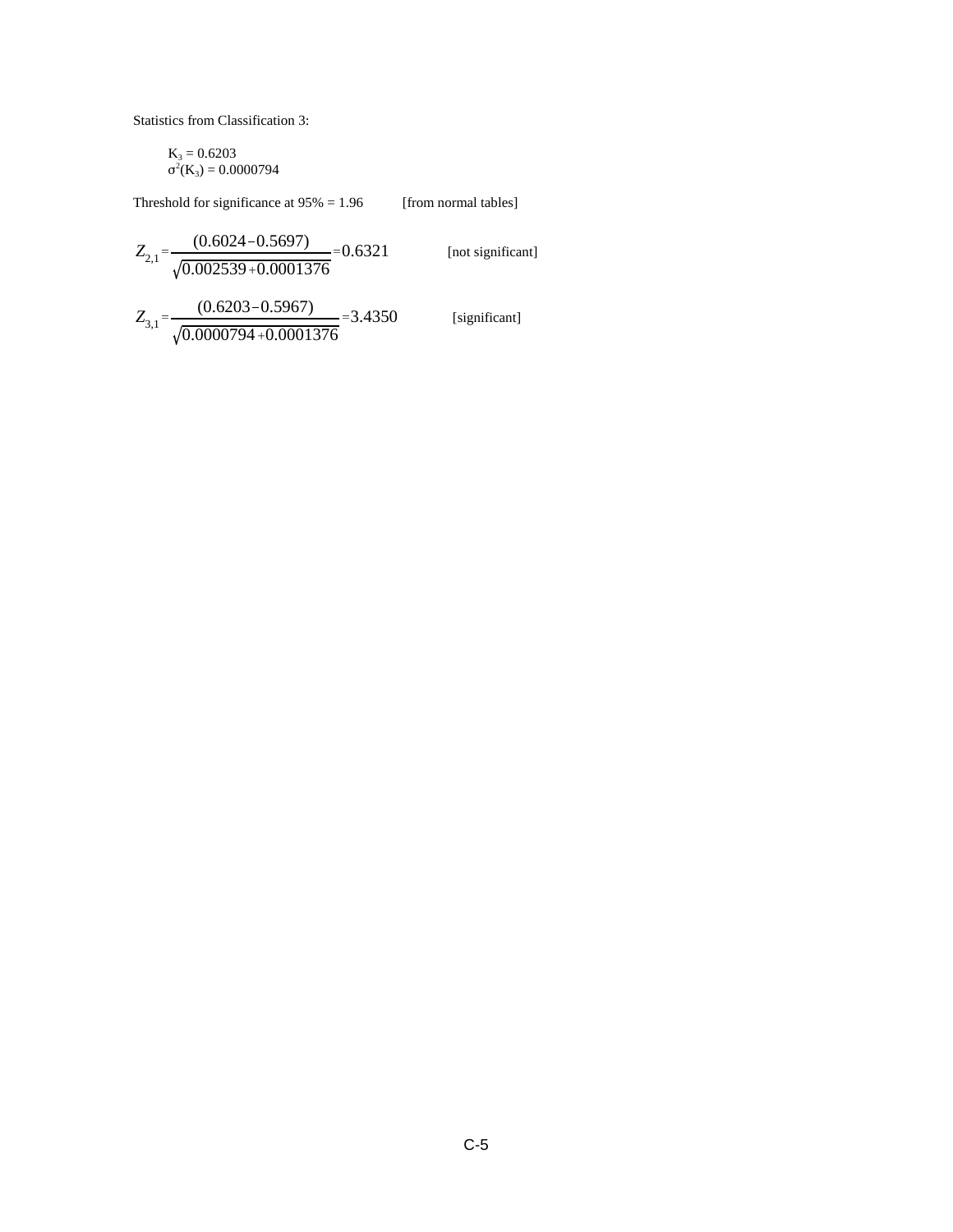Statistics from Classification 3:

$$
\begin{array}{l} K_3 = 0.6203 \\ \sigma^2(K_3) = 0.0000794 \end{array}
$$

Threshold for significance at  $95\% = 1.96$  [from normal tables]

$$
Z_{2,1} = \frac{(0.6024 - 0.5697)}{\sqrt{0.002539 + 0.0001376}} = 0.6321
$$
 [not significant]

$$
Z_{3,1} = \frac{(0.6203 - 0.5967)}{\sqrt{0.0000794 + 0.0001376}} = 3.4350
$$

[significant]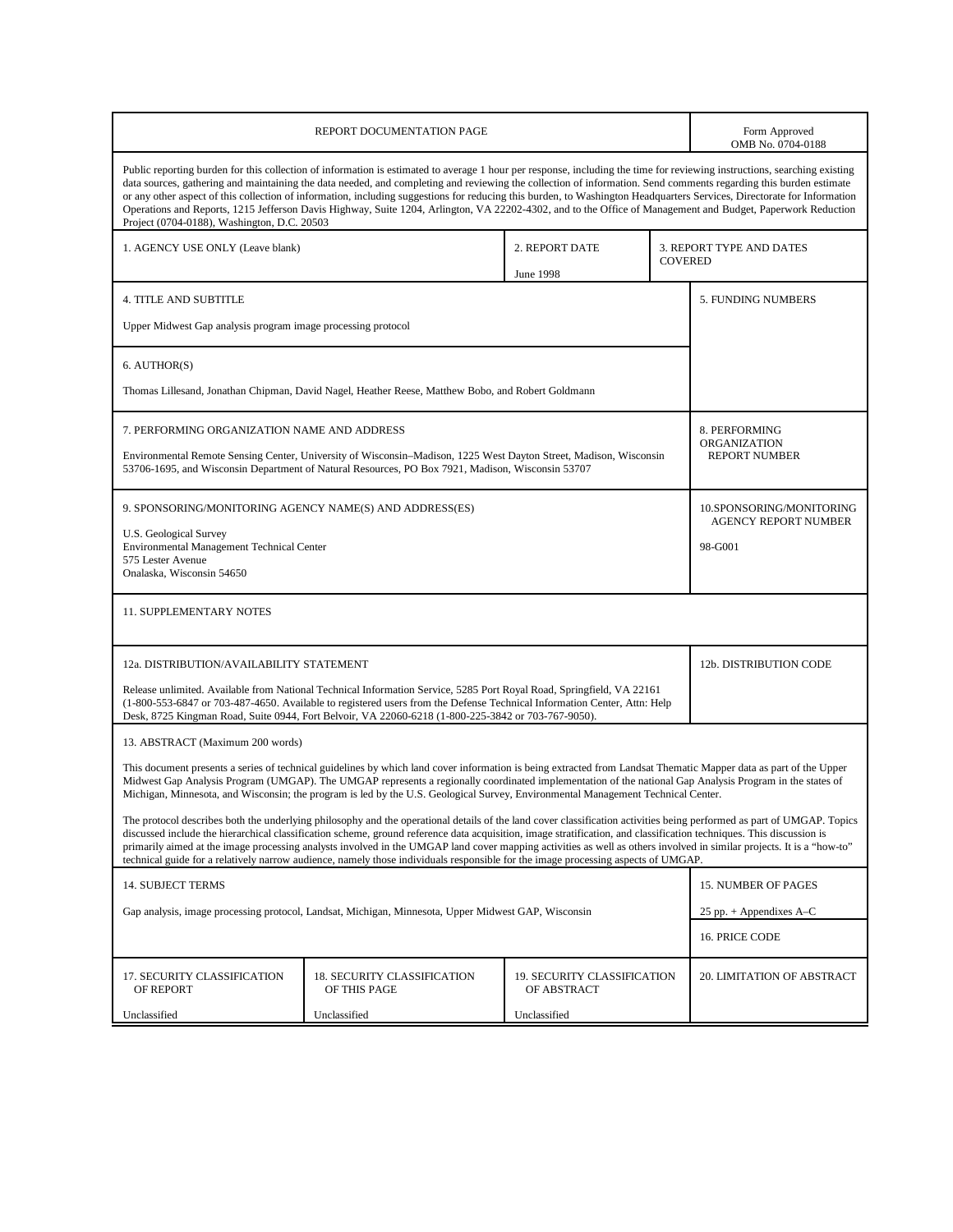|                                                                                                                                                                                                                                                                                                                                                                                                                                                                                                                                                                                                                                                                                                                                         |                                                                                                                                                                                                                       | Form Approved<br>OMB No. 0704-0188         |                |                                                         |  |
|-----------------------------------------------------------------------------------------------------------------------------------------------------------------------------------------------------------------------------------------------------------------------------------------------------------------------------------------------------------------------------------------------------------------------------------------------------------------------------------------------------------------------------------------------------------------------------------------------------------------------------------------------------------------------------------------------------------------------------------------|-----------------------------------------------------------------------------------------------------------------------------------------------------------------------------------------------------------------------|--------------------------------------------|----------------|---------------------------------------------------------|--|
| Public reporting burden for this collection of information is estimated to average 1 hour per response, including the time for reviewing instructions, searching existing<br>data sources, gathering and maintaining the data needed, and completing and reviewing the collection of information. Send comments regarding this burden estimate<br>or any other aspect of this collection of information, including suggestions for reducing this burden, to Washington Headquarters Services, Directorate for Information<br>Operations and Reports, 1215 Jefferson Davis Highway, Suite 1204, Arlington, VA 22202-4302, and to the Office of Management and Budget, Paperwork Reduction<br>Project (0704-0188), Washington, D.C. 20503 |                                                                                                                                                                                                                       |                                            |                |                                                         |  |
| 1. AGENCY USE ONLY (Leave blank)                                                                                                                                                                                                                                                                                                                                                                                                                                                                                                                                                                                                                                                                                                        |                                                                                                                                                                                                                       | 2. REPORT DATE<br><b>June 1998</b>         | <b>COVERED</b> | 3. REPORT TYPE AND DATES                                |  |
| <b>4. TITLE AND SUBTITLE</b>                                                                                                                                                                                                                                                                                                                                                                                                                                                                                                                                                                                                                                                                                                            |                                                                                                                                                                                                                       |                                            |                | 5. FUNDING NUMBERS                                      |  |
| Upper Midwest Gap analysis program image processing protocol                                                                                                                                                                                                                                                                                                                                                                                                                                                                                                                                                                                                                                                                            |                                                                                                                                                                                                                       |                                            |                |                                                         |  |
| 6. AUTHOR(S)                                                                                                                                                                                                                                                                                                                                                                                                                                                                                                                                                                                                                                                                                                                            |                                                                                                                                                                                                                       |                                            |                |                                                         |  |
|                                                                                                                                                                                                                                                                                                                                                                                                                                                                                                                                                                                                                                                                                                                                         | Thomas Lillesand, Jonathan Chipman, David Nagel, Heather Reese, Matthew Bobo, and Robert Goldmann                                                                                                                     |                                            |                |                                                         |  |
| 7. PERFORMING ORGANIZATION NAME AND ADDRESS                                                                                                                                                                                                                                                                                                                                                                                                                                                                                                                                                                                                                                                                                             |                                                                                                                                                                                                                       |                                            |                | 8. PERFORMING                                           |  |
|                                                                                                                                                                                                                                                                                                                                                                                                                                                                                                                                                                                                                                                                                                                                         | Environmental Remote Sensing Center, University of Wisconsin-Madison, 1225 West Dayton Street, Madison, Wisconsin<br>53706-1695, and Wisconsin Department of Natural Resources, PO Box 7921, Madison, Wisconsin 53707 |                                            |                | <b>ORGANIZATION</b><br><b>REPORT NUMBER</b>             |  |
| 9. SPONSORING/MONITORING AGENCY NAME(S) AND ADDRESS(ES)                                                                                                                                                                                                                                                                                                                                                                                                                                                                                                                                                                                                                                                                                 |                                                                                                                                                                                                                       |                                            |                | 10.SPONSORING/MONITORING<br><b>AGENCY REPORT NUMBER</b> |  |
| <b>U.S. Geological Survey</b><br>Environmental Management Technical Center                                                                                                                                                                                                                                                                                                                                                                                                                                                                                                                                                                                                                                                              |                                                                                                                                                                                                                       |                                            |                | 98-G001                                                 |  |
| 575 Lester Avenue<br>Onalaska, Wisconsin 54650                                                                                                                                                                                                                                                                                                                                                                                                                                                                                                                                                                                                                                                                                          |                                                                                                                                                                                                                       |                                            |                |                                                         |  |
| <b>11. SUPPLEMENTARY NOTES</b>                                                                                                                                                                                                                                                                                                                                                                                                                                                                                                                                                                                                                                                                                                          |                                                                                                                                                                                                                       |                                            |                |                                                         |  |
| 12a. DISTRIBUTION/AVAILABILITY STATEMENT                                                                                                                                                                                                                                                                                                                                                                                                                                                                                                                                                                                                                                                                                                |                                                                                                                                                                                                                       |                                            |                | 12b. DISTRIBUTION CODE                                  |  |
| Release unlimited. Available from National Technical Information Service, 5285 Port Royal Road, Springfield, VA 22161<br>(1-800-553-6847 or 703-487-4650. Available to registered users from the Defense Technical Information Center, Attn: Help<br>Desk, 8725 Kingman Road, Suite 0944, Fort Belvoir, VA 22060-6218 (1-800-225-3842 or 703-767-9050).                                                                                                                                                                                                                                                                                                                                                                                 |                                                                                                                                                                                                                       |                                            |                |                                                         |  |
| 13. ABSTRACT (Maximum 200 words)                                                                                                                                                                                                                                                                                                                                                                                                                                                                                                                                                                                                                                                                                                        |                                                                                                                                                                                                                       |                                            |                |                                                         |  |
| This document presents a series of technical guidelines by which land cover information is being extracted from Landsat Thematic Mapper data as part of the Upper<br>Midwest Gap Analysis Program (UMGAP). The UMGAP represents a regionally coordinated implementation of the national Gap Analysis Program in the states of<br>Michigan, Minnesota, and Wisconsin; the program is led by the U.S. Geological Survey, Environmental Management Technical Center.                                                                                                                                                                                                                                                                       |                                                                                                                                                                                                                       |                                            |                |                                                         |  |
| The protocol describes both the underlying philosophy and the operational details of the land cover classification activities being performed as part of UMGAP. Topics<br>discussed include the hierarchical classification scheme, ground reference data acquisition, image stratification, and classification techniques. This discussion is<br>primarily aimed at the image processing analysts involved in the UMGAP land cover mapping activities as well as others involved in similar projects. It is a "how-to"<br>technical guide for a relatively narrow audience, namely those individuals responsible for the image processing aspects of UMGAP.                                                                            |                                                                                                                                                                                                                       |                                            |                |                                                         |  |
| 14. SUBJECT TERMS                                                                                                                                                                                                                                                                                                                                                                                                                                                                                                                                                                                                                                                                                                                       |                                                                                                                                                                                                                       |                                            |                | 15. NUMBER OF PAGES                                     |  |
|                                                                                                                                                                                                                                                                                                                                                                                                                                                                                                                                                                                                                                                                                                                                         | Gap analysis, image processing protocol, Landsat, Michigan, Minnesota, Upper Midwest GAP, Wisconsin                                                                                                                   |                                            |                | 25 pp. $+$ Appendixes A–C                               |  |
|                                                                                                                                                                                                                                                                                                                                                                                                                                                                                                                                                                                                                                                                                                                                         |                                                                                                                                                                                                                       |                                            |                | 16. PRICE CODE                                          |  |
| 17. SECURITY CLASSIFICATION<br>OF REPORT                                                                                                                                                                                                                                                                                                                                                                                                                                                                                                                                                                                                                                                                                                | 18. SECURITY CLASSIFICATION<br>OF THIS PAGE                                                                                                                                                                           | 19. SECURITY CLASSIFICATION<br>OF ABSTRACT |                | 20. LIMITATION OF ABSTRACT                              |  |
| Unclassified                                                                                                                                                                                                                                                                                                                                                                                                                                                                                                                                                                                                                                                                                                                            |                                                                                                                                                                                                                       |                                            |                |                                                         |  |